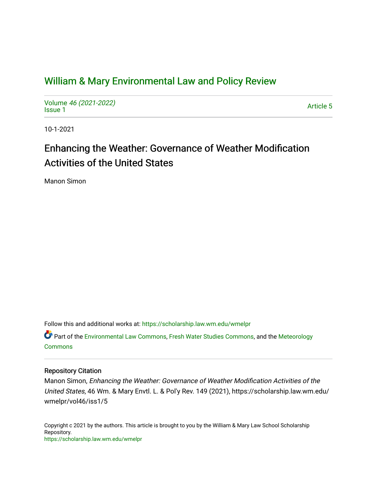# [William & Mary Environmental Law and Policy Review](https://scholarship.law.wm.edu/wmelpr)

Volume [46 \(2021-2022\)](https://scholarship.law.wm.edu/wmelpr/vol46)  volume 40 (2021-2022)<br>[Issue 1](https://scholarship.law.wm.edu/wmelpr/vol46/iss1)

10-1-2021

# Enhancing the Weather: Governance of Weather Modification Activities of the United States

Manon Simon

Follow this and additional works at: [https://scholarship.law.wm.edu/wmelpr](https://scholarship.law.wm.edu/wmelpr?utm_source=scholarship.law.wm.edu%2Fwmelpr%2Fvol46%2Fiss1%2F5&utm_medium=PDF&utm_campaign=PDFCoverPages)

Part of the [Environmental Law Commons](http://network.bepress.com/hgg/discipline/599?utm_source=scholarship.law.wm.edu%2Fwmelpr%2Fvol46%2Fiss1%2F5&utm_medium=PDF&utm_campaign=PDFCoverPages), [Fresh Water Studies Commons](http://network.bepress.com/hgg/discipline/189?utm_source=scholarship.law.wm.edu%2Fwmelpr%2Fvol46%2Fiss1%2F5&utm_medium=PDF&utm_campaign=PDFCoverPages), and the [Meteorology](http://network.bepress.com/hgg/discipline/190?utm_source=scholarship.law.wm.edu%2Fwmelpr%2Fvol46%2Fiss1%2F5&utm_medium=PDF&utm_campaign=PDFCoverPages) [Commons](http://network.bepress.com/hgg/discipline/190?utm_source=scholarship.law.wm.edu%2Fwmelpr%2Fvol46%2Fiss1%2F5&utm_medium=PDF&utm_campaign=PDFCoverPages)

# Repository Citation

Manon Simon, Enhancing the Weather: Governance of Weather Modification Activities of the United States, 46 Wm. & Mary Envtl. L. & Pol'y Rev. 149 (2021), https://scholarship.law.wm.edu/ wmelpr/vol46/iss1/5

Copyright c 2021 by the authors. This article is brought to you by the William & Mary Law School Scholarship Repository. <https://scholarship.law.wm.edu/wmelpr>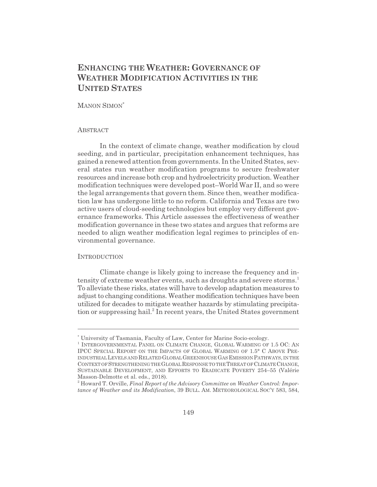# **ENHANCING THE WEATHER: GOVERNANCE OF WEATHER MODIFICATION ACTIVITIES IN THE UNITED STATES**

# MANON SIMON\*

#### **ABSTRACT**

In the context of climate change, weather modification by cloud seeding, and in particular, precipitation enhancement techniques, has gained a renewed attention from governments. In the United States, several states run weather modification programs to secure freshwater resources and increase both crop and hydroelectricity production. Weather modification techniques were developed post–World War II, and so were the legal arrangements that govern them. Since then, weather modification law has undergone little to no reform. California and Texas are two active users of cloud-seeding technologies but employ very different governance frameworks. This Article assesses the effectiveness of weather modification governance in these two states and argues that reforms are needed to align weather modification legal regimes to principles of environmental governance.

#### **INTRODUCTION**

Climate change is likely going to increase the frequency and intensity of extreme weather events, such as droughts and severe storms.<sup>1</sup> To alleviate these risks, states will have to develop adaptation measures to adjust to changing conditions. Weather modification techniques have been utilized for decades to mitigate weather hazards by stimulating precipitation or suppressing hail.<sup>2</sup> In recent years, the United States government

<sup>\*</sup> University of Tasmania, Faculty of Law, Center for Marine Socio-ecology.

<sup>&</sup>lt;sup>1</sup> INTERGOVERNMENTAL PANEL ON CLIMATE CHANGE, GLOBAL WARMING OF 1.5 OC: AN IPCC SPECIAL REPORT ON THE IMPACTS OF GLOBAL WARMING OF 1.5° C ABOVE PRE-INDUSTRIALLEVELS AND RELATED GLOBALGREENHOUSE GASEMISSION PATHWAYS, IN THE CONTEXT OF STRENGTHENING THE GLOBALRESPONSE TO THE THREAT OF CLIMATE CHANGE, SUSTAINABLE DEVELOPMENT, AND EFFORTS TO ERADICATE POVERTY 254–55 (Valérie Masson-Delmotte et al. eds., 2018).

<sup>2</sup> Howard T. Orville, *Final Report of the Advisory Committee on Weather Control: Importance of Weather and its Modification*, 39 BULL. AM. METEOROLOGICAL SOC'Y 583, 584,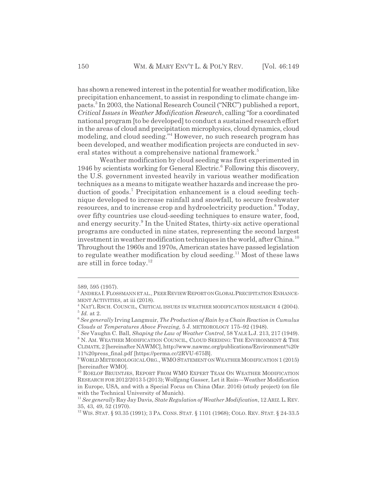has shown a renewed interest in the potential for weather modification, like precipitation enhancement, to assist in responding to climate change impacts.3 In 2003, the National Research Council ("NRC") published a report, *Critical Issues in Weather Modification Research*, calling "for a coordinated national program [to be developed] to conduct a sustained research effort in the areas of cloud and precipitation microphysics, cloud dynamics, cloud modeling, and cloud seeding."4 However, no such research program has been developed, and weather modification projects are conducted in several states without a comprehensive national framework.<sup>5</sup>

Weather modification by cloud seeding was first experimented in 1946 by scientists working for General Electric.<sup>6</sup> Following this discovery, the U.S. government invested heavily in various weather modification techniques as a means to mitigate weather hazards and increase the production of goods.<sup>7</sup> Precipitation enhancement is a cloud seeding technique developed to increase rainfall and snowfall, to secure freshwater resources, and to increase crop and hydroelectricity production.<sup>8</sup> Today, over fifty countries use cloud-seeding techniques to ensure water, food, and energy security.<sup>9</sup> In the United States, thirty-six active operational programs are conducted in nine states, representing the second largest investment in weather modification techniques in the world, after China.<sup>10</sup> Throughout the 1960s and 1970s, American states have passed legislation to regulate weather modification by cloud seeding.<sup>11</sup> Most of these laws are still in force today.<sup>12</sup>

<sup>589, 595 (1957).</sup>

<sup>&</sup>lt;sup>3</sup> ANDREA I. FLOSSMANN ET AL., PEER REVIEW REPORT ON GLOBAL PRECIPITATION ENHANCE-MENT ACTIVITIES, at iii (2018).

<sup>4</sup> NAT'L RSCH. COUNCIL, CRITICAL ISSUES IN WEATHER MODIFICATION RESEARCH 4 (2004). <sup>5</sup> *Id.* at 2.

<sup>6</sup> *See generally* Irving Langmuir, *The Production of Rain by a Chain Reaction in Cumulus Clouds at Temperatures Above Freezing*, 5 J. METEOROLOGY 175–92 (1948).

<sup>7</sup> *See* Vaughn C. Ball, *Shaping the Law of Weather Control*, 58 YALE L.J. 213, 217 (1949).

<sup>8</sup> N. AM. WEATHER MODIFICATION COUNCIL, CLOUD SEEDING: THE ENVIRONMENT & THE CLIMATE, 2 [hereinafter NAWMC], http://www.nawmc.org/publications/Environment%20r 11%20press\_final.pdf [https://perma.cc/2RVU-675B].

<sup>&</sup>lt;sup>9</sup> WORLD METEOROLOGICAL ORG., WMO STATEMENT ON WEATHER MODIFICATION 1 (2015) [hereinafter WMO].

 $^{10}$  ROELOF BRUINTJES, REPORT FROM WMO EXPERT TEAM ON WEATHER MODIFICATION RESEARCH FOR 2012/2013 5 (2013); Wolfgang Gasser, Let it Rain—Weather Modification in Europe, USA, and with a Special Focus on China (Mar. 2016) (study project) (on file with the Technical University of Munich).

<sup>11</sup> *See generally* Ray Jay Davis, *State Regulation of Weather Modification*, 12 ARIZ.L.REV. 35, 43, 49, 52 (1970).

<sup>12</sup> WIS. STAT. § 93.35 (1991); 3 PA. CONS. STAT. § 1101 (1968); COLO. REV. STAT. § 24-33.5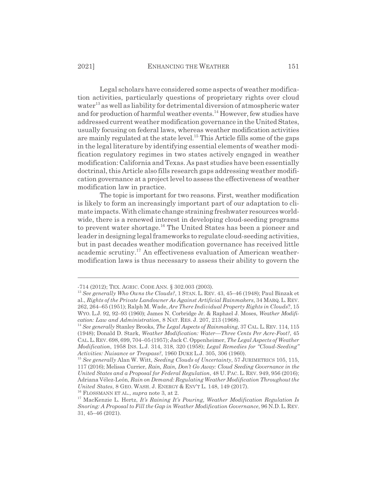Legal scholars have considered some aspects of weather modification activities, particularly questions of proprietary rights over cloud water<sup>13</sup> as well as liability for detrimental diversion of atmospheric water and for production of harmful weather events.<sup>14</sup> However, few studies have addressed current weather modification governance in the United States, usually focusing on federal laws, whereas weather modification activities are mainly regulated at the state level.15 This Article fills some of the gaps in the legal literature by identifying essential elements of weather modification regulatory regimes in two states actively engaged in weather modification: California and Texas. As past studies have been essentially doctrinal, this Article also fills research gaps addressing weather modification governance at a project level to assess the effectiveness of weather modification law in practice.

The topic is important for two reasons. First, weather modification is likely to form an increasingly important part of our adaptation to climate impacts. With climate change straining freshwater resources worldwide, there is a renewed interest in developing cloud-seeding programs to prevent water shortage.<sup>16</sup> The United States has been a pioneer and leader in designing legal frameworks to regulate cloud-seeding activities, but in past decades weather modification governance has received little academic scrutiny.17 An effectiveness evaluation of American weathermodification laws is thus necessary to assess their ability to govern the

16 FLOSSMANN ET AL., *supra* note 3, at 2.

<sup>-714 (2012);</sup> TEX. AGRIC. CODE ANN. § 302.003 (2003).

<sup>13</sup> *See generally Who Owns the Clouds?*, 1 STAN. L. REV. 43, 45–46 (1948); Paul Binzak et al., *Rights of the Private Landowner As Against Artificial Rainmakers*, 34 MARQ. L. REV. 262, 264–65 (1951); Ralph M. Wade, *Are There Individual Property Rights in Clouds*?, 15 WYO. L.J. 92, 92–93 (1960); James N. Corbridge Jr. & Raphael J. Moses, *Weather Modification: Law and Administration*, 8 NAT. RES. J. 207, 213 (1968).

<sup>14</sup> *See generally* Stanley Brooks, *The Legal Aspects of Rainmaking*, 37 CAL. L. REV. 114, 115 (1948); Donald D. Stark, *Weather Modification: Water—Three Cents Per Acre-Foot?*, 45 CAL.L.REV. 698, 699, 704–05 (1957); Jack C. Oppenheimer, *The Legal Aspects of Weather Modification*, 1958 INS. L.J. 314, 318, 320 (1958); *Legal Remedies for "Cloud-Seeding" Activities: Nuisance or Trespass?*, 1960 DUKE L.J. 305, 306 (1960).

<sup>15</sup> *See generally* Alan W. Witt, *Seeding Clouds of Uncertainty*, 57 JURIMETRICS 105, 115, 117 (2016); Melissa Currier, *Rain, Rain, Don't Go Away: Cloud Seeding Governance in the United States and a Proposal for Federal Regulation*, 48 U. PAC. L. REV. 949, 956 (2016); Adriana Vélez-León, *Rain on Demand: Regulating Weather Modification Throughout the United States*, 8 GEO. WASH. J. ENERGY & ENV'T L. 148, 149 (2017).

<sup>17</sup> MacKenzie L. Hertz, *It's Raining It's Pouring, Weather Modification Regulation Is Snoring: A Proposal to Fill the Gap in Weather Modification Governance*, 96 N.D. L. REV. 31, 45–46 (2021).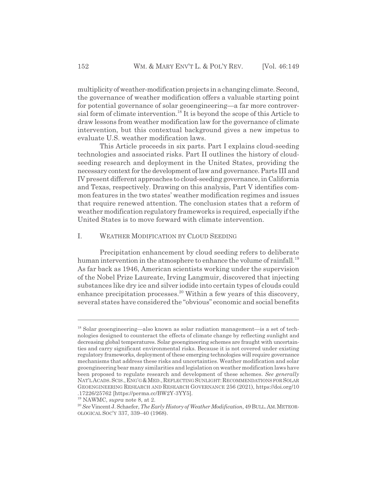multiplicity of weather-modification projects in a changing climate. Second, the governance of weather modification offers a valuable starting point for potential governance of solar geoengineering—a far more controversial form of climate intervention.18 It is beyond the scope of this Article to draw lessons from weather modification law for the governance of climate intervention, but this contextual background gives a new impetus to evaluate U.S. weather modification laws.

This Article proceeds in six parts. Part I explains cloud-seeding technologies and associated risks. Part II outlines the history of cloudseeding research and deployment in the United States, providing the necessary context for the development of law and governance. Parts III and IV present different approaches to cloud-seeding governance, in California and Texas, respectively. Drawing on this analysis, Part V identifies common features in the two states' weather modification regimes and issues that require renewed attention. The conclusion states that a reform of weather modification regulatory frameworks is required, especially if the United States is to move forward with climate intervention.

#### I. WEATHER MODIFICATION BY CLOUD SEEDING

Precipitation enhancement by cloud seeding refers to deliberate human intervention in the atmosphere to enhance the volume of rainfall.<sup>19</sup> As far back as 1946, American scientists working under the supervision of the Nobel Prize Laureate, Irving Langmuir, discovered that injecting substances like dry ice and silver iodide into certain types of clouds could enhance precipitation processes.<sup>20</sup> Within a few years of this discovery, several states have considered the "obvious" economic and social benefits

 $18$  Solar geoengineering—also known as solar radiation management—is a set of technologies designed to counteract the effects of climate change by reflecting sunlight and decreasing global temperatures. Solar geoengineering schemes are fraught with uncertainties and carry significant environmental risks. Because it is not covered under existing regulatory frameworks, deployment of these emerging technologies will require governance mechanisms that address these risks and uncertainties. Weather modification and solar geoengineering bear many similarities and legislation on weather modification laws have been proposed to regulate research and development of these schemes. *See generally* NAT'LACADS.SCIS.,ENG'G&MED.,REFLECTINGSUNLIGHT:RECOMMENDATIONS FOR SOLAR GEOENGINEERING RESEARCH AND RESEARCH GOVERNANCE 256 (2021), https://doi.org/10 .17226/25762 [https://perma.cc/BW2Y-3YY5].

<sup>19</sup> NAWMC, *supra* note 8, at 2.

<sup>20</sup> *See* Vincent J. Schaefer, *The Early History of Weather Modification*, 49 BULL.AM.METEOR-OLOGICAL SOC'Y 337, 339–40 (1968).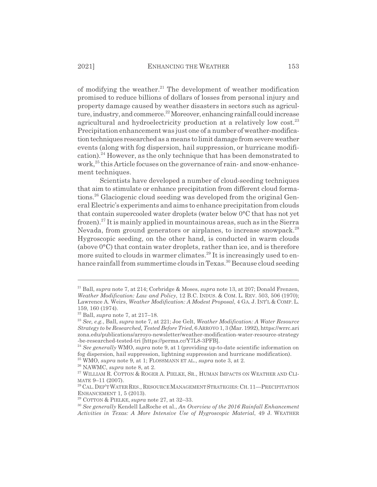of modifying the weather. $^{21}$  The development of weather modification promised to reduce billions of dollars of losses from personal injury and property damage caused by weather disasters in sectors such as agriculture, industry, and commerce.<sup>22</sup> Moreover, enhancing rainfall could increase agricultural and hydroelectricity production at a relatively low cost.<sup>23</sup> Precipitation enhancement was just one of a number of weather-modification techniques researched as a means to limit damage from severe weather events (along with fog dispersion, hail suppression, or hurricane modification).24 However, as the only technique that has been demonstrated to work, $25$  this Article focuses on the governance of rain- and snow-enhancement techniques.

Scientists have developed a number of cloud-seeding techniques that aim to stimulate or enhance precipitation from different cloud formations.26 Glaciogenic cloud seeding was developed from the original General Electric's experiments and aims to enhance precipitation from clouds that contain supercooled water droplets (water below 0°C that has not yet frozen).<sup>27</sup> It is mainly applied in mountainous areas, such as in the Sierra Nevada, from ground generators or airplanes, to increase snowpack.<sup>28</sup> Hygroscopic seeding, on the other hand, is conducted in warm clouds (above 0°C) that contain water droplets, rather than ice, and is therefore more suited to clouds in warmer climates.<sup>29</sup> It is increasingly used to enhance rainfall from summertime clouds in Texas.<sup>30</sup> Because cloud seeding

<sup>21</sup> Ball, *supra* note 7, at 214; Corbridge & Moses, *supra* note 13, at 207; Donald Frenzen, *Weather Modification: Law and Policy*, 12 B.C. INDUS.&COM. L. REV. 503, 506 (1970); Lawrence A. Weirs, *Weather Modification: A Modest Proposal*, 4 GA. J. INT'L & COMP. L. 159, 160 (1974).

<sup>22</sup> Ball, *supra* note 7, at 217–18.

<sup>23</sup> *See, e.g.*, Ball, *supra* note 7, at 221; Joe Gelt, *Weather Modification: A Water Resource Strategy to be Researched, Tested Before Tried*, 6 ARROYO 1, 3 (Mar. 1992), https://wrrc.ari zona.edu/publications/arroyo-newsletter/weather-modification-water-resource-strategy -be-researched-tested-tri [https://perma.cc/Y7L8-3PFB].

<sup>24</sup> *See generally* WMO, *supra* note 9, at 1 (providing up-to-date scientific information on fog dispersion, hail suppression, lightning suppression and hurricane modification). 25 WMO, *supra* note 9, at 1; FLOSSMANN ET AL., *supra* note 3, at 2.

<sup>26</sup> NAWMC, *supra* note 8, at 2.

<sup>&</sup>lt;sup>27</sup> WILLIAM R. COTTON & ROGER A. PIELKE, SR., HUMAN IMPACTS ON WEATHER AND CLI-MATE 9–11 (2007).

<sup>&</sup>lt;sup>28</sup> CAL. DEP'T WATER RES., RESOURCE MANAGEMENT STRATEGIES: CH. 11—PRECIPITATION ENHANCEMENT 1, 5 (2013).

<sup>29</sup> COTTON & PIELKE, *supra* note 27, at 32–33.

<sup>30</sup> *See generally* Kendell LaRoche et al., *An Overview of the 2016 Rainfall Enhancement Activities in Texas: A More Intensive Use of Hygroscopic Material*, 49 J. WEATHER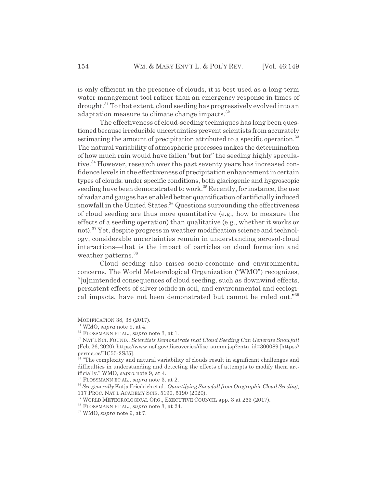is only efficient in the presence of clouds, it is best used as a long-term water management tool rather than an emergency response in times of drought.<sup>31</sup> To that extent, cloud seeding has progressively evolved into an adaptation measure to climate change impacts.<sup>32</sup>

The effectiveness of cloud-seeding techniques has long been questioned because irreducible uncertainties prevent scientists from accurately estimating the amount of precipitation attributed to a specific operation.<sup>33</sup> The natural variability of atmospheric processes makes the determination of how much rain would have fallen "but for" the seeding highly speculative.<sup>34</sup> However, research over the past seventy years has increased confidence levels in the effectiveness of precipitation enhancement in certain types of clouds: under specific conditions, both glaciogenic and hygroscopic seeding have been demonstrated to work.<sup>35</sup> Recently, for instance, the use of radar and gauges has enabled better quantification of artificially induced snowfall in the United States.<sup>36</sup> Questions surrounding the effectiveness of cloud seeding are thus more quantitative (e.g., how to measure the effects of a seeding operation) than qualitative (e.g., whether it works or not).<sup>37</sup> Yet, despite progress in weather modification science and technology, considerable uncertainties remain in understanding aerosol-cloud interactions—that is the impact of particles on cloud formation and weather patterns.<sup>38</sup>

Cloud seeding also raises socio-economic and environmental concerns. The World Meteorological Organization ("WMO") recognizes, "[u]nintended consequences of cloud seeding, such as downwind effects, persistent effects of silver iodide in soil, and environmental and ecological impacts, have not been demonstrated but cannot be ruled out."<sup>39</sup>

MODIFICATION 38, 38 (2017).

<sup>31</sup> WMO, *supra* note 9, at 4.

<sup>32</sup> FLOSSMANN ET AL., *supra* note 3, at 1.

<sup>33</sup> NAT'L SCI. FOUND., *Scientists Demonstrate that Cloud Seeding Can Generate Snowfall* (Feb. 26, 2020), https://www.nsf.gov/discoveries/disc\_summ.jsp?cntn\_id=300089 [https:// perma.cc/HC55-2SJ5].

<sup>&</sup>lt;sup>34</sup> "The complexity and natural variability of clouds result in significant challenges and difficulties in understanding and detecting the effects of attempts to modify them artificially." WMO, *supra* note 9, at 4.

<sup>35</sup> FLOSSMANN ET AL., *supra* note 3, at 2.

<sup>36</sup>*See generally* Katja Friedrich et al., *Quantifying Snowfall from Orographic Cloud Seeding*, 117 PROC. NAT'L ACADEMY SCIS. 5190, 5190 (2020).

<sup>&</sup>lt;sup>37</sup> WORLD METEOROLOGICAL ORG., EXECUTIVE COUNCIL app. 3 at 263 (2017).

<sup>38</sup> FLOSSMANN ET AL., *supra* note 3, at 24.

<sup>39</sup> WMO, *supra* note 9, at 7.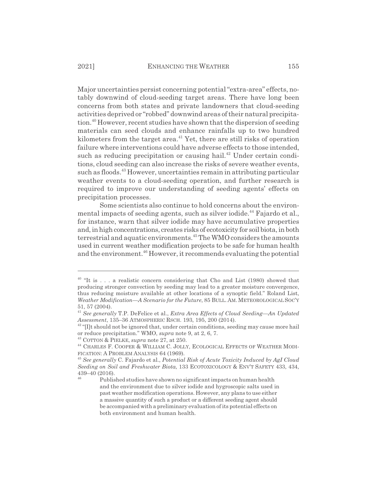Major uncertainties persist concerning potential "extra-area" effects, notably downwind of cloud-seeding target areas. There have long been concerns from both states and private landowners that cloud-seeding activities deprived or "robbed" downwind areas of their natural precipitation.<sup>40</sup> However, recent studies have shown that the dispersion of seeding materials can seed clouds and enhance rainfalls up to two hundred kilometers from the target area.<sup>41</sup> Yet, there are still risks of operation failure where interventions could have adverse effects to those intended, such as reducing precipitation or causing hail.<sup>42</sup> Under certain conditions, cloud seeding can also increase the risks of severe weather events, such as floods.<sup>43</sup> However, uncertainties remain in attributing particular weather events to a cloud-seeding operation, and further research is required to improve our understanding of seeding agents' effects on precipitation processes.

Some scientists also continue to hold concerns about the environmental impacts of seeding agents, such as silver iodide.<sup>44</sup> Fajardo et al., for instance, warn that silver iodide may have accumulative properties and, in high concentrations, creates risks of ecotoxicity for soil biota, in both terrestrial and aquatic environments.<sup>45</sup> The WMO considers the amounts used in current weather modification projects to be safe for human health and the environment.<sup>46</sup> However, it recommends evaluating the potential

 $40$  "It is ... a realistic concern considering that Cho and List (1980) showed that producing stronger convection by seeding may lead to a greater moisture convergence, thus reducing moisture available at other locations of a synoptic field." Roland List, *Weather Modification—A Scenario for the Future*, 85 BULL. AM. METEOROLOGICAL SOC'Y 51, 57 (2004).

<sup>41</sup> *See generally* T.P. DeFelice et al., *Extra Area Effects of Cloud Seeding—An Updated Assessment*, 135–36 ATMOSPHERIC RSCH. 193, 195, 200 (2014).

<sup>&</sup>lt;sup>42</sup> "[I]t should not be ignored that, under certain conditions, seeding may cause more hail or reduce precipitation." WMO, *supra* note 9, at 2, 6, 7.

<sup>43</sup> COTTON & PIELKE, *supra* note 27, at 250.

<sup>44</sup> CHARLES F. COOPER & WILLIAM C. JOLLY, ECOLOGICAL EFFECTS OF WEATHER MODI-FICATION: A PROBLEM ANALYSIS 64 (1969).

<sup>45</sup> *See generally* C. Fajardo et al., *Potential Risk of Acute Toxicity Induced by AgI Cloud Seeding on Soil and Freshwater Biota*, 133 ECOTOXICOLOGY & ENV'T SAFETY 433, 434,  $439-40$  (2016).

Published studies have shown no significant impacts on human health and the environment due to silver iodide and hygroscopic salts used in past weather modification operations. However, any plans to use either a massive quantity of such a product or a different seeding agent should be accompanied with a preliminary evaluation of its potential effects on both environment and human health.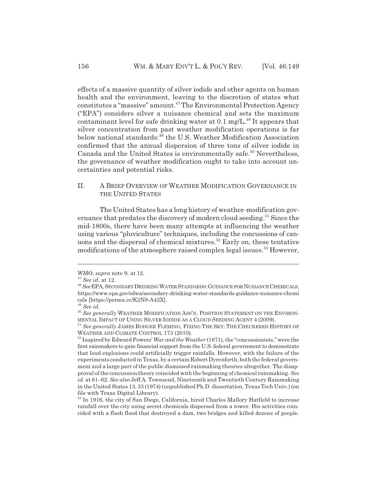effects of a massive quantity of silver iodide and other agents on human health and the environment, leaving to the discretion of states what constitutes a "massive" amount.47 The Environmental Protection Agency ("EPA") considers silver a nuisance chemical and sets the maximum contaminant level for safe drinking water at  $0.1 \text{ mg/L}^{48}$  It appears that silver concentration from past weather modification operations is far below national standards:<sup>49</sup> the U.S. Weather Modification Association confirmed that the annual dispersion of three tons of silver iodide in Canada and the United States is environmentally safe.<sup>50</sup> Nevertheless, the governance of weather modification ought to take into account uncertainties and potential risks.

# II. A BRIEF OVERVIEW OF WEATHER MODIFICATION GOVERNANCE IN THE UNITED STATES

The United States has a long history of weather-modification governance that predates the discovery of modern cloud seeding.<sup>51</sup> Since the mid-1800s, there have been many attempts at influencing the weather using various "pluviculture" techniques, including the concussions of cannons and the dispersal of chemical mixtures.<sup>52</sup> Early on, these tentative modifications of the atmosphere raised complex legal issues.<sup>53</sup> However,

WMO, *supra* note 9, at 12.

<sup>47</sup> *See id.* at 12.

<sup>48</sup> *See*EPA,SECONDARY DRINKINGWATERSTANDARDS:GUIDANCE FOR NUISANCECHEMICALS, https://www.epa.gov/sdwa/secondary-drinking-water-standards-guidance-nuisance-chemi cals [https://perma.cc/K2N8-A42X].

<sup>49</sup> *See id.*

<sup>&</sup>lt;sup>50</sup> See generally WEATHER MODIFICATION ASS'N, POSITION STATEMENT ON THE ENVIRON-MENTAL IMPACT OF USING SILVER IODIDE AS A CLOUD SEEDING AGENT 4 (2009).

<sup>51</sup> *See generally* JAMES RODGER FLEMING, FIXING THE SKY: THE CHECKERED HISTORY OF WEATHER AND CLIMATE CONTROL 173 (2010).

<sup>&</sup>lt;sup>52</sup> Inspired by Edward Powers' *War and the Weather* (1871), the "concussionists," were the first rainmakers to gain financial support from the U.S. federal government to demonstrate that loud explosions could artificially trigger rainfalls. However, with the failure of the experiments conducted in Texas, by a certain Robert Dyrenforth, both the federal government and a large part of the public dismissed rainmaking theories altogether. The disapproval of the concussion theory coincided with the beginning of chemical rainmaking. *See id.* at 61–62. *See also* Jeff A. Townsend, Nineteenth and Twentieth Century Rainmaking in the United States 13, 33 (1974) (unpublished Ph.D. dissertation, Texas Tech Univ.) (on file with Texas Digital Library).

<sup>&</sup>lt;sup>53</sup> In 1916, the city of San Diego, California, hired Charles Mallory Hatfield to increase rainfall over the city using secret chemicals dispersed from a tower. His activities coincided with a flash flood that destroyed a dam, two bridges and killed dozens of people.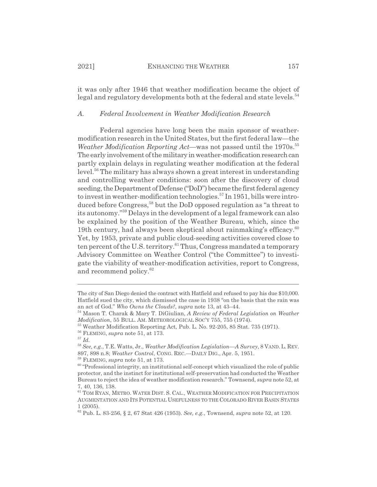it was only after 1946 that weather modification became the object of legal and regulatory developments both at the federal and state levels.<sup>54</sup>

#### *A. Federal Involvement in Weather Modification Research*

Federal agencies have long been the main sponsor of weathermodification research in the United States, but the first federal law—the *Weather Modification Reporting Act—was not passed until the 1970s.*<sup>55</sup> The early involvement of the military in weather-modification research can partly explain delays in regulating weather modification at the federal level.56 The military has always shown a great interest in understanding and controlling weather conditions: soon after the discovery of cloud seeding, the Department of Defense ("DoD") became the first federal agency to invest in weather-modification technologies.<sup>57</sup> In 1951, bills were introduced before Congress,<sup>58</sup> but the DoD opposed regulation as "a threat to its autonomy."59 Delays in the development of a legal framework can also be explained by the position of the Weather Bureau, which, since the 19th century, had always been skeptical about rainmaking's efficacy. $60$ Yet, by 1953, private and public cloud-seeding activities covered close to ten percent of the U.S. territory.<sup>61</sup> Thus, Congress mandated a temporary Advisory Committee on Weather Control ("the Committee") to investigate the viability of weather-modification activities, report to Congress, and recommend policy.<sup>62</sup>

<sup>57</sup> *Id.*

The city of San Diego denied the contract with Hatfield and refused to pay his due \$10,000. Hatfield sued the city, which dismissed the case in 1938 "on the basis that the rain was an act of God." *Who Owns the Clouds?*, *supra* note 13, at 43–44.

<sup>54</sup> Mason T. Charak & Mary T. DiGiulian, *A Review of Federal Legislation on Weather Modification*, 55 BULL. AM. METEOROLOGICAL SOC'Y 755, 755 (1974).

<sup>55</sup> Weather Modification Reporting Act, Pub. L. No. 92-205, 85 Stat. 735 (1971).

<sup>56</sup> FLEMING, *supra* note 51, at 173.

<sup>58</sup> *See, e.g.*, T.E. Watts, Jr., *Weather Modification Legislation—A Survey*, 8 VAND. L. REV. 897, 898 n.8; *Weather Control*, CONG. REC.—DAILY DIG., Apr. 5, 1951.

<sup>59</sup> FLEMING, *supra* note 51, at 173.

 $60$  "Professional integrity, an institutional self-concept which visualized the role of public protector, and the instinct for institutional self-preservation had conducted the Weather Bureau to reject the idea of weather modification research." Townsend, *supra* note 52, at 7, 40, 136, 138.

 $^{61}$  TOM RYAN, METRO. WATER DIST. S. CAL., WEATHER MODIFICATION FOR PRECIPITATION AUGMENTATION AND ITS POTENTIAL USEFULNESS TO THE COLORADO RIVER BASIN STATES 1 (2005).

<sup>62</sup> Pub. L. 83-256, § 2, 67 Stat 426 (1953). *See, e.g.*, Townsend, *supra* note 52, at 120.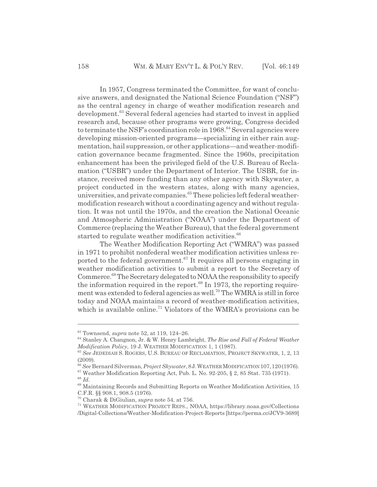In 1957, Congress terminated the Committee, for want of conclusive answers, and designated the National Science Foundation ("NSF") as the central agency in charge of weather modification research and development.63 Several federal agencies had started to invest in applied research and, because other programs were growing, Congress decided to terminate the NSF's coordination role in 1968.<sup>64</sup> Several agencies were developing mission-oriented programs—specializing in either rain augmentation, hail suppression, or other applications—and weather-modification governance became fragmented. Since the 1960s, precipitation enhancement has been the privileged field of the U.S. Bureau of Reclamation ("USBR") under the Department of Interior. The USBR, for instance, received more funding than any other agency with Skywater, a project conducted in the western states, along with many agencies, universities, and private companies.<sup>65</sup> These policies left federal weathermodification research without a coordinating agency and without regulation. It was not until the 1970s, and the creation the National Oceanic and Atmospheric Administration ("NOAA") under the Department of Commerce (replacing the Weather Bureau), that the federal government started to regulate weather modification activities.<sup>66</sup>

The Weather Modification Reporting Act ("WMRA") was passed in 1971 to prohibit nonfederal weather modification activities unless reported to the federal government.<sup>67</sup> It requires all persons engaging in weather modification activities to submit a report to the Secretary of Commerce.68 The Secretary delegated to NOAA the responsibility to specify the information required in the report. $69$  In 1973, the reporting requirement was extended to federal agencies as well.<sup>70</sup> The WMRA is still in force today and NOAA maintains a record of weather-modification activities, which is available online.<sup>71</sup> Violators of the WMRA's provisions can be

<sup>63</sup> Townsend, *supra* note 52, at 119, 124–26.

<sup>64</sup> Stanley A. Changnon, Jr. & W. Henry Lambright, *The Rise and Fall of Federal Weather Modification Policy*, 19 J. WEATHER MODIFICATION 1, 1 (1987).

<sup>65</sup> *See* JEDEDIAH S. ROGERS, U.S. BUREAU OF RECLAMATION, PROJECT SKYWATER, 1, 2, 13 (2009).

<sup>66</sup> *See* Bernard Silverman, *Project Skywater*,8J.WEATHERMODIFICATION 107,120(1976).

 $67$  Weather Modification Reporting Act, Pub. L. No. 92-205, § 2, 85 Stat. 735 (1971). <sup>68</sup> *Id.*

<sup>69</sup> Maintaining Records and Submitting Reports on Weather Modification Activities, 15 C.F.R. §§ 908.1, 908.5 (1976).

<sup>70</sup> Charak & DiGiulian, *supra* note 54, at 756.

<sup>71</sup> WEATHER MODIFICATION PROJECT REPS., NOAA, https://library.noaa.gov/Collections /Digital-Collections/Weather-Modification-Project-Reports [https://perma.cc/JCV9-3689]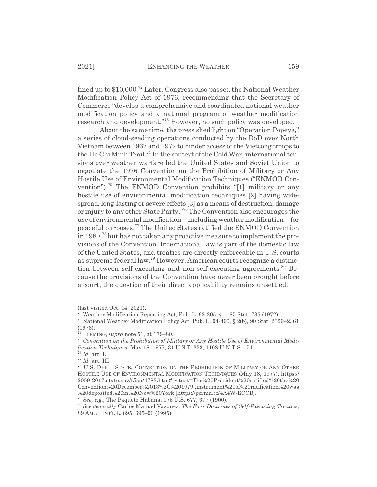fined up to \$10,000.72 Later, Congress also passed the National Weather Modification Policy Act of 1976, recommending that the Secretary of Commerce "develop a comprehensive and coordinated national weather modification policy and a national program of weather modification research and development."<sup>73</sup> However, no such policy was developed.

About the same time, the press shed light on "Operation Popeye," a series of cloud-seeding operations conducted by the DoD over North Vietnam between 1967 and 1972 to hinder access of the Vietcong troops to the Ho Chi Minh Trail.<sup>74</sup> In the context of the Cold War, international tensions over weather warfare led the United States and Soviet Union to negotiate the 1976 Convention on the Prohibition of Military or Any Hostile Use of Environmental Modification Techniques ("ENMOD Convention").75 The ENMOD Convention prohibits "[1] military or any hostile use of environmental modification techniques [2] having widespread, long-lasting or severe effects [3] as a means of destruction, damage or injury to any other State Party."76 The Convention also encourages the use of environmental modification—including weather modification—for peaceful purposes.77 The United States ratified the ENMOD Convention in 1980,78 but has not taken any proactive measure to implement the provisions of the Convention. International law is part of the domestic law of the United States, and treaties are directly enforceable in U.S. courts as supreme federal law.79 However, American courts recognize a distinction between self-executing and non-self-executing agreements.<sup>80</sup> Because the provisions of the Convention have never been brought before a court, the question of their direct applicability remains unsettled.

<sup>(</sup>last visited Oct. 14, 2021).

 $\frac{72}{12}$  Weather Modification Reporting Act, Pub. L. 92-205, § 1, 85 Stat. 735 (1972).

<sup>73</sup> National Weather Modification Policy Act, Pub. L. 94-490, § 2(b), 90 Stat. 2359–2361 (1976).

<sup>74</sup> FLEMING, *supra* note 51, at 179–80.

<sup>75</sup> *Convention on the Prohibition of Military or Any Hostile Use of Environmental Modification Techniques*, May 18, 1977, 31 U.S.T. 333, 1108 U.N.T.S. 151.

<sup>76</sup> *Id.* art. I.

<sup>77</sup> *Id.* art. III.

<sup>78</sup> U.S. DEP'T. STATE, CONVENTION ON THE PROHIBITION OF MILITARY OR ANY OTHER HOSTILE USE OF ENVIRONMENTAL MODIFICATION TECHNIQUES (May 18, 1977), https:// 2009-2017.state.gov/t/isn/4783.htm#:~:text=The%20President%20ratified%20the%20 Convention%20December%2013%2C%201979.,instrument%20of%20ratification%20was %20deposited%20in%20New%20York [https://perma.cc/4A4W-ECCB].

<sup>79</sup> *See, e.g.*, The Paquete Habana, 175 U.S. 677, 677 (1900).

<sup>80</sup> *See generally* Carlos Manuel Vazquez, *The Four Doctrines of Self-Executing Treaties*, 89 AM. J. INT'L L. 695, 695–96 (1995).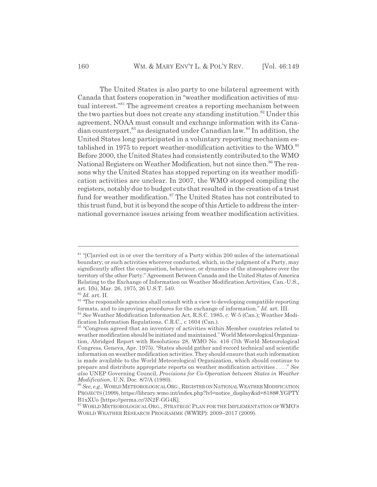The United States is also party to one bilateral agreement with Canada that fosters cooperation in "weather modification activities of mutual interest."<sup>81</sup> The agreement creates a reporting mechanism between the two parties but does not create any standing institution.<sup>82</sup> Under this agreement, NOAA must consult and exchange information with its Canadian counterpart,  $83$  as designated under Canadian law.  $84$  In addition, the United States long participated in a voluntary reporting mechanism established in 1975 to report weather-modification activities to the WMO.<sup>85</sup> Before 2000, the United States had consistently contributed to the WMO National Registers on Weather Modification, but not since then.<sup>86</sup> The reasons why the United States has stopped reporting on its weather modification activities are unclear. In 2007, the WMO stopped compiling the registers, notably due to budget cuts that resulted in the creation of a trust fund for weather modification.<sup>87</sup> The United States has not contributed to this trust fund, but it is beyond the scope of this Article to address the international governance issues arising from weather modification activities.

 $81$  "[C]arried out in or over the territory of a Party within 200 miles of the international boundary; or such activities wherever conducted, which, in the judgment of a Party, may significantly affect the composition, behaviour, or dynamics of the atmosphere over the territory of the other Party." Agreement Between Canada and the United States of America Relating to the Exchange of Information on Weather Modification Activities, Can.-U.S., art. I(b), Mar. 26, 1975, 26 U.S.T. 540.

<sup>82</sup> *Id.* art. II.

<sup>&</sup>lt;sup>83</sup> The responsible agencies shall consult with a view to developing compatible reporting formats, and to improving procedures for the exchange of information." *Id.* art. III.

<sup>84</sup> *See* Weather Modification Information Act, R.S.C. 1985, c. W-5 (Can.); Weather Modification Information Regulations, C.R.C., c 1604 (Can.).

<sup>&</sup>lt;sup>85</sup> "Congress agreed that an inventory of activities within Member countries related to weather modification should be initiated and maintained." World Meteorological Organization, Abridged Report with Resolutions 28, WMO No. 416 (7th World Meteorological Congress, Geneva, Apr. 1975). "States should gather and record technical and scientific information on weather modification activities. They should ensure that such information is made available to the World Meteorological Organization, which should continue to prepare and distribute appropriate reports on weather modification activities . . . ." *See also* UNEP Governing Council, *Provisions for Co-Operation between States in Weather Modification*, U.N. Doc. 8/7/A (1980).

<sup>86</sup> *See, e.g.*, WORLDMETEOROLOGICALORG., REGISTER ON NATIONALWEATHERMODIFICATION PROJECTS (1999), https://library.wmo.int/index.php?lvl=notice\_display&id=8188#.YGPTY B1xXUo [https://perma.cc/3N2F-GG4K].

<sup>&</sup>lt;sup>87</sup> WORLD METEOROLOGICAL ORG., STRATEGIC PLAN FOR THE IMPLEMENTATION OF WMO'S WORLD WEATHER RESEARCH PROGRAMME (WWRP): 2009–2017 (2009).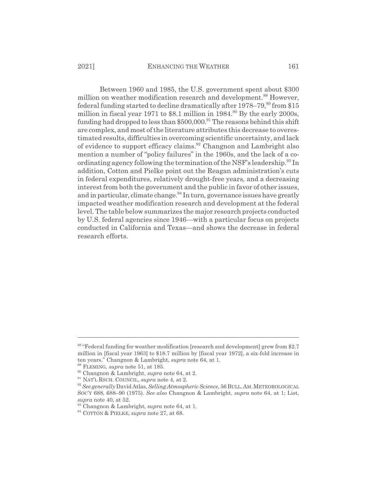Between 1960 and 1985, the U.S. government spent about \$300 million on weather modification research and development.<sup>88</sup> However, federal funding started to decline dramatically after  $1978-79$ ,  $89$  from \$15 million in fiscal year 1971 to \$8.1 million in  $1984$ .<sup>90</sup> By the early 2000s, funding had dropped to less than  $$500,000.<sup>91</sup>$  The reasons behind this shift are complex, and most of the literature attributes this decrease to overestimated results, difficulties in overcoming scientific uncertainty, and lack of evidence to support efficacy claims.92 Changnon and Lambright also mention a number of "policy failures" in the 1960s, and the lack of a coordinating agency following the termination of the NSF's leadership.<sup>93</sup> In addition, Cotton and Pielke point out the Reagan administration's cuts in federal expenditures, relatively drought-free years, and a decreasing interest from both the government and the public in favor of other issues, and in particular, climate change.<sup>94</sup> In turn, governance issues have greatly impacted weather modification research and development at the federal level. The table below summarizes the major research projects conducted by U.S. federal agencies since 1946—with a particular focus on projects conducted in California and Texas—and shows the decrease in federal research efforts.

<sup>&</sup>lt;sup>88</sup> "Federal funding for weather modification [research and development] grew from \$2.7 million in [fiscal year 1963] to \$18.7 million by [fiscal year 1972], a six-fold increase in ten years." Changnon & Lambright, *supra* note 64, at 1.

<sup>89</sup> FLEMING, *supra* note 51, at 185.

<sup>90</sup> Changnon & Lambright, *supra* note 64, at 2.

<sup>91</sup> NAT'L RSCH. COUNCIL, *supra* note 4, at 2.

<sup>92</sup> *See generally* David Atlas, *Selling Atmospheric Science*, 56 BULL.AM.METEOROLOGICAL SOC'Y 688, 688–90 (1975). *See also* Changnon & Lambright, *supra* note 64, at 1; List, *supra* note 40, at 52.

<sup>93</sup> Changnon & Lambright, *supra* note 64, at 1.

<sup>94</sup> COTTON & PIELKE, *supra* note 27, at 68.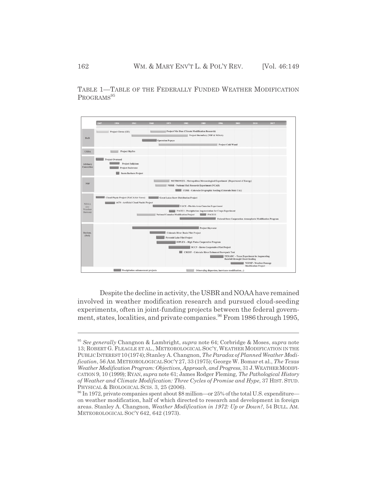TABLE 1—TABLE OF THE FEDERALLY FUNDED WEATHER MODIFICATION PROGRAMS<sup>95</sup>



Despite the decline in activity, the USBR and NOAA have remained involved in weather modification research and pursued cloud-seeding experiments, often in joint-funding projects between the federal government, states, localities, and private companies.<sup>96</sup> From 1986 through 1995,

<sup>95</sup> *See generally* Changnon & Lambright, *supra* note 64; Corbridge & Moses, *supra* note 13; ROBERT G. FLEAGLE ET AL., METEOROLOGICAL SOC'Y, WEATHER MODIFICATION IN THE PUBLIC INTEREST 10(1974); Stanley A. Changnon, *The Paradox of Planned Weather Modification*, 56 AM.METEOROLOGICALSOC'Y 27, 33 (1975); George W. Bomar et al., *The Texas Weather Modification Program: Objectives, Approach, and Progress*, 31 J.WEATHERMODIFI-CATION 9, 10 (1999); RYAN, *supra* note 61; James Rodger Fleming, *The Pathological History of Weather and Climate Modification: Three Cycles of Promise and Hype*, 37 HIST. STUD. PHYSICAL & BIOLOGICAL SCIS. 3, 25 (2006).

<sup>96</sup> In 1972, private companies spent about \$8 million—or 25% of the total U.S. expenditure on weather modification, half of which directed to research and development in foreign areas. Stanley A. Changnon, *Weather Modification in 1972: Up or Down?*, 54 BULL. AM. METEOROLOGICAL SOC'Y 642, 642 (1973).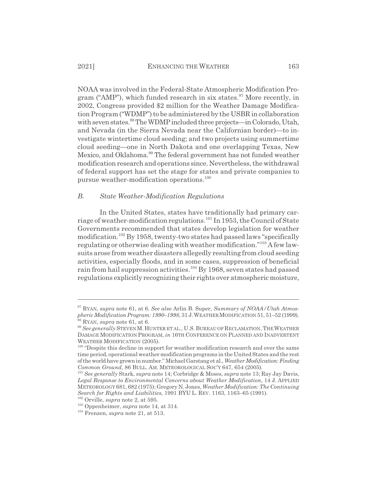NOAA was involved in the Federal-State Atmospheric Modification Program ("AMP"), which funded research in six states.<sup>97</sup> More recently, in 2002, Congress provided \$2 million for the Weather Damage Modification Program ("WDMP") to be administered by the USBR in collaboration with seven states.<sup>98</sup> The WDMP included three projects—in Colorado, Utah, and Nevada (in the Sierra Nevada near the Californian border)—to investigate wintertime cloud seeding; and two projects using summertime cloud seeding—one in North Dakota and one overlapping Texas, New Mexico, and Oklahoma.<sup>99</sup> The federal government has not funded weather modification research and operations since. Nevertheless, the withdrawal of federal support has set the stage for states and private companies to pursue weather-modification operations.<sup>100</sup>

#### *B. State Weather-Modification Regulations*

In the United States, states have traditionally had primary carriage of weather-modification regulations.<sup>101</sup> In 1953, the Council of State Governments recommended that states develop legislation for weather modification.102 By 1958, twenty-two states had passed laws "specifically regulating or otherwise dealing with weather modification."103 A few lawsuits arose from weather disasters allegedly resulting from cloud seeding activities, especially floods, and in some cases, suppression of beneficial rain from hail suppression activities.104 By 1968, seven states had passed regulations explicitly recognizing their rights over atmospheric moisture,

<sup>97</sup> RYAN, *supra* note 61, at 6. *See also* Arlin B. Super, *Summary of NOAA/Utah Atmospheric Modification Program: 1990–1998*, 31 J.WEATHERMODIFICATION 51, 51–52 (1999).  $8$  RYAN, *supra* note 61, at 6.

<sup>99</sup> *See generally* STEVENM.HUNTER ET AL., U.S. BUREAU OF RECLAMATION, THEWEATHER DAMAGE MODIFICATION PROGRAM, *in* 16TH CONFERENCE ON PLANNED AND INADVERTENT WEATHER MODIFICATION (2005).

<sup>&</sup>lt;sup>100</sup> "Despite this decline in support for weather modification research and over the same time period, operational weather modification programs in the United States and the rest of the world have grown in number." Michael Garstang et al., *Weather Modification: Finding Common Ground*, 86 BULL. AM. METEOROLOGICAL SOC'Y 647, 654 (2005).

<sup>101</sup> *See generally* Stark, *supra* note 14; Corbridge & Moses, *supra* note 13; Ray Jay Davis, *Legal Response to Environmental Concerns about Weather Modification*, 14 J. APPLIED METEOROLOGY 681, 682 (1975); Gregory N. Jones, *Weather Modification: The Continuing Search for Rights and Liabilities*, 1991 BYU L. REV. 1163, 1163–65 (1991).

<sup>102</sup> Orville, *supra* note 2, at 595.

<sup>103</sup> Oppenheimer, *supra* note 14, at 314.

<sup>104</sup> Frenzen, *supra* note 21, at 513.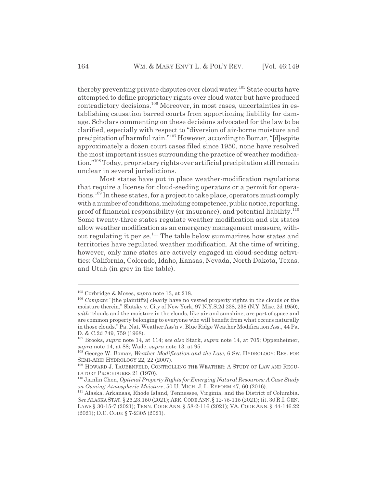thereby preventing private disputes over cloud water.<sup>105</sup> State courts have attempted to define proprietary rights over cloud water but have produced contradictory decisions.<sup>106</sup> Moreover, in most cases, uncertainties in establishing causation barred courts from apportioning liability for damage. Scholars commenting on these decisions advocated for the law to be clarified, especially with respect to "diversion of air-borne moisture and precipitation of harmful rain."107 However, according to Bomar, "[d]espite approximately a dozen court cases filed since 1950, none have resolved the most important issues surrounding the practice of weather modification."108 Today, proprietary rights over artificial precipitation still remain unclear in several jurisdictions.

Most states have put in place weather-modification regulations that require a license for cloud-seeding operators or a permit for operations.<sup>109</sup> In these states, for a project to take place, operators must comply with a number of conditions, including competence, public notice, reporting, proof of financial responsibility (or insurance), and potential liability.<sup>110</sup> Some twenty-three states regulate weather modification and six states allow weather modification as an emergency management measure, without regulating it per se.<sup>111</sup> The table below summarizes how states and territories have regulated weather modification. At the time of writing, however, only nine states are actively engaged in cloud-seeding activities: California, Colorado, Idaho, Kansas, Nevada, North Dakota, Texas, and Utah (in grey in the table).

<sup>105</sup> Corbridge & Moses, *supra* note 13, at 218.

<sup>&</sup>lt;sup>106</sup> Compare "[the plaintiffs] clearly have no vested property rights in the clouds or the moisture therein." Slutsky v. City of New York, 97 N.Y.S.2d 238, 238 (N.Y. Misc. 2d 1950), *with* "clouds and the moisture in the clouds, like air and sunshine, are part of space and are common property belonging to everyone who will benefit from what occurs naturally in those clouds." Pa. Nat. Weather Ass'n v. Blue Ridge Weather Modification Ass., 44 Pa. D. & C.2d 749, 759 (1968).

<sup>107</sup> Brooks, *supra* note 14, at 114; *see also* Stark, *supra* note 14, at 705; Oppenheimer, *supra* note 14, at 88; Wade, *supra* note 13, at 95.

<sup>108</sup> George W. Bomar, *Weather Modification and the Law*, 6 SW. HYDROLOGY: RES. FOR SEMI-ARID HYDROLOGY 22, 22 (2007).

<sup>&</sup>lt;sup>109</sup> HOWARD J. TAUBENFELD, CONTROLLING THE WEATHER: A STUDY OF LAW AND REGU-LATORY PROCEDURES 21 (1970).

<sup>110</sup> Jianlin Chen, *Optimal Property Rights for Emerging Natural Resources: A Case Study on Owning Atmospheric Moisture*, 50 U. MICH. J. L. REFORM 47, 60 (2016).

<sup>111</sup> Alaska, Arkansas, Rhode Island, Tennessee, Virginia, and the District of Columbia. *See* ALASKA STAT.§ 26.23.150 (2021); ARK.CODE ANN.§ 12-75-115 (2021); tit. 30 R.I.GEN. LAWS § 30-15-7 (2021); TENN. CODE ANN. § 58-2-116 (2021); VA. CODE ANN. § 44-146.22 (2021); D.C. CODE § 7-2305 (2021).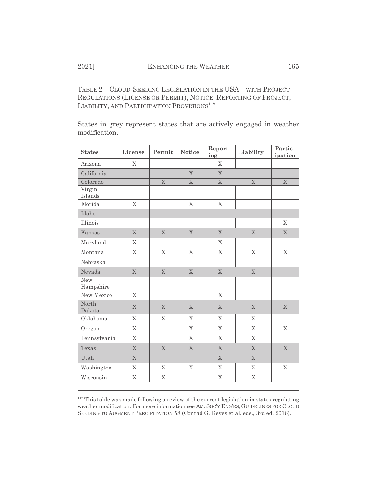TABLE 2—CLOUD-SEEDING LEGISLATION IN THE USA—WITH PROJECT REGULATIONS (LICENSE OR PERMIT), NOTICE, REPORTING OF PROJECT, LIABILITY, AND PARTICIPATION PROVISIONS<sup>112</sup>

States in grey represent states that are actively engaged in weather modification.

| <b>States</b>     | License        | Permit         | <b>Notice</b>  | Report-<br>ing          | Liability   | Partic-<br>ipation      |
|-------------------|----------------|----------------|----------------|-------------------------|-------------|-------------------------|
| Arizona           | X              |                |                | $\mathbf X$             |             |                         |
| California        |                |                | $\mathbf X$    | $\overline{X}$          |             |                         |
| Colorado          |                | $\overline{X}$ | $\mathbf X$    | $\overline{\mathbf{X}}$ | $\mathbf X$ | $\overline{\mathbf{X}}$ |
| Virgin<br>Islands |                |                |                |                         |             |                         |
| Florida           | X              |                | $\mathbf X$    | $\mathbf X$             |             |                         |
| Idaho             |                |                |                |                         |             |                         |
| Illinois          |                |                |                |                         |             | X                       |
| Kansas            | $\mathbf X$    | $\mathbf X$    | X              | $\mathbf X$             | $\mathbf X$ | $\mathbf X$             |
| Maryland          | $\mathbf{X}$   |                |                | X                       |             |                         |
| Montana           | X              | X              | X              | X                       | X           | X                       |
| Nebraska          |                |                |                |                         |             |                         |
| Nevada            | $\mathbf X$    | $\mathbf X$    | X              | $\mathbf X$             | X           |                         |
| New<br>Hampshire  |                |                |                |                         |             |                         |
| New Mexico        | $\mathbf X$    |                |                | $\mathbf X$             |             |                         |
| North<br>Dakota   | X              | X              | X              | X                       | X           | $\mathbf X$             |
| Oklahoma          | X              | X              | X              | $\mathbf X$             | X           |                         |
| Oregon            | X              |                | X              | X                       | X           | X                       |
| Pennsylvania      | X              |                | X              | X                       | X           |                         |
| Texas             | X              | $\overline{X}$ | $\overline{X}$ | X                       | X           | $\overline{X}$          |
| Utah              | X              |                |                | X                       | X           |                         |
| Washington        | X              | $\mathbf X$    | $\mathbf X$    | $\mathbf X$             | X           | $\mathbf X$             |
| Wisconsin         | $\overline{X}$ | $\mathbf X$    |                | $\mathbf X$             | $\mathbf X$ |                         |

<sup>&</sup>lt;sup>112</sup> This table was made following a review of the current legislation in states regulating weather modification. For more information see AM. SOC'Y ENG'RS, GUIDELINES FOR CLOUD SEEDING TO AUGMENT PRECIPITATION 58 (Conrad G. Keyes et al. eds., 3rd ed. 2016).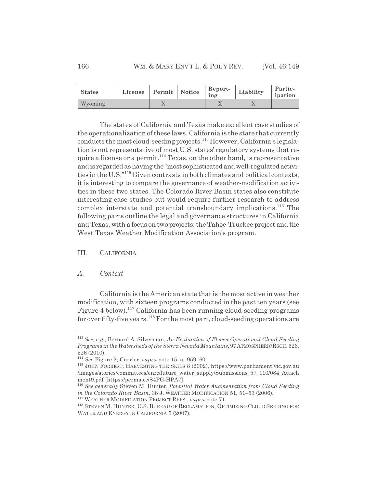| <b>States</b> | License Permit Notice |    | Report-<br>ing | Liability | Partic-<br>ipation |
|---------------|-----------------------|----|----------------|-----------|--------------------|
| Wyoming       |                       | ∡⊾ |                |           |                    |

The states of California and Texas make excellent case studies of the operationalization of these laws. California is the state that currently conducts the most cloud-seeding projects.<sup>113</sup> However, California's legislation is not representative of most U.S. states' regulatory systems that require a license or a permit.114 Texas, on the other hand, is representative and is regarded as having the "most sophisticated and well-regulated activities in the U.S."115 Given contrasts in both climates and political contexts, it is interesting to compare the governance of weather-modification activities in these two states. The Colorado River Basin states also constitute interesting case studies but would require further research to address complex interstate and potential transboundary implications.<sup>116</sup> The following parts outline the legal and governance structures in California and Texas, with a focus on two projects: the Tahoe-Truckee project and the West Texas Weather Modification Association's program.

# III. CALIFORNIA

#### *A. Context*

California is the American state that is the most active in weather modification, with sixteen programs conducted in the past ten years (see Figure 4 below).<sup>117</sup> California has been running cloud-seeding programs for over fifty-five years.<sup>118</sup> For the most part, cloud-seeding operations are

<sup>113</sup> *See, e.g.*, Bernard A. Silverman, *An Evaluation of Eleven Operational Cloud Seeding Programs in the Watersheds of the Sierra Nevada Mountains*,97ATMOSPHERICRSCH. 526, 526 (2010).

<sup>114</sup> *See* Figure 2; Currier, *supra* note 15, at 959–60.

<sup>115</sup> JOHN FORREST, HARVESTING THE SKIES 8 (2002), https://www.parliament.vic.gov.au /images/stories/committees/enrc/future\_water\_supply/Submissions\_57\_110/084\_Attach ment9.pdf [https://perma.cc/S4PG-HPA7].

<sup>116</sup> *See generally* Steven M. Hunter, *Potential Water Augmentation from Cloud Seeding in the Colorado River Basin*, 38 J. WEATHER MODIFICATION 51, 51–53 (2006).

<sup>117</sup> WEATHER MODIFICATION PROJECT REPS., *supra* note 71.

<sup>118</sup> STEVEN M. HUNTER, U.S. BUREAU OF RECLAMATION, OPTIMIZING CLOUD SEEDING FOR WATER AND ENERGY IN CALIFORNIA 5 (2007).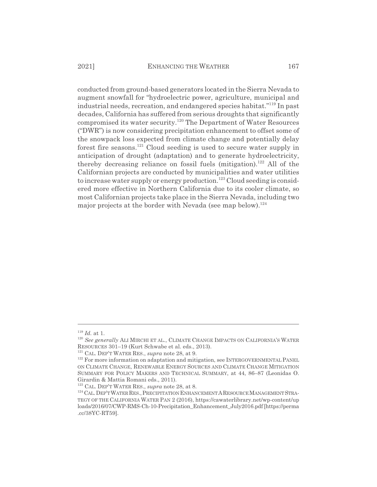conducted from ground-based generators located in the Sierra Nevada to augment snowfall for "hydroelectric power, agriculture, municipal and industrial needs, recreation, and endangered species habitat."119 In past decades, California has suffered from serious droughts that significantly compromised its water security.120 The Department of Water Resources ("DWR") is now considering precipitation enhancement to offset some of the snowpack loss expected from climate change and potentially delay forest fire seasons.<sup>121</sup> Cloud seeding is used to secure water supply in anticipation of drought (adaptation) and to generate hydroelectricity, thereby decreasing reliance on fossil fuels (mitigation).<sup>122</sup> All of the Californian projects are conducted by municipalities and water utilities to increase water supply or energy production.<sup>123</sup> Cloud seeding is considered more effective in Northern California due to its cooler climate, so most Californian projects take place in the Sierra Nevada, including two major projects at the border with Nevada (see map below).<sup>124</sup>

<sup>119</sup> *Id.* at 1.

<sup>&</sup>lt;sup>120</sup> See generally ALI MIRCHI ET AL., CLIMATE CHANGE IMPACTS ON CALIFORNIA'S WATER RESOURCES 301–19 (Kurt Schwabe et al. eds., 2013).

<sup>121</sup> CAL. DEP'T WATER RES., *supra* note 28, at 9.

<sup>&</sup>lt;sup>122</sup> For more information on adaptation and mitigation, see INTERGOVERNMENTAL PANEL ON CLIMATE CHANGE, RENEWABLE ENERGY SOURCES AND CLIMATE CHANGE MITIGATION SUMMARY FOR POLICY MAKERS AND TECHNICAL SUMMARY, at 44, 86–87 (Leonidas O. Girardin & Mattia Romani eds., 2011).

<sup>123</sup> CAL. DEP'T WATER RES., *supra* note 28, at 8.

<sup>&</sup>lt;sup>124</sup> CAL. DEP'T WATER RES., PRECIPITATION ENHANCEMENT A RESOURCE MANAGEMENT STRA-TEGY OF THE CALIFORNIA WATER PAN 2 (2016), https://cawaterlibrary.net/wp-content/up loads/2016/07/CWP-RMS-Ch-10-Precipitation\_Enhancement\_July2016.pdf [https://perma .cc/38YC-RT59].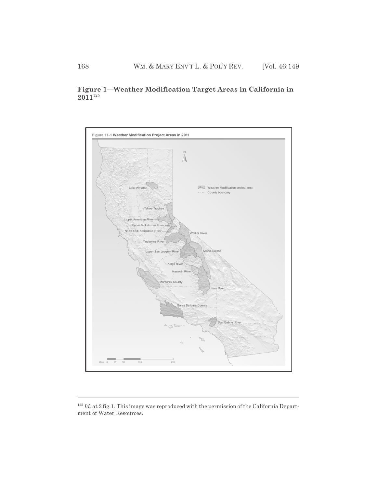# **Figure 1—Weather Modification Target Areas in California in 2011**<sup>125</sup>



<sup>&</sup>lt;sup>125</sup> *Id.* at 2 fig.1. This image was reproduced with the permission of the California Department of Water Resources.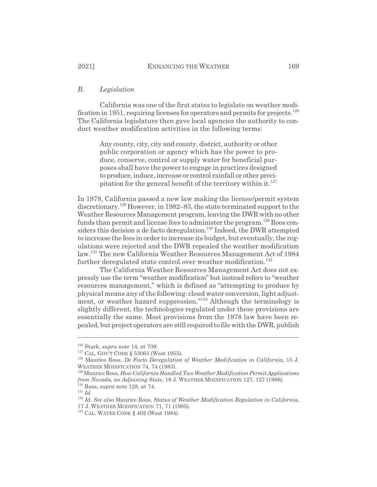#### *B. Legislation*

California was one of the first states to legislate on weather modification in 1951, requiring licenses for operators and permits for projects.<sup>126</sup> The California legislature then gave local agencies the authority to conduct weather modification activities in the following terms:

> Any county, city, city and county, district, authority or other public corporation or agency which has the power to produce, conserve, control or supply water for beneficial purposes shall have the power to engage in practices designed to produce, induce, increase or control rainfall or other precipitation for the general benefit of the territory within it.<sup>127</sup>

In 1978, California passed a new law making the license/permit system discretionary.128 However, in 1982–83, the state terminated support to the Weather Resources Management program, leaving the DWR with no other funds than permit and license fees to administer the program.<sup>129</sup> Roos considers this decision a de facto deregulation.<sup>130</sup> Indeed, the DWR attempted to increase the fees in order to increase its budget, but eventually, the regulations were rejected and the DWR repealed the weather modification law.131 The new California Weather Resources Management Act of 1984 further deregulated state control over weather modification.<sup>132</sup>

The California Weather Resources Management Act does not expressly use the term "weather modification" but instead refers to "weather resources management," which is defined as "attempting to produce by physical means any of the following: cloud water conversion, light adjustment, or weather hazard suppression."<sup>133</sup> Although the terminology is slightly different, the technologies regulated under these provisions are essentially the same. Most provisions from the 1978 law have been repealed, but project operators are still required to file with the DWR, publish

<sup>126</sup> Stark, *supra* note 14, at 709.

<sup>&</sup>lt;sup>127</sup> CAL. GOV'T CODE § 53063 (West 1955).

<sup>128</sup> Maurice Roos, *De Facto Deregulation of Weather Modification in California*, 15 J. WEATHER MODIFICATION 74, 74 (1983).

<sup>129</sup> Maurice Roos, *How California Handled Two Weather Modification Permit Applications from Nevada, an Adjoining State*, 18 J. WEATHER MODIFICATION 127, 127 (1986).

<sup>130</sup> Roos, *supra* note 128, at 74.

<sup>131</sup> *Id.*

<sup>132</sup> *Id. See also* Maurice Roos, *Status of Weather Modification Regulation in California*,

<sup>17</sup> J. WEATHER MODIFICATION 71, 71 (1985).

<sup>&</sup>lt;sup>133</sup> CAL. WATER CODE § 402 (West 1984).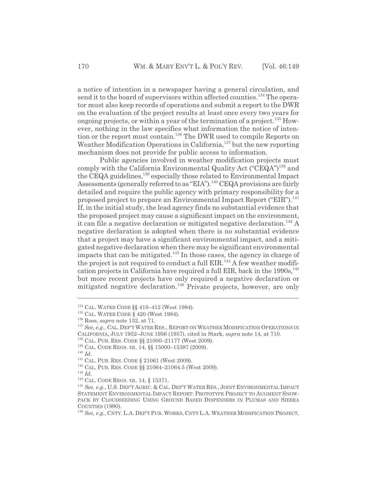a notice of intention in a newspaper having a general circulation, and send it to the board of supervisors within affected counties.<sup>134</sup> The operator must also keep records of operations and submit a report to the DWR on the evaluation of the project results at least once every two years for ongoing projects, or within a year of the termination of a project.<sup>135</sup> However, nothing in the law specifies what information the notice of intention or the report must contain.136 The DWR used to compile Reports on Weather Modification Operations in California,<sup>137</sup> but the new reporting mechanism does not provide for public access to information.

Public agencies involved in weather modification projects must comply with the California Environmental Quality Act ("CEQA")<sup>138</sup> and the CEQA guidelines,<sup>139</sup> especially those related to Environmental Impact Assessments (generally referred to as "EIA").<sup>140</sup> CEQA provisions are fairly detailed and require the public agency with primary responsibility for a proposed project to prepare an Environmental Impact Report ("EIR").<sup>141</sup> If, in the initial study, the lead agency finds no substantial evidence that the proposed project may cause a significant impact on the environment, it can file a negative declaration or mitigated negative declaration.<sup>142</sup> A negative declaration is adopted when there is no substantial evidence that a project may have a significant environmental impact, and a mitigated negative declaration when there may be significant environmental impacts that can be mitigated.<sup>143</sup> In those cases, the agency in charge of the project is not required to conduct a full EIR.<sup>144</sup> A few weather modification projects in California have required a full EIR, back in the  $1990s$ ,  $145$ but more recent projects have only required a negative declaration or mitigated negative declaration.<sup>146</sup> Private projects, however, are only

<sup>140</sup> *Id.*

<sup>143</sup> *Id.*

<sup>&</sup>lt;sup>134</sup> CAL. WATER CODE §§ 410-412 (West 1984).

<sup>&</sup>lt;sup>135</sup> CAL. WATER CODE § 420 (West 1984).

<sup>136</sup> Roos, *supra* note 132, at 71.

<sup>&</sup>lt;sup>137</sup> See, e.g., CAL. DEP'T WATER RES., REPORT ON WEATHER MODIFICATION OPERATIONS IN CALIFORNIA, JULY 1952–JUNE 1956 (1957), cited in Stark, *supra* note 14, at 710.

<sup>138</sup> CAL. PUB. RES. CODE §§ 21000–21177 (West 2009).

<sup>139</sup> CAL. CODE REGS. tit. 14, §§ 15000–15387 (2009).

<sup>141</sup> CAL. PUB. RES. CODE § 21061 (West 2009).

<sup>142</sup> CAL. PUB. RES. CODE §§ 21064–21064.5 (West 2009).

<sup>144</sup> CAL. CODE REGS. tit. 14, § 15371.

<sup>&</sup>lt;sup>145</sup> See, e.g., U.S. DEP'T AGRIC. & CAL. DEP'T WATER RES., JOINT ENVIRONMENTAL IMPACT STATEMENT ENVIRONMENTAL IMPACT REPORT: PROTOTYPE PROJECT TO AUGMENT SNOW-PACK BY CLOUDSEEDING USING GROUND BASED DISPENSERS IN PLUMAS AND SIERRA COUNTIES (1990).

<sup>146</sup> *See, e.g.*, CNTY. L.A. DEP'T PUB. WORKS, CNTY L.A. WEATHER MODIFICATION PROJECT,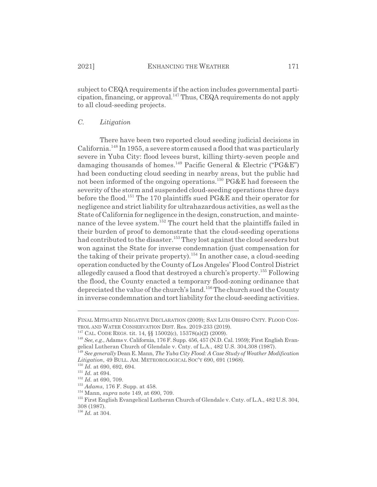subject to CEQA requirements if the action includes governmental participation, financing, or approval.147 Thus, CEQA requirements do not apply to all cloud-seeding projects.

### *C. Litigation*

There have been two reported cloud seeding judicial decisions in California.148 In 1955, a severe storm caused a flood that was particularly severe in Yuba City: flood levees burst, killing thirty-seven people and damaging thousands of homes.<sup>149</sup> Pacific General & Electric (" $P G \& E$ ") had been conducting cloud seeding in nearby areas, but the public had not been informed of the ongoing operations.<sup>150</sup> PG&E had foreseen the severity of the storm and suspended cloud-seeding operations three days before the flood.151 The 170 plaintiffs sued PG&E and their operator for negligence and strict liability for ultrahazardous activities, as well as the State of California for negligence in the design, construction, and maintenance of the levee system.<sup>152</sup> The court held that the plaintiffs failed in their burden of proof to demonstrate that the cloud-seeding operations had contributed to the disaster.<sup>153</sup> They lost against the cloud seeders but won against the State for inverse condemnation (just compensation for the taking of their private property).<sup>154</sup> In another case, a cloud-seeding operation conducted by the County of Los Angeles' Flood Control District allegedly caused a flood that destroyed a church's property.<sup>155</sup> Following the flood, the County enacted a temporary flood-zoning ordinance that depreciated the value of the church's land.156 The church sued the County in inverse condemnation and tort liability for the cloud-seeding activities.

FINAL MITIGATED NEGATIVE DECLARATION (2009); SAN LUIS OBISPO CNTY. FLOOD CON-TROL AND WATER CONSERVATION DIST. Res. 2019-233 (2019).

<sup>147</sup> CAL. CODE REGS. tit. 14, §§ 15002(c), 15378(a)(2) (2009).

<sup>148</sup> *See, e.g.*, Adams v. California, 176 F. Supp. 456, 457 (N.D. Cal. 1959); First English Evangelical Lutheran Church of Glendale v. Cnty. of L.A., 482 U.S. 304,308 (1987).

<sup>149</sup> *See generally* Dean E. Mann, *The Yuba City Flood: A Case Study of Weather Modification Litigation*, 49 BULL. AM. METEOROLOGICAL SOC'Y 690, 691 (1968).

<sup>150</sup> *Id.* at 690, 692, 694.

 $^{151}$   $\emph{Id.}$  at 694.

<sup>152</sup> *Id.* at 690, 709.

<sup>153</sup> *Adams*, 176 F. Supp. at 458.

<sup>154</sup> Mann, *supra* note 149, at 690, 709.

<sup>155</sup> First English Evangelical Lutheran Church of Glendale v. Cnty. of L.A., 482 U.S. 304, 308 (1987).

<sup>156</sup> *Id.* at 304.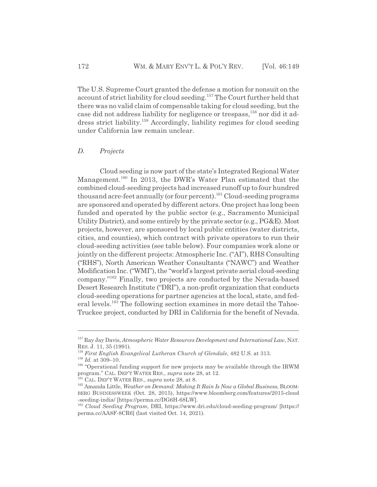The U.S. Supreme Court granted the defense a motion for nonsuit on the account of strict liability for cloud seeding.<sup>157</sup> The Court further held that there was no valid claim of compensable taking for cloud seeding, but the case did not address liability for negligence or trespass,<sup>158</sup> nor did it address strict liability.159 Accordingly, liability regimes for cloud seeding under California law remain unclear.

#### *D. Projects*

Cloud seeding is now part of the state's Integrated Regional Water Management.<sup>160</sup> In 2013, the DWR's Water Plan estimated that the combined cloud-seeding projects had increased runoff up to four hundred thousand acre-feet annually (or four percent).<sup>161</sup> Cloud-seeding programs are sponsored and operated by different actors. One project has long been funded and operated by the public sector (e.g., Sacramento Municipal Utility District), and some entirely by the private sector (e.g., PG&E). Most projects, however, are sponsored by local public entities (water districts, cities, and counties), which contract with private operators to run their cloud-seeding activities (see table below). Four companies work alone or jointly on the different projects: Atmospheric Inc. ("AI"), RHS Consulting ("RHS"), North American Weather Consultants ("NAWC") and Weather Modification Inc. ("WMI"), the "world's largest private aerial cloud-seeding company."162 Finally, two projects are conducted by the Nevada-based Desert Research Institute ("DRI"), a non-profit organization that conducts cloud-seeding operations for partner agencies at the local, state, and federal levels.163 The following section examines in more detail the Tahoe-Truckee project, conducted by DRI in California for the benefit of Nevada.

<sup>157</sup> Ray Jay Davis, *Atmospheric Water Resources Development and International Law*, NAT. RES. J. 11, 35 (1991).

<sup>158</sup> *First English Evangelical Lutheran Church of Glendale*, 482 U.S. at 313.

 $^{159}$   $\emph{Id.}$  at 309–10.

<sup>&</sup>lt;sup>160</sup> "Operational funding support for new projects may be available through the IRWM program." CAL. DEP'T WATER RES., *supra* note 28, at 12.

<sup>161</sup> CAL. DEP'T WATER RES., *supra* note 28, at 8.

<sup>162</sup> Amanda Little, *Weather on Demand: Making It Rain Is Now a Global Business*, BLOOM-BERG BUSINESSWEEK (Oct. 28, 2015), https://www.bloomberg.com/features/2015-cloud -seeding-india/ [https://perma.cc/DG6H-68LW].

<sup>163</sup> *Cloud Seeding Program*, DRI, https://www.dri.edu/cloud-seeding-program/ [https:// perma.cc/AA8F-8CR6] (last visited Oct. 14, 2021).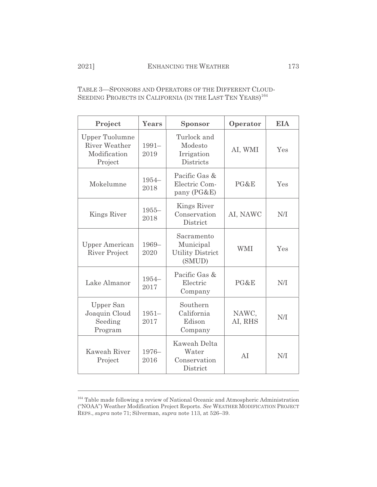TABLE 3—SPONSORS AND OPERATORS OF THE DIFFERENT CLOUD-SEEDING PROJECTS IN CALIFORNIA (IN THE LAST TEN YEARS)<sup>164</sup>

| Project                                                                  | Years            | Sponsor                                                      | Operator         | <b>EIA</b> |
|--------------------------------------------------------------------------|------------------|--------------------------------------------------------------|------------------|------------|
| <b>Upper Tuolumne</b><br><b>River Weather</b><br>Modification<br>Project | $1991 -$<br>2019 | Turlock and<br>Modesto<br>Irrigation<br>Districts            | AI, WMI          | Yes        |
| Mokelumne                                                                | $1954-$<br>2018  | Pacific Gas &<br>Electric Com-<br>pany (PG&E)                | PG&E             | Yes        |
| Kings River                                                              | $1955 -$<br>2018 | Kings River<br>Conservation<br>District                      | AI, NAWC         | N/I        |
| <b>Upper American</b><br><b>River Project</b>                            | 1969-<br>2020    | Sacramento<br>Municipal<br><b>Utility District</b><br>(SMUD) | <b>WMI</b>       | Yes        |
| Lake Almanor                                                             | $1954 -$<br>2017 | Pacific Gas &<br>Electric<br>Company                         | PG&E             | N/I        |
| Upper San<br>Joaquin Cloud<br>Seeding<br>Program                         | $1951 -$<br>2017 | Southern<br>California<br>Edison<br>Company                  | NAWC,<br>AI, RHS | N/I        |
| Kaweah River<br>Project                                                  | $1976-$<br>2016  | <b>Kaweah Delta</b><br>Water<br>Conservation<br>District     | AI               | N/I        |

<sup>164</sup> Table made following a review of National Oceanic and Atmospheric Administration ("NOAA") Weather Modification Project Reports. *See* WEATHER MODIFICATION PROJECT REPS., *supra* note 71; Silverman, *supra* note 113, at 526–39.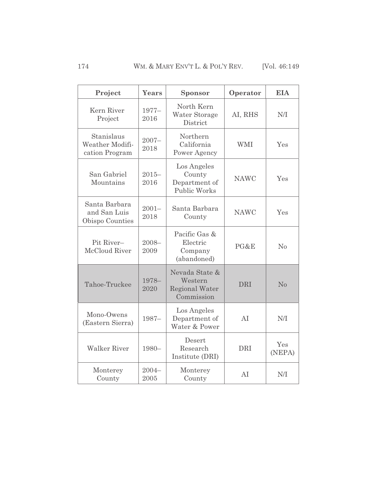| Project                                          | <b>Years</b>     | <b>Sponsor</b>                                                   | Operator    | <b>EIA</b>     |
|--------------------------------------------------|------------------|------------------------------------------------------------------|-------------|----------------|
| Kern River<br>Project                            | $1977-$<br>2016  | North Kern<br>Water Storage<br>District                          | AI, RHS     | N/I            |
| Stanislaus<br>Weather Modifi-<br>cation Program  | $2007 -$<br>2018 | Northern<br>California<br>Power Agency                           | <b>WMI</b>  | Yes            |
| San Gabriel<br>Mountains                         | $2015 -$<br>2016 | Los Angeles<br>County<br>Department of<br><b>Public Works</b>    | <b>NAWC</b> | Yes            |
| Santa Barbara<br>and San Luis<br>Obispo Counties | $2001 -$<br>2018 | Santa Barbara<br>County                                          | <b>NAWC</b> | Yes            |
| Pit River-<br>McCloud River                      | $2008 -$<br>2009 | Pacific Gas &<br>Electric<br>Company<br>(abandoned)              | PG&E        | N <sub>o</sub> |
| Tahoe-Truckee                                    | 1978-<br>2020    | Nevada State &<br>Western<br><b>Regional Water</b><br>Commission | <b>DRI</b>  | No             |
| Mono-Owens<br>(Eastern Sierra)                   | $1987-$          | Los Angeles<br>Department of<br>Water & Power                    | AI          | N/I            |
| <b>Walker River</b>                              | 1980-            | Desert<br>Research<br>Institute (DRI)                            | <b>DRI</b>  | Yes<br>(NEPA)  |
| Monterey<br>County                               | $2004 -$<br>2005 | Monterey<br>County                                               | AI          | N/I            |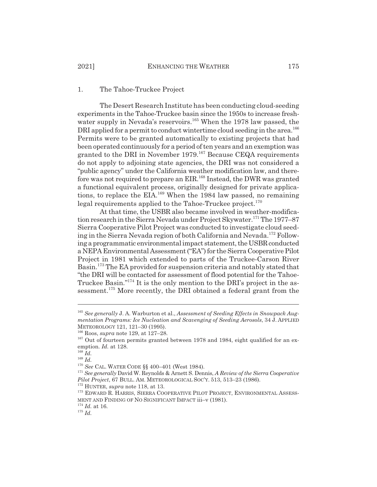#### 1. The Tahoe-Truckee Project

The Desert Research Institute has been conducting cloud-seeding experiments in the Tahoe-Truckee basin since the 1950s to increase freshwater supply in Nevada's reservoirs.<sup>165</sup> When the 1978 law passed, the DRI applied for a permit to conduct wintertime cloud seeding in the area.<sup>166</sup> Permits were to be granted automatically to existing projects that had been operated continuously for a period of ten years and an exemption was granted to the DRI in November 1979.<sup>167</sup> Because CEQA requirements do not apply to adjoining state agencies, the DRI was not considered a "public agency" under the California weather modification law, and therefore was not required to prepare an EIR.<sup>168</sup> Instead, the DWR was granted a functional equivalent process, originally designed for private applications, to replace the  $EIA.<sup>169</sup>$  When the 1984 law passed, no remaining legal requirements applied to the Tahoe-Truckee project.<sup>170</sup>

At that time, the USBR also became involved in weather-modification research in the Sierra Nevada under Project Skywater.<sup>171</sup> The 1977–87 Sierra Cooperative Pilot Project was conducted to investigate cloud seeding in the Sierra Nevada region of both California and Nevada.<sup>172</sup> Following a programmatic environmental impact statement, the USBR conducted a NEPA Environmental Assessment ("EA") for the Sierra Cooperative Pilot Project in 1981 which extended to parts of the Truckee-Carson River Basin.173 The EA provided for suspension criteria and notably stated that "the DRI will be contacted for assessment of flood potential for the Tahoe-Truckee Basin."174 It is the only mention to the DRI's project in the assessment.<sup>175</sup> More recently, the DRI obtained a federal grant from the

<sup>175</sup> *Id.*

<sup>165</sup> *See generally* J. A. Warburton et al., *Assessment of Seeding Effects in Snowpack Augmentation Programs: Ice Nucleation and Scavenging of Seeding Aerosols*, 34 J. APPLIED METEOROLOGY 121, 121–30 (1995).

<sup>166</sup> Roos, *supra* note 129, at 127–28.

<sup>&</sup>lt;sup>167</sup> Out of fourteen permits granted between 1978 and 1984, eight qualified for an exemption. *Id.* at 128.

<sup>168</sup> *Id.*

<sup>169</sup> *Id.*

<sup>170</sup> *See* CAL. WATER CODE §§ 400–401 (West 1984).

<sup>171</sup> *See generally* David W. Reynolds & Arnett S. Dennis, *A Review of the Sierra Cooperative Pilot Project*, 67 BULL. AM. METEOROLOGICAL SOC'Y. 513, 513–23 (1986).

<sup>172</sup> HUNTER, *supra* note 118, at 13.

<sup>&</sup>lt;sup>173</sup> EDWARD R. HARRIS, SIERRA COOPERATIVE PILOT PROJECT, ENVIRONMENTAL ASSESS-MENT AND FINDING OF NO SIGNIFICANT IMPACT iii–v (1981).

<sup>174</sup> *Id.* at 16.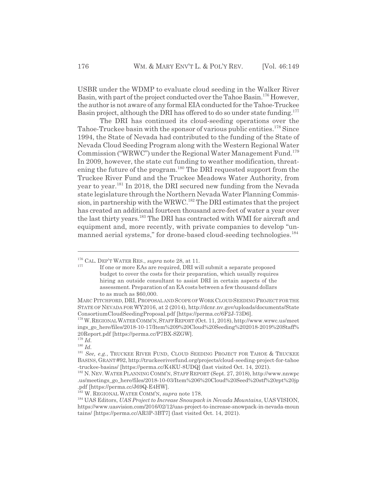USBR under the WDMP to evaluate cloud seeding in the Walker River Basin, with part of the project conducted over the Tahoe Basin.176 However, the author is not aware of any formal EIA conducted for the Tahoe-Truckee Basin project, although the DRI has offered to do so under state funding.<sup>177</sup>

The DRI has continued its cloud-seeding operations over the Tahoe-Truckee basin with the sponsor of various public entities.<sup>178</sup> Since 1994, the State of Nevada had contributed to the funding of the State of Nevada Cloud Seeding Program along with the Western Regional Water Commission ("WRWC") under the Regional Water Management Fund.<sup>179</sup> In 2009, however, the state cut funding to weather modification, threatening the future of the program.<sup>180</sup> The DRI requested support from the Truckee River Fund and the Truckee Meadows Water Authority, from year to year.<sup>181</sup> In 2018, the DRI secured new funding from the Nevada state legislature through the Northern Nevada Water Planning Commission, in partnership with the WRWC.<sup>182</sup> The DRI estimates that the project has created an additional fourteen thousand acre-feet of water a year over the last thirty years.183 The DRI has contracted with WMI for aircraft and equipment and, more recently, with private companies to develop "unmanned aerial systems," for drone-based cloud-seeding technologies.<sup>184</sup>

<sup>176</sup> CAL. DEP'T WATER RES., *supra* note 28, at 11.

If one or more EAs are required, DRI will submit a separate proposed budget to cover the costs for their preparation, which usually requires hiring an outside consultant to assist DRI in certain aspects of the assessment. Preparation of an EA costs between a few thousand dollars to as much as \$60,000.

MARC PITCHFORD, DRI, PROPOSAL AND SCOPE OF WORK CLOUD SEEDING PROJECT FOR THE STATE OF NEVADA FOR WY2016, at 2 (2014), http://dcnr.nv.gov/uploads/documents/State ConsortiumCloudSeedingProposal.pdf [https://perma.cc/6F2J-73D6].

<sup>178</sup> W.REGIONALWATERCOMM'N,STAFFREPORT (Oct. 11, 2018), http://www.wrwc.us/meet ings\_go\_here/files/2018-10-17/Item%209%20Cloud%20Seeding%202018-2019%20Staff% 20Report.pdf [https://perma.cc/P7BX-SZGW].

<sup>179</sup> *Id.*

<sup>180</sup> *Id.*

<sup>181</sup> *See, e.g.*, TRUCKEE RIVER FUND, CLOUD SEEDING PROJECT FOR TAHOE & TRUCKEE BASINS, GRANT #92, http://truckeeriverfund.org/projects/cloud-seeding-project-for-tahoe -truckee-basins/ [https://perma.cc/K4KU-8UDQ] (last visited Oct. 14, 2021).

<sup>182</sup> N. NEV. WATER PLANNING COMM'N, STAFF REPORT (Sept. 27, 2018), http://www.nnwpc .us/meetings\_go\_here/files/2018-10-03/Item%206%20Cloud%20Seed%20stf%20rpt%20jp .pdf [https://perma.cc/J69Q-E4HW].

<sup>183</sup> W. REGIONAL WATER COMM'N, *supra* note 178.

<sup>184</sup> UAS Editors, *UAS Project to Increase Snowpack in Nevada Mountains*, UAS VISION, https://www.uasvision.com/2016/02/12/uas-project-to-increase-snowpack-in-nevada-moun tains/ [https://perma.cc/AR3P-3BT7] (last visited Oct. 14, 2021).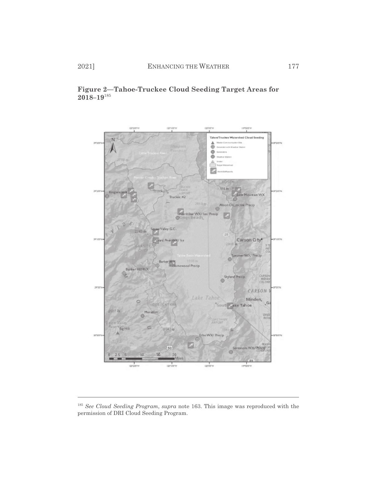



<sup>185</sup> *See Cloud Seeding Program*, *supra* note 163. This image was reproduced with the permission of DRI Cloud Seeding Program.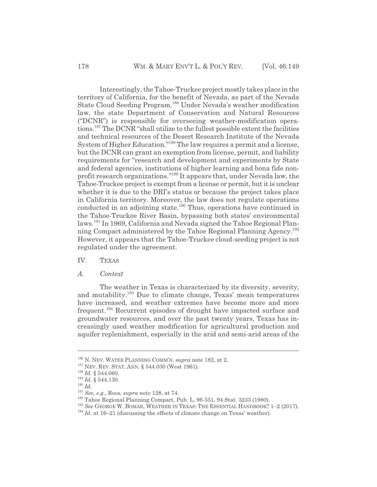Interestingly, the Tahoe-Truckee project mostly takes place in the territory of California, for the benefit of Nevada, as part of the Nevada State Cloud Seeding Program.<sup>186</sup> Under Nevada's weather modification law, the state Department of Conservation and Natural Resources ("DCNR") is responsible for overseeing weather-modification operations.187 The DCNR "shall utilize to the fullest possible extent the facilities and technical resources of the Desert Research Institute of the Nevada System of Higher Education."188 The law requires a permit and a license, but the DCNR can grant an exemption from license, permit, and liability requirements for "research and development and experiments by State and federal agencies, institutions of higher learning and bona fide nonprofit research organizations."189 It appears that, under Nevada law, the Tahoe-Truckee project is exempt from a license or permit, but it is unclear whether it is due to the DRI's status or because the project takes place in California territory. Moreover, the law does not regulate operations conducted in an adjoining state.<sup>190</sup> Thus, operations have continued in the Tahoe-Truckee River Basin, bypassing both states' environmental laws.191 In 1969, California and Nevada signed the Tahoe Regional Planning Compact administered by the Tahoe Regional Planning Agency.192 However, it appears that the Tahoe-Truckee cloud-seeding project is not regulated under the agreement.

- IV. TEXAS
- *A. Context*

The weather in Texas is characterized by its diversity, severity, and mutability.193 Due to climate change, Texas' mean temperatures have increased, and weather extremes have become more and more frequent.194 Recurrent episodes of drought have impacted surface and groundwater resources, and over the past twenty years, Texas has increasingly used weather modification for agricultural production and aquifer replenishment, especially in the arid and semi-arid areas of the

<sup>186</sup> N. NEV. WATER PLANNING COMM'N, *supra* note 182, at 2.

<sup>&</sup>lt;sup>187</sup> NEV. REV. STAT. ANN. § 544.030 (West 1961).

<sup>188</sup> *Id.* § 544.060.

<sup>189</sup> *Id.* § 544.130.

<sup>190</sup> *Id.*

<sup>191</sup> *See, e.g.*, Roos, *supra* note 128, at 74.

<sup>192</sup> Tahoe Regional Planning Compact, Pub. L. 96-551, 94 Stat. 3233 (1980).

<sup>193</sup> *See* GEORGE W. BOMAR, WEATHER IN TEXAS: THE ESSENTIAL HANDBOOK? 1–2 (2017).

<sup>&</sup>lt;sup>194</sup> *Id.* at 16–21 (discussing the effects of climate change on Texas' weather).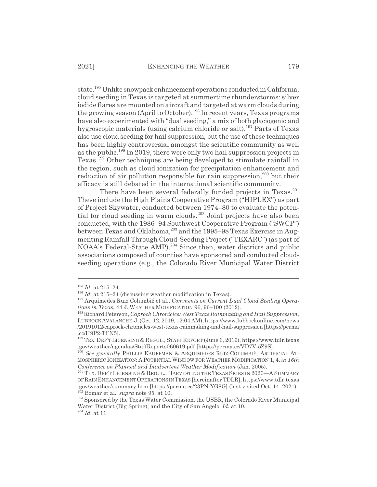state.<sup>195</sup> Unlike snowpack enhancement operations conducted in California, cloud seeding in Texas is targeted at summertime thunderstorms: silver iodide flares are mounted on aircraft and targeted at warm clouds during the growing season (April to October).<sup>196</sup> In recent years, Texas programs have also experimented with "dual seeding," a mix of both glaciogenic and hygroscopic materials (using calcium chloride or salt).<sup>197</sup> Parts of Texas also use cloud seeding for hail suppression, but the use of these techniques has been highly controversial amongst the scientific community as well as the public.<sup>198</sup> In 2019, there were only two hail suppression projects in Texas.199 Other techniques are being developed to stimulate rainfall in the region, such as cloud ionization for precipitation enhancement and reduction of air pollution responsible for rain suppression,<sup>200</sup> but their efficacy is still debated in the international scientific community.

There have been several federally funded projects in Texas.<sup>201</sup> These include the High Plains Cooperative Program ("HIPLEX") as part of Project Skywater, conducted between 1974–80 to evaluate the potential for cloud seeding in warm clouds.<sup>202</sup> Joint projects have also been conducted, with the 1986–94 Southwest Cooperative Program ("SWCP") between Texas and Oklahoma,<sup>203</sup> and the 1995–98 Texas Exercise in Augmenting Rainfall Through Cloud-Seeding Project ("TEXARC") (as part of NOAA's Federal-State AMP).<sup>204</sup> Since then, water districts and public associations composed of counties have sponsored and conducted cloudseeding operations (e.g., the Colorado River Municipal Water District

<sup>204</sup> *Id.* at 11.

<sup>195</sup> *Id.* at 215–24.

<sup>&</sup>lt;sup>196</sup> *Id.* at 215–24 (discussing weather modification in Texas).

<sup>197</sup> Arquímedes Ruiz Columbié et al., *Comments on Current Dual Cloud Seeding Operations in Texas*, 44 J. WEATHER MODIFICATION 96, 96–100 (2012).

<sup>198</sup> Richard Peterson, *Caprock Chronicles: West Texas Rainmaking and Hail Suppression*, LUBBOCKAVALANCHE-J.(Oct. 12, 2019, 12:04 AM), https://www.lubbockonline.com/news /20191012/caprock-chronicles-west-texas-rainmaking-and-hail-suppression [https://perma .cc/H9P2-TFN5].

<sup>&</sup>lt;sup>199</sup> TEX. DEP'T LICENSING & REGUL., STAFF REPORT (June 6, 2019), https://www.tdlr.texas .gov/weather/agendas/StaffReports060619.pdf [https://perma.cc/VD7V-5Z9S].

<sup>&</sup>lt;sup>200</sup> See generally PHILLIP KAUFFMAN & ARQUÍMEDES RUIZ-COLUMBIÉ, ARTIFICIAL AT-MOSPHERIC IONIZATION:APOTENTIAL WINDOW FOR WEATHER MODIFICATION 1, 4, *in 16th Conference on Planned and Inadvertent Weather Modification* (Jan. 2005).

 $^{201}$  Tex. Dep't Licensing & Regul., Harvesting the Texas Skies in 2020—A Summary OFRAIN ENHANCEMENTOPERATIONS IN TEXAS [hereinafter TDLR], https://www.tdlr.texas .gov/weather/summary.htm [https://perma.cc/23PN-YG8G] (last visited Oct. 14, 2021). 202 Bomar et al., *supra* note 95, at 10.

<sup>&</sup>lt;sup>203</sup> Sponsored by the Texas Water Commission, the USBR, the Colorado River Municipal Water District (Big Spring), and the City of San Angelo. *Id.* at 10.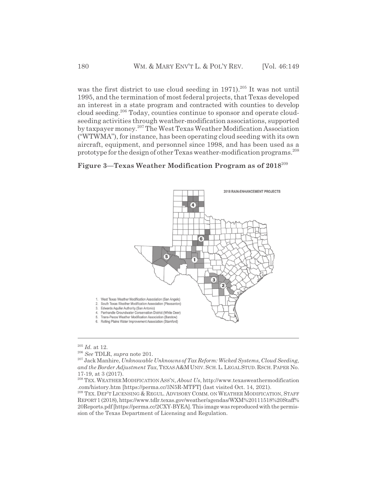was the first district to use cloud seeding in 1971).<sup>205</sup> It was not until 1995, and the termination of most federal projects, that Texas developed an interest in a state program and contracted with counties to develop cloud seeding.206 Today, counties continue to sponsor and operate cloudseeding activities through weather-modification associations, supported by taxpayer money.207 The West Texas Weather Modification Association ("WTWMA"), for instance, has been operating cloud seeding with its own aircraft, equipment, and personnel since 1998, and has been used as a prototype for the design of other Texas weather-modification programs.<sup>208</sup>

# **Figure 3—Texas Weather Modification Program as of 2018**<sup>209</sup>



<sup>205</sup> *Id.* at 12.

<sup>206</sup> *See* TDLR, *supra* note 201.

<sup>207</sup> Jack Manhire, *Unknowable Unknowns of Tax Reform: Wicked Systems, Cloud Seeding, and the Border Adjustment Tax*, TEXAS A&MUNIV.SCH.L.LEGALSTUD.RSCH.PAPER No. 17-19, at 3 (2017).

<sup>&</sup>lt;sup>208</sup> TEX. WEATHER MODIFICATION ASS'N, *About Us*, http://www.texasweathermodification .com/history.htm [https://perma.cc/3N5R-MTFT] (last visited Oct. 14, 2021).

<sup>&</sup>lt;sup>209</sup> TEX. DEP'T LICENSING & REGUL. ADVISORY COMM. ON WEATHER MODIFICATION, STAFF REPORT1 (2018), https://www.tdlr.texas.gov/weather/agendas/WXM%20111518%20Staff% 20Reports.pdf [https://perma.cc/2CXY-BYEA]. This image was reproduced with the permission of the Texas Department of Licensing and Regulation.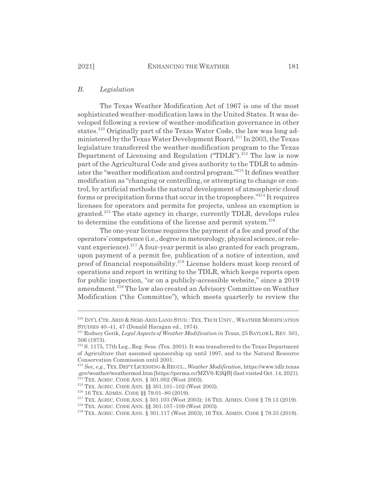# *B. Legislation*

The Texas Weather Modification Act of 1967 is one of the most sophisticated weather-modification laws in the United States. It was developed following a review of weather-modification governance in other states.<sup>210</sup> Originally part of the Texas Water Code, the law was long administered by the Texas Water Development Board.211 In 2003, the Texas legislature transferred the weather-modification program to the Texas Department of Licensing and Regulation ("TDLR").<sup>212</sup> The law is now part of the Agricultural Code and gives authority to the TDLR to administer the "weather modification and control program."213 It defines weather modification as "changing or controlling, or attempting to change or control, by artificial methods the natural development of atmospheric cloud forms or precipitation forms that occur in the troposphere."214 It requires licenses for operators and permits for projects, unless an exemption is granted.215 The state agency in charge, currently TDLR, develops rules to determine the conditions of the license and permit system. $216$ 

The one-year license requires the payment of a fee and proof of the operators' competence (i.e., degree in meteorology, physical science, or relevant experience). $^{217}$  A four-year permit is also granted for each program, upon payment of a permit fee, publication of a notice of intention, and proof of financial responsibility.218 License holders must keep record of operations and report in writing to the TDLR, which keeps reports open for public inspection, "or on a publicly-accessible website," since a 2019 amendment.<sup>219</sup> The law also created an Advisory Committee on Weather Modification ("the Committee"), which meets quarterly to review the

<sup>210</sup> INT'L CTR. ARID & SEMI-ARID LAND STUD.: TEX. TECH UNIV., WEATHER MODIFICATION STUDIES 40–41, 47 (Donald Haragan ed., 1974).

<sup>211</sup> Rodney Gerik, *Legal Aspects of Weather Modification in Texas*, 25 BAYLOR L.REV. 501, 506 (1973).

<sup>&</sup>lt;sup>212</sup> S. 1175, 77th Leg., Reg. Sess. (Tex. 2001). It was transferred to the Texas Department of Agriculture that assumed sponsorship up until 1997, and to the Natural Resource Conservation Commission until 2001.

<sup>213</sup> *See, e.g.*, TEX. DEP'T LICENSING & REGUL., *Weather Modification*, https://www.tdlr.texas .gov/weather/weathermod.htm [https://perma.cc/MZV6-E2QB] (last visited Oct. 14, 2021).  $^{214}$  TEX. AGRIC. CODE ANN. § 301.002 (West 2003).

<sup>&</sup>lt;sup>215</sup> TEX. AGRIC. CODE ANN.  $\S$ § 301.101–102 (West 2003).

<sup>216 16</sup> TEX. ADMIN. CODE §§ 79.01–80 (2019).

<sup>&</sup>lt;sup>217</sup> TEX. AGRIC. CODE ANN. § 301.103 (West 2003); 16 TEX. ADMIN. CODE § 79.13 (2019).

<sup>218</sup> TEX. AGRIC. CODE ANN. §§ 301.107–109 (West 2003).

<sup>219</sup> TEX. AGRIC. CODE ANN. § 301.117 (West 2003); 16 TEX. ADMIN. CODE § 79.33 (2019).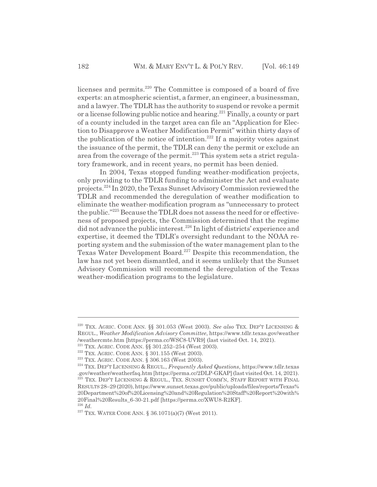licenses and permits.<sup>220</sup> The Committee is composed of a board of five experts: an atmospheric scientist, a farmer, an engineer, a businessman, and a lawyer. The TDLR has the authority to suspend or revoke a permit or a license following public notice and hearing.<sup>221</sup> Finally, a county or part of a county included in the target area can file an "Application for Election to Disapprove a Weather Modification Permit" within thirty days of the publication of the notice of intention.<sup>222</sup> If a majority votes against the issuance of the permit, the TDLR can deny the permit or exclude an area from the coverage of the permit.<sup>223</sup> This system sets a strict regulatory framework, and in recent years, no permit has been denied.

In 2004, Texas stopped funding weather-modification projects, only providing to the TDLR funding to administer the Act and evaluate projects.224 In 2020, the Texas Sunset Advisory Commission reviewed the TDLR and recommended the deregulation of weather modification to eliminate the weather-modification program as "unnecessary to protect the public."225 Because the TDLR does not assess the need for or effectiveness of proposed projects, the Commission determined that the regime did not advance the public interest.226 In light of districts' experience and expertise, it deemed the TDLR's oversight redundant to the NOAA reporting system and the submission of the water management plan to the Texas Water Development Board.<sup>227</sup> Despite this recommendation, the law has not yet been dismantled, and it seems unlikely that the Sunset Advisory Commission will recommend the deregulation of the Texas weather-modification programs to the legislature.

<sup>220</sup> TEX. AGRIC. CODE ANN. §§ 301.053 (West 2003). *See also* TEX. DEP'T LICENSING & REGUL., *Weather Modification Advisory Committee*, https://www.tdlr.texas.gov/weather /weathercmte.htm [https://perma.cc/WSC8-UVR9] (last visited Oct. 14, 2021).

<sup>&</sup>lt;sup>221</sup> TEX. AGRIC. CODE ANN.  $\S$ § 301.252–254 (West 2003).

<sup>&</sup>lt;sup>222</sup> TEX. AGRIC. CODE ANN.  $\S$  301.155 (West 2003).

<sup>223</sup> TEX. AGRIC. CODE ANN. § 306.163 (West 2003).

<sup>224</sup> TEX. DEP'T LICENSING & REGUL., *Frequently Asked Questions*, https://www.tdlr.texas .gov/weather/weatherfaq.htm [https://perma.cc/2DLP-GKAP] (last visited Oct. 14, 2021).  $225$  Tex. Dep't Licensing & Regul., Tex. Sunset Comm'n, Staff Report with Final RESULTS 28–29 (2020), https://www.sunset.texas.gov/public/uploads/files/reports/Texas% 20Department%20of%20Licensing%20and%20Regulation%20Staff%20Report%20with% 20Final%20Results\_6-30-21.pdf [https://perma.cc/XWU8-R2KF]. <sup>226</sup> *Id.*

<sup>&</sup>lt;sup>227</sup> TEX. WATER CODE ANN. § 36.1071(a)(7) (West 2011).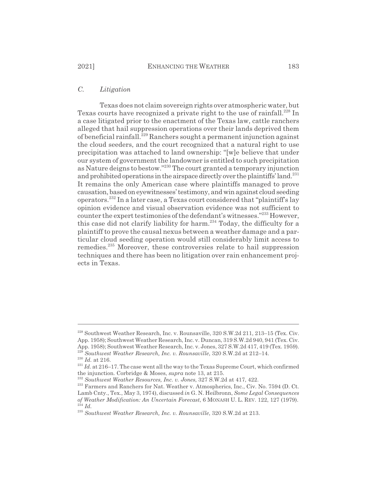# *C. Litigation*

Texas does not claim sovereign rights over atmospheric water, but Texas courts have recognized a private right to the use of rainfall.<sup>228</sup> In a case litigated prior to the enactment of the Texas law, cattle ranchers alleged that hail suppression operations over their lands deprived them of beneficial rainfall.229 Ranchers sought a permanent injunction against the cloud seeders, and the court recognized that a natural right to use precipitation was attached to land ownership: "[w]e believe that under our system of government the landowner is entitled to such precipitation as Nature deigns to bestow."230 The court granted a temporary injunction and prohibited operations in the airspace directly over the plaintiffs' land.<sup>231</sup> It remains the only American case where plaintiffs managed to prove causation, based on eyewitnesses' testimony, and win against cloud seeding operators.232 In a later case, a Texas court considered that "plaintiff's lay opinion evidence and visual observation evidence was not sufficient to counter the expert testimonies of the defendant's witnesses."233 However, this case did not clarify liability for harm.<sup>234</sup> Today, the difficulty for a plaintiff to prove the causal nexus between a weather damage and a particular cloud seeding operation would still considerably limit access to remedies.235 Moreover, these controversies relate to hail suppression techniques and there has been no litigation over rain enhancement projects in Texas.

<sup>228</sup> Southwest Weather Research, Inc. v. Rounsaville, 320 S.W.2d 211, 213–15 (Tex. Civ. App. 1958); Southwest Weather Research, Inc. v. Duncan, 319 S.W.2d 940, 941 (Tex. Civ. App. 1958); Southwest Weather Research, Inc. v. Jones, 327 S.W.2d 417, 419 (Tex. 1959). <sup>229</sup> Southwest Weather Research, Inc. v. Rounsaville, 320 S.W.2d at 212–14.

 $\,$   $^{230}$   $Id.$  at 216.

<sup>&</sup>lt;sup>231</sup> *Id.* at 216–17. The case went all the way to the Texas Supreme Court, which confirmed the injunction. Corbridge & Moses, *supra* note 13, at 215.

<sup>232</sup> *Southwest Weather Resources, Inc. v. Jones*, 327 S.W.2d at 417, 422.

<sup>&</sup>lt;sup>233</sup> Farmers and Ranchers for Nat. Weather v. Atmospherics, Inc., Civ. No. 7594 (D. Ct. Lamb Cnty., Tex., May 3, 1974), discussed *in* G. N. Heilbronn, *Some Legal Consequences of Weather Modification: An Uncertain Forecast*, 6 MONASH U. L. REV. 122, 127 (1979). <sup>234</sup> *Id.*

<sup>235</sup> *Southwest Weather Research, Inc. v. Rounsaville*, 320 S.W.2d at 213.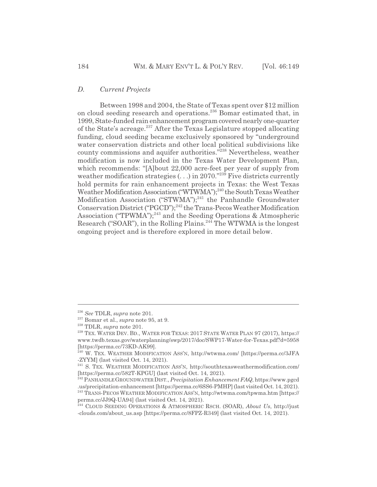#### *D. Current Projects*

Between 1998 and 2004, the State of Texas spent over \$12 million on cloud seeding research and operations.236 Bomar estimated that, in 1999, State-funded rain enhancement program covered nearly one-quarter of the State's acreage.<sup>237</sup> After the Texas Legislature stopped allocating funding, cloud seeding became exclusively sponsored by "underground water conservation districts and other local political subdivisions like county commissions and aquifer authorities."238 Nevertheless, weather modification is now included in the Texas Water Development Plan, which recommends: "[A]bout 22,000 acre-feet per year of supply from weather modification strategies  $(\ldots)$  in 2070."<sup>239</sup> Five districts currently hold permits for rain enhancement projects in Texas: the West Texas Weather Modification Association ("WTWMA");<sup>240</sup> the South Texas Weather Modification Association ("STWMA");<sup>241</sup> the Panhandle Groundwater Conservation District ("PGCD");<sup>242</sup> the Trans-Pecos Weather Modification Association ("TPWMA");<sup>243</sup> and the Seeding Operations & Atmospheric Research (" $SOAR$ "), in the Rolling Plains.<sup>244</sup> The WTWMA is the longest ongoing project and is therefore explored in more detail below.

<sup>236</sup> *See* TDLR, *supra* note 201.

<sup>237</sup> Bomar et al., *supra* note 95, at 9.

<sup>238</sup> TDLR, *supra* note 201.

<sup>239</sup> TEX. WATER DEV. BD., WATER FOR TEXAS: 2017 STATE WATER PLAN 97 (2017), https:// www.twdb.texas.gov/waterplanning/swp/2017/doc/SWP17-Water-for-Texas.pdf?d=5958 [https://perma.cc/73KD-AK99].

 $^{240}$  W. TEX. WEATHER MODIFICATION ASS'N, http://wtwma.com/ [https://perma.cc/3JFA -ZYYM] (last visited Oct. 14, 2021).

<sup>&</sup>lt;sup>241</sup> S. TEX. WEATHER MODIFICATION ASS'N, http://southtexasweathermodification.com/ [https://perma.cc/582T-KPGU] (last visited Oct. 14, 2021).

<sup>242</sup> PANHANDLE GROUNDWATER DIST., *Precipitation Enhancement FAQ*, https://www.pgcd .us/precipitation-enhancement [https://perma.cc/6SS6-PMHP] (last visited Oct. 14, 2021).

<sup>243</sup> TRANS-PECOS WEATHER MODIFICATION ASS'N, http://wtwma.com/tpwma.htm [https:// perma.cc/JJ9Q-UA94] (last visited Oct. 14, 2021).

<sup>244</sup> CLOUD SEEDING OPERATIONS & ATMOSPHERIC RSCH. (SOAR), *About Us*, http://just -clouds.com/about\_us.asp [https://perma.cc/8FPZ-R349] (last visited Oct. 14, 2021).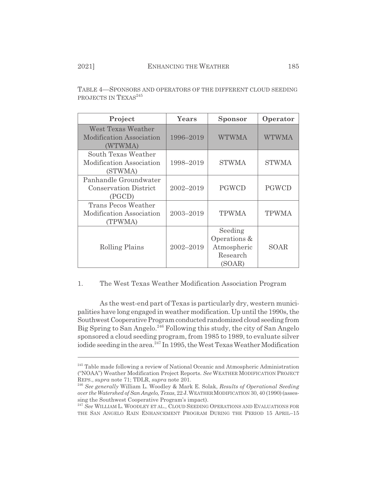| Project                                                           | Years<br><b>Sponsor</b> |                                                              | Operator     |
|-------------------------------------------------------------------|-------------------------|--------------------------------------------------------------|--------------|
| West Texas Weather<br>Modification Association<br>(WTWMA)         | 1996-2019               | <b>WTWMA</b>                                                 | <b>WTWMA</b> |
| South Texas Weather<br>Modification Association<br>(STWMA)        | 1998-2019               | <b>STWMA</b>                                                 | <b>STWMA</b> |
| Panhandle Groundwater<br><b>Conservation District</b><br>(PGCD)   | 2002-2019               | <b>PGWCD</b>                                                 | PGWCD        |
| <b>Trans Pecos Weather</b><br>Modification Association<br>(TPWMA) | 2003-2019               | <b>TPWMA</b>                                                 | <b>TPWMA</b> |
| Rolling Plains                                                    | 2002-2019               | Seeding<br>Operations &<br>Atmospheric<br>Research<br>(SOAR) | SOAR         |

TABLE 4—SPONSORS AND OPERATORS OF THE DIFFERENT CLOUD SEEDING PROJECTS IN TEXAS<sup>245</sup>

### 1. The West Texas Weather Modification Association Program

As the west-end part of Texas is particularly dry, western municipalities have long engaged in weather modification. Up until the 1990s, the Southwest Cooperative Program conducted randomized cloud seeding from Big Spring to San Angelo.<sup>246</sup> Following this study, the city of San Angelo sponsored a cloud seeding program, from 1985 to 1989, to evaluate silver iodide seeding in the area.<sup>247</sup> In 1995, the West Texas Weather Modification

<sup>245</sup> Table made following a review of National Oceanic and Atmospheric Administration ("NOAA") Weather Modification Project Reports. *See* WEATHER MODIFICATION PROJECT REPS., *supra* note 71; TDLR, *supra* note 201.

<sup>246</sup> *See generally* William L. Woodley & Mark E. Solak, *Results of Operational Seeding over the Watershed of San Angelo, Texas*, 22 J.WEATHERMODIFICATION 30, 40 (1990) (assessing the Southwest Cooperative Program's impact).

<sup>247</sup> *See* WILLIAM L. WOODLEY ET AL., CLOUD SEEDING OPERATIONS AND EVALUATIONS FOR THE SAN ANGELO RAIN ENHANCEMENT PROGRAM DURING THE PERIOD 15 APRIL–15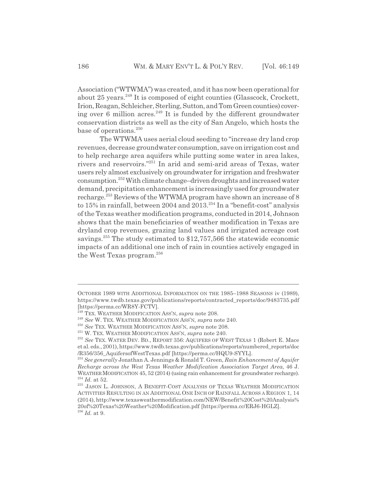Association ("WTWMA") was created, and it has now been operational for about 25 years.<sup>248</sup> It is composed of eight counties (Glasscock, Crockett, Irion, Reagan, Schleicher, Sterling, Sutton, and Tom Green counties) covering over  $6$  million acres.<sup>249</sup> It is funded by the different groundwater conservation districts as well as the city of San Angelo, which hosts the base of operations.<sup>250</sup>

The WTWMA uses aerial cloud seeding to "increase dry land crop revenues, decrease groundwater consumption, save on irrigation cost and to help recharge area aquifers while putting some water in area lakes, rivers and reservoirs."251 In arid and semi-arid areas of Texas, water users rely almost exclusively on groundwater for irrigation and freshwater consumption.252 With climate change–driven droughts and increased water demand, precipitation enhancement is increasingly used for groundwater recharge.253 Reviews of the WTWMA program have shown an increase of 8 to  $15\%$  in rainfall, between  $2004$  and  $2013.<sup>254</sup>$  In a "benefit-cost" analysis of the Texas weather modification programs, conducted in 2014, Johnson shows that the main beneficiaries of weather modification in Texas are dryland crop revenues, grazing land values and irrigated acreage cost savings.<sup>255</sup> The study estimated to \$12,757,566 the statewide economic impacts of an additional one inch of rain in counties actively engaged in the West Texas program.<sup>256</sup>

OCTOBER 1989 WITH ADDITIONAL INFORMATION ON THE 1985–1988 SEASONS iv (1989), https://www.twdb.texas.gov/publications/reports/contracted\_reports/doc/9483735.pdf [https://perma.cc/WR8Y-FCTV].

<sup>248</sup> TEX. WEATHER MODIFICATION ASS'N, *supra* note 208.

<sup>249</sup> *See* W. TEX. WEATHER MODIFICATION ASS'N, *supra* note 240.

<sup>250</sup> *See* TEX. WEATHER MODIFICATION ASS'N, *supra* note 208.

<sup>251</sup> W. TEX. WEATHER MODIFICATION ASS'N, *supra* note 240.

<sup>252</sup> *See* TEX. WATER DEV. BD., REPORT 356: AQUIFERS OF WEST TEXAS 1 (Robert E. Mace et al. eds., 2001), https://www.twdb.texas.gov/publications/reports/numbered\_reports/doc /R356/356\_AquifersofWestTexas.pdf [https://perma.cc/HQU9-SYYL].

<sup>253</sup> *See generally* Jonathan A. Jennings & Ronald T. Green, *Rain Enhancement of Aquifer Recharge across the West Texas Weather Modification Association Target Area*, 46 J. WEATHER MODIFICATION 45, 52 (2014) (using rain enhancement for groundwater recharge).  $^{254}$   $Id.$  at 52.  $\,$ 

 $^{255}$  JASON L. JOHNSON, A BENEFIT-COST ANALYSIS OF TEXAS WEATHER MODIFICATION ACTIVITIES RESULTING IN AN ADDITIONAL ONE INCH OF RAINFALL ACROSS A REGION 1, 14 (2014), http://www.texasweathermodification.com/NEW/Benefit%20Cost%20Analysis% 20of%20Texas%20Weather%20Modification.pdf [https://perma.cc/ERJ6-HGLZ]. <sup>256</sup> *Id.* at 9.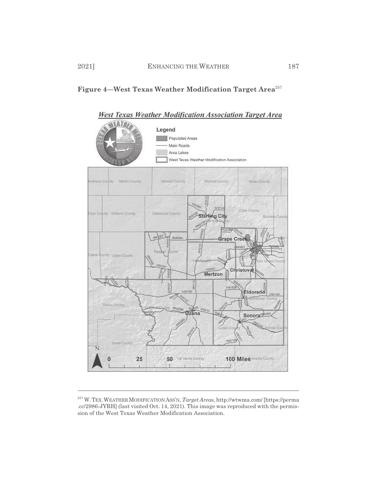



<sup>257</sup> W.TEX.WEATHERMODIFICATION ASS'N, *Target Areas*, http://wtwma.com/ [https://perma .cc/2986-JYRH] (last visited Oct. 14, 2021). This image was reproduced with the permission of the West Texas Weather Modification Association.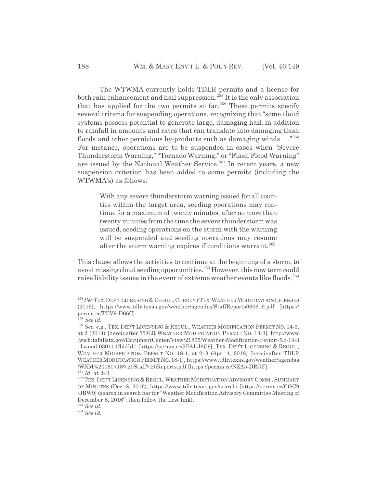The WTWMA currently holds TDLR permits and a license for both rain enhancement and hail suppression.<sup>258</sup> It is the only association that has applied for the two permits so far.<sup>259</sup> These permits specify several criteria for suspending operations, recognizing that "some cloud systems possess potential to generate large, damaging hail, in addition to rainfall in amounts and rates that can translate into damaging flash floods and other pernicious by-products such as damaging winds. . ."260 For instance, operations are to be suspended in cases when "Severe Thunderstorm Warning," "Tornado Warning," or "Flash Flood Warning" are issued by the National Weather Service.<sup>261</sup> In recent years, a new suspension criterion has been added to some permits (including the WTWMA's) as follows:

> With any severe thunderstorm warning issued for all counties within the target area, seeding operations may continue for a maximum of twenty minutes, after no more than twenty minutes from the time the severe thunderstorm was issued, seeding operations on the storm with the warning will be suspended and seeding operations may resume after the storm warning expires if conditions warrant.<sup>262</sup>

This clause allows the activities to continue at the beginning of a storm, to avoid missing cloud seeding opportunities.<sup>263</sup> However, this new term could raise liability issues in the event of extreme weather events like floods.<sup>264</sup>

<sup>263</sup> *See id.*

<sup>264</sup> *See id.*

<sup>&</sup>lt;sup>258</sup> See TEX. DEP'T LICENSING & REGUL., CURRENT TEX. WEATHER MODIFICATION LICENSES (2019), https://www.tdlr.texas.gov/weather/agendas/StaffReports060619.pdf [https:// perma.cc/TEV9-D66C].

<sup>259</sup> *See id.*

<sup>260</sup> *See, e.g.*, TEX. DEP'T LICENSING & REGUL., WEATHER MODIFICATION PERMIT NO. 14-3, at 2 (2014) [hereinafter TDLR WEATHER MODIFICATION PERMIT NO. 14-3], http://www .wichitafallstx.gov/DocumentCenter/View/21865/Weather-Modification-Permit-No-14-3 \_Issued-030114?bidId= [https://perma.cc/2F6J-J6C9]; TEX. DEP'T LICENSING & REGUL., WEATHER MODIFICATION PERMIT NO. 18-1, at 2–3 (Apr. 4, 2018) [hereinafter TDLR WEATHERMODIFICATION PERMIT NO. 18-1], https://www.tdlr.texas.gov/weather/agendas /WXM%20060718%20Staff%20Reports.pdf [https://perma.cc/NZA5-DRGF].

 $^{261}$   $Id.\;$  at 2–3.

<sup>&</sup>lt;sup>262</sup> TEX. DEP'T LICENSING & REGUL. WEATHER MODIFICATION ADVISORY COMM., SUMMARY OF MINUTES (Dec. 8, 2016), https://www.tdlr.texas.gov/search/ [https://perma.cc/CGC9 -JRW9] (search in search bar for "Weather Modification Advisory Committee Meeting of December 8, 2016"; then follow the first link).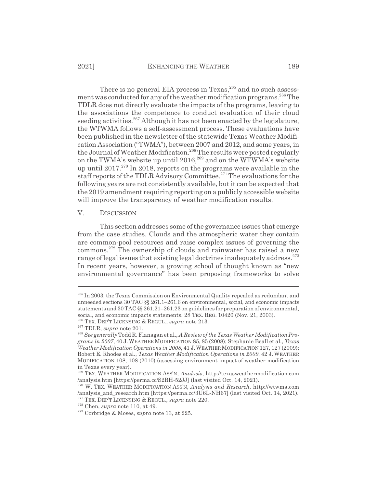There is no general EIA process in Texas,<sup>265</sup> and no such assessment was conducted for any of the weather modification programs.<sup>266</sup> The TDLR does not directly evaluate the impacts of the programs, leaving to the associations the competence to conduct evaluation of their cloud seeding activities.<sup>267</sup> Although it has not been enacted by the legislature, the WTWMA follows a self-assessment process. These evaluations have been published in the newsletter of the statewide Texas Weather Modification Association ("TWMA"), between 2007 and 2012, and some years, in the Journal of Weather Modification.<sup>268</sup> The results were posted regularly on the TWMA's website up until  $2016$ ,  $269$  and on the WTWMA's website up until  $2017<sup>270</sup>$  In 2018, reports on the programs were available in the staff reports of the TDLR Advisory Committee.<sup>271</sup> The evaluations for the following years are not consistently available, but it can be expected that the 2019 amendment requiring reporting on a publicly accessible website will improve the transparency of weather modification results.

#### V. DISCUSSION

This section addresses some of the governance issues that emerge from the case studies. Clouds and the atmospheric water they contain are common-pool resources and raise complex issues of governing the commons.272 The ownership of clouds and rainwater has raised a new range of legal issues that existing legal doctrines inadequately address.<sup>273</sup> In recent years, however, a growing school of thought known as "new environmental governance" has been proposing frameworks to solve

<sup>265</sup> In 2003, the Texas Commission on Environmental Quality repealed as redundant and unneeded sections 30 TAC §§ 261.1–261.6 on environmental, social, and economic impacts statements and 30 TAC §§ 261.21–261.23 on guidelines for preparation of environmental, social, and economic impacts statements. 28 TEX. REG. 10420 (Nov. 21, 2003).

<sup>266</sup> TEX. DEP'T LICENSING & REGUL., *supra* note 213.

<sup>267</sup> TDLR, *supra* note 201.

<sup>268</sup> *See generally* Todd R. Flanagan et al., *A Review of the Texas Weather Modification Programs in 2007*, 40 J. WEATHERMODIFICATION 85, 85 (2008); Stephanie Beall et al., *Texas Weather Modification Operations in 2008*, 41 J. WEATHER MODIFICATION 127, 127 (2009); Robert E. Rhodes et al., *Texas Weather Modification Operations in 2009*, 42 J. WEATHER MODIFICATION 108, 108 (2010) (assessing environment impact of weather modification in Texas every year).

<sup>269</sup> TEX. WEATHER MODIFICATION ASS'N, *Analysis*, http://texasweathermodification.com /analysis.htm [https://perma.cc/S2RH-52JJ] (last visited Oct. 14, 2021).

<sup>270</sup> W. TEX. WEATHER MODIFICATION ASS'N, *Analysis and Research*, http://wtwma.com /analysis\_and\_research.htm [https://perma.cc/3U6L-NH67] (last visited Oct. 14, 2021). 271 TEX. DEP'T LICENSING & REGUL., *supra* note 220.

<sup>272</sup> Chen, *supra* note 110, at 49.

<sup>273</sup> Corbridge & Moses, *supra* note 13, at 225.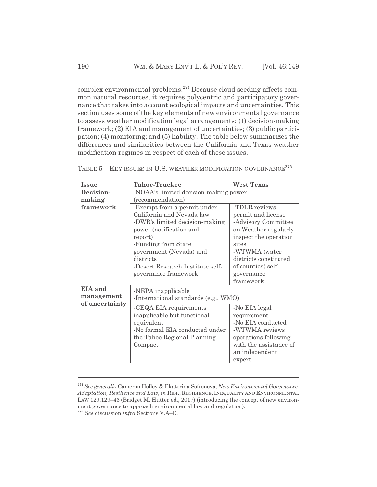complex environmental problems.274 Because cloud seeding affects common natural resources, it requires polycentric and participatory governance that takes into account ecological impacts and uncertainties. This section uses some of the key elements of new environmental governance to assess weather modification legal arrangements: (1) decision-making framework; (2) EIA and management of uncertainties; (3) public participation; (4) monitoring; and (5) liability. The table below summarizes the differences and similarities between the California and Texas weather modification regimes in respect of each of these issues.

| <b>Issue</b>   | <b>Tahoe-Truckee</b>                  | <b>West Texas</b>      |  |  |
|----------------|---------------------------------------|------------------------|--|--|
| Decision-      | -NOAA's limited decision-making power |                        |  |  |
| making         | (recommendation)                      |                        |  |  |
| framework      | -Exempt from a permit under           | -TDLR reviews          |  |  |
|                | California and Nevada law             | permit and license     |  |  |
|                | -DWR's limited decision-making        | -Advisory Committee    |  |  |
|                | power (notification and               | on Weather regularly   |  |  |
|                | report)                               | inspect the operation  |  |  |
|                | -Funding from State                   | sites                  |  |  |
|                | government (Nevada) and               | -WTWMA (water          |  |  |
|                | districts                             | districts constituted  |  |  |
|                | -Desert Research Institute self-      | of counties) self-     |  |  |
|                | governance framework                  | governance             |  |  |
|                |                                       | framework              |  |  |
| EIA and        | -NEPA inapplicable                    |                        |  |  |
| management     | -International standards (e.g., WMO)  |                        |  |  |
| of uncertainty | -CEQA EIA requirements                | -No EIA legal          |  |  |
|                | inapplicable but functional           | requirement            |  |  |
|                | equivalent                            | -No EIA conducted      |  |  |
|                | -No formal EIA conducted under        | -WTWMA reviews         |  |  |
|                | the Tahoe Regional Planning           | operations following   |  |  |
|                | Compact                               | with the assistance of |  |  |
|                |                                       | an independent         |  |  |
|                |                                       | expert                 |  |  |

TABLE 5-KEY ISSUES IN U.S. WEATHER MODIFICATION GOVERNANCE<sup>275</sup>

<sup>274</sup> *See generally* Cameron Holley & Ekaterina Sofronova, *New Environmental Governance: Adaptation, Resilience and Law*, *in* RISK, RESILIENCE, INEQUALITY AND ENVIRONMENTAL LAW 129,129–46 (Bridget M. Hutter ed., 2017) (introducing the concept of new environment governance to approach environmental law and regulation). <sup>275</sup> *See* discussion *infra* Sections V.A–E.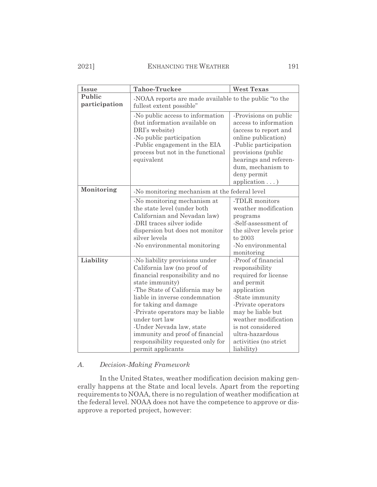# 2021] ENHANCING THE WEATHER 191

| <b>Issue</b>            | <b>Tahoe-Truckee</b>                                                                                                                                                                                                                                                                                                                                                                             | <b>West Texas</b>                                                                                                                                                                                                                                               |  |
|-------------------------|--------------------------------------------------------------------------------------------------------------------------------------------------------------------------------------------------------------------------------------------------------------------------------------------------------------------------------------------------------------------------------------------------|-----------------------------------------------------------------------------------------------------------------------------------------------------------------------------------------------------------------------------------------------------------------|--|
| Public<br>participation | -NOAA reports are made available to the public "to the<br>fullest extent possible"                                                                                                                                                                                                                                                                                                               |                                                                                                                                                                                                                                                                 |  |
|                         | -No public access to information<br>(but information available on<br>DRI's website)<br>-No public participation<br>-Public engagement in the EIA<br>process but not in the functional<br>equivalent                                                                                                                                                                                              | -Provisions on public<br>access to information<br>(access to report and<br>online publication)<br>-Public participation<br>provisions (public<br>hearings and referen-<br>dum, mechanism to<br>deny permit<br>application $\ldots$ )                            |  |
| Monitoring              | -No monitoring mechanism at the federal level                                                                                                                                                                                                                                                                                                                                                    |                                                                                                                                                                                                                                                                 |  |
|                         | -No monitoring mechanism at<br>the state level (under both<br>Californian and Nevadan law)<br>-DRI traces silver iodide<br>dispersion but does not monitor<br>silver levels<br>-No environmental monitoring                                                                                                                                                                                      | -TDLR monitors<br>weather modification<br>programs<br>-Self-assessment of<br>the silver levels prior<br>to 2003<br>-No environmental<br>monitoring                                                                                                              |  |
| Liability               | -No liability provisions under<br>California law (no proof of<br>financial responsibility and no<br>state immunity)<br>-The State of California may be<br>liable in inverse condemnation<br>for taking and damage<br>-Private operators may be liable<br>under tort law<br>-Under Nevada law, state<br>immunity and proof of financial<br>responsibility requested only for<br>permit applicants | -Proof of financial<br>responsibility<br>required for license<br>and permit<br>application<br>-State immunity<br>-Private operators<br>may be liable but<br>weather modification<br>is not considered<br>ultra-hazardous<br>activities (no strict<br>liability) |  |

# *A. Decision-Making Framework*

In the United States, weather modification decision making generally happens at the State and local levels. Apart from the reporting requirements to NOAA, there is no regulation of weather modification at the federal level. NOAA does not have the competence to approve or disapprove a reported project, however: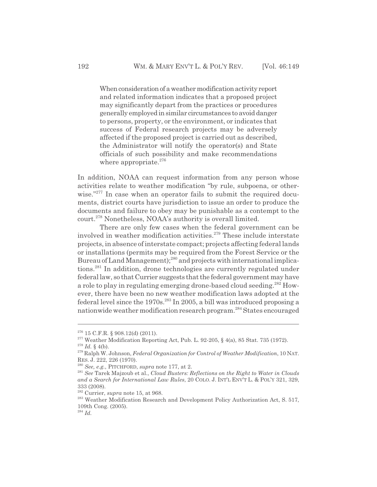When consideration of a weather modification activity report and related information indicates that a proposed project may significantly depart from the practices or procedures generally employed in similar circumstances to avoid danger to persons, property, or the environment, or indicates that success of Federal research projects may be adversely affected if the proposed project is carried out as described, the Administrator will notify the operator(s) and State officials of such possibility and make recommendations where appropriate. $276$ 

In addition, NOAA can request information from any person whose activities relate to weather modification "by rule, subpoena, or otherwise."<sup>277</sup> In case when an operator fails to submit the required documents, district courts have jurisdiction to issue an order to produce the documents and failure to obey may be punishable as a contempt to the court.<sup>278</sup> Nonetheless, NOAA's authority is overall limited.

There are only few cases when the federal government can be involved in weather modification activities.<sup>279</sup> These include interstate projects, in absence of interstate compact; projects affecting federal lands or installations (permits may be required from the Forest Service or the Bureau of Land Management);<sup>280</sup> and projects with international implications.281 In addition, drone technologies are currently regulated under federal law, so that Currier suggests that the federal government may have a role to play in regulating emerging drone-based cloud seeding.<sup>282</sup> However, there have been no new weather modification laws adopted at the federal level since the  $1970s<sup>283</sup>$  In 2005, a bill was introduced proposing a nationwide weather modification research program.<sup>284</sup> States encouraged

<sup>276 15</sup> C.F.R. § 908.12(d) (2011).

<sup>&</sup>lt;sup>277</sup> Weather Modification Reporting Act, Pub. L. 92-205,  $\S$  4(a), 85 Stat. 735 (1972).  $278$  *Id.* § 4(b).

<sup>279</sup> Ralph W. Johnson, *Federal Organization for Control of Weather Modification*, 10 NAT. RES. J. 222, 226 (1970).

<sup>280</sup> *See, e.g.*, PITCHFORD, *supra* note 177, at 2.

<sup>281</sup> *See* Tarek Majzoub et al., *Cloud Busters: Reflections on the Right to Water in Clouds and a Search for International Law Rules*, 20 COLO. J. INT'L ENV'T L. & POL'Y 321, 329, 333 (2008).

<sup>282</sup> Currier, *supra* note 15, at 968.

<sup>&</sup>lt;sup>283</sup> Weather Modification Research and Development Policy Authorization Act, S. 517, 109th Cong. (2005).

<sup>284</sup> *Id.*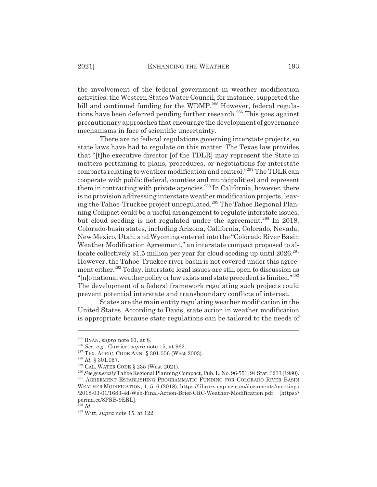the involvement of the federal government in weather modification activities: the Western States Water Council, for instance, supported the bill and continued funding for the WDMP.<sup>285</sup> However, federal regulations have been deferred pending further research.<sup>286</sup> This goes against precautionary approaches that encourage the development of governance mechanisms in face of scientific uncertainty.

There are no federal regulations governing interstate projects, so state laws have had to regulate on this matter. The Texas law provides that "[t]he executive director [of the TDLR] may represent the State in matters pertaining to plans, procedures, or negotiations for interstate compacts relating to weather modification and control."287 The TDLR can cooperate with public (federal, counties and municipalities) and represent them in contracting with private agencies.<sup>288</sup> In California, however, there is no provision addressing interstate weather modification projects, leaving the Tahoe-Truckee project unregulated.289 The Tahoe Regional Planning Compact could be a useful arrangement to regulate interstate issues, but cloud seeding is not regulated under the agreement.<sup>290</sup> In 2018, Colorado-basin states, including Arizona, California, Colorado, Nevada, New Mexico, Utah, and Wyoming entered into the "Colorado River Basin Weather Modification Agreement," an interstate compact proposed to allocate collectively \$1.5 million per year for cloud seeding up until 2026.<sup>291</sup> However, the Tahoe-Truckee river basin is not covered under this agreement either.<sup>292</sup> Today, interstate legal issues are still open to discussion as "[n]o national weather policy or law exists and state precedent is limited."<sup>293</sup> The development of a federal framework regulating such projects could prevent potential interstate and transboundary conflicts of interest.

States are the main entity regulating weather modification in the United States. According to Davis, state action in weather modification is appropriate because state regulations can be tailored to the needs of

<sup>285</sup> RYAN, *supra* note 61, at 8.

<sup>286</sup> *See, e.g.*, Currier, *supra* note 15, at 962.

<sup>287</sup> TEX. AGRIC. CODE ANN. § 301.056 (West 2003).

<sup>288</sup> *Id.* § 301.057.

<sup>289</sup> CAL. WATER CODE § 235 (West 2021).

<sup>290</sup> *See generally* Tahoe Regional Planning Compact, Pub. L. No. 96-551, 94 Stat. 3233 (1980). <sup>291</sup> AGREEMENT ESTABLISHING PROGRAMMATIC FUNDING FOR COLORADO RIVER BASIN WEATHER MODIFICATION, 1, 5–6 (2018), https://library.cap-az.com/documents/meetings /2018-03-01/1683-4d-Web-Final-Action-Brief-CRC-Weather-Modification.pdf [https:// perma.cc/8PRB-9ERL].

<sup>292</sup> *Id.*

<sup>293</sup> Witt, *supra* note 15, at 122.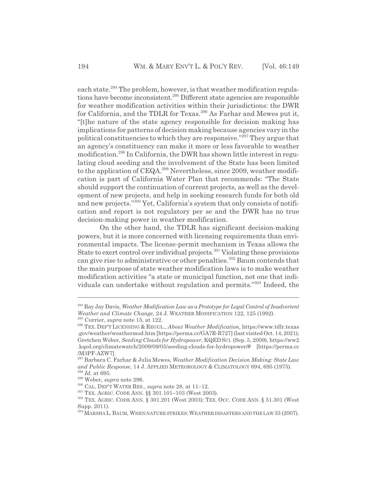each state.<sup>294</sup> The problem, however, is that weather modification regulations have become inconsistent.<sup>295</sup> Different state agencies are responsible for weather modification activities within their jurisdictions: the DWR for California, and the TDLR for Texas.<sup>296</sup> As Farhar and Mewes put it, "[t]he nature of the state agency responsible for decision making has implications for patterns of decision making because agencies vary in the political constituencies to which they are responsive."297 They argue that an agency's constituency can make it more or less favorable to weather modification.<sup>298</sup> In California, the DWR has shown little interest in regulating cloud seeding and the involvement of the State has been limited to the application of  $CEQA<sup>299</sup>$  Nevertheless, since 2009, weather modification is part of California Water Plan that recommends: "The State should support the continuation of current projects, as well as the development of new projects, and help in seeking research funds for both old and new projects."300 Yet, California's system that only consists of notification and report is not regulatory per se and the DWR has no true decision-making power in weather modification.

On the other hand, the TDLR has significant decision-making powers, but it is more concerned with licensing requirements than environmental impacts. The license-permit mechanism in Texas allows the State to exert control over individual projects.<sup>301</sup> Violating these provisions can give rise to administrative or other penalties.<sup>302</sup> Baum contends that the main purpose of state weather modification laws is to make weather modification activities "a state or municipal function, not one that individuals can undertake without regulation and permits."303 Indeed, the

<sup>294</sup> Ray Jay Davis, *Weather Modification Law as a Prototype for Legal Control of Inadvertent Weather and Climate Change*, 24 J. WEATHER MODIFICATION 122, 125 (1992).

<sup>295</sup> Currier, *supra* note 15, at 122.

<sup>296</sup> TEX. DEP'T LICENSING & REGUL., *About Weather Modification,* https://www.tdlr.texas .gov/weather/weathermod.htm [https://perma.cc/GA7R-R727] (last visited Oct. 14, 2021); Gretchen Weber, *Seeding Clouds for Hydropower*, KQEDSCI. (Sep. 5, 2009), https://ww2 .kqed.org/climatewatch/2009/09/05/seeding-clouds-for-hydropower/# [https://perma.cc /M3PF-AZW7].

<sup>297</sup> Barbara C. Farhar & Julia Mewes, *Weather Modification Decision Making: State Law and Public Response*, 14 J. APPLIED METEOROLOGY & CLIMATOLOGY 694, 695 (1975). <sup>298</sup> *Id.* at 695.

<sup>299</sup> Weber, *supra* note 296.

<sup>300</sup> CAL. DEP'T WATER RES., *supra* note 28, at 11–12.

<sup>301</sup> TEX. AGRIC. CODE ANN. §§ 301.101–103 (West 2003).

<sup>302</sup> TEX. AGRIC. CODE ANN. § 301.201 (West 2003); TEX. OCC. CODE ANN. § 51.301 (West Supp. 2011).

<sup>303</sup> MARSHA L.BAUM, WHEN NATURE STRIKES:WEATHER DISASTERS AND THE LAW 33 (2007).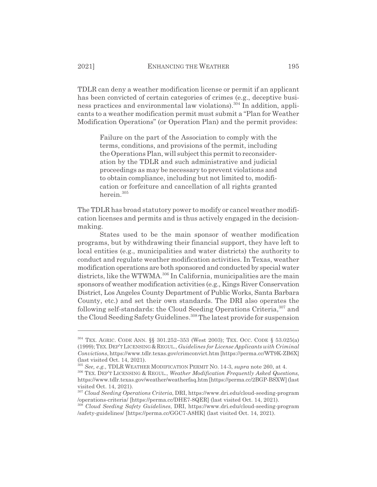TDLR can deny a weather modification license or permit if an applicant has been convicted of certain categories of crimes (e.g., deceptive business practices and environmental law violations).<sup>304</sup> In addition, applicants to a weather modification permit must submit a "Plan for Weather Modification Operations" (or Operation Plan) and the permit provides:

Failure on the part of the Association to comply with the terms, conditions, and provisions of the permit, including the Operations Plan, will subject this permit to reconsideration by the TDLR and such administrative and judicial proceedings as may be necessary to prevent violations and to obtain compliance, including but not limited to, modification or forfeiture and cancellation of all rights granted herein.<sup>305</sup>

The TDLR has broad statutory power to modify or cancel weather modification licenses and permits and is thus actively engaged in the decisionmaking.

States used to be the main sponsor of weather modification programs, but by withdrawing their financial support, they have left to local entities (e.g., municipalities and water districts) the authority to conduct and regulate weather modification activities. In Texas, weather modification operations are both sponsored and conducted by special water districts, like the WTWMA.<sup>306</sup> In California, municipalities are the main sponsors of weather modification activities (e.g., Kings River Conservation District, Los Angeles County Department of Public Works, Santa Barbara County, etc.) and set their own standards. The DRI also operates the following self-standards: the Cloud Seeding Operations Criteria,<sup>307</sup> and the Cloud Seeding Safety Guidelines.<sup>308</sup> The latest provide for suspension

<sup>304</sup> TEX. AGRIC. CODE ANN. §§ 301.252–353 (West 2003); TEX. OCC. CODE § 53.025(a) (1999); TEX.DEP'TLICENSING&REGUL., *Guidelines for License Applicants with Criminal Convictions*, https://www.tdlr.texas.gov/crimconvict.htm [https://perma.cc/WT9K-ZB6X] (last visited Oct. 14, 2021).

<sup>305</sup> *See, e.g.*, TDLR WEATHER MODIFICATION PERMIT NO. 14-3, *supra* note 260, at 4.

<sup>306</sup> TEX. DEP'T LICENSING & REGUL., *Weather Modification Frequently Asked Questions*, https://www.tdlr.texas.gov/weather/weatherfaq.htm [https://perma.cc/2BGP-BSXW] (last visited Oct. 14, 2021).

<sup>307</sup> *Cloud Seeding Operations Criteria*, DRI, https://www.dri.edu/cloud-seeding-program /operations-criteria/ [https://perma.cc/DHE7-8QER] (last visited Oct. 14, 2021).

<sup>308</sup> *Cloud Seeding Safety Guidelines*, DRI, https://www.dri.edu/cloud-seeding-program /safety-guidelines/ [https://perma.cc/GGC7-A8HK] (last visited Oct. 14, 2021).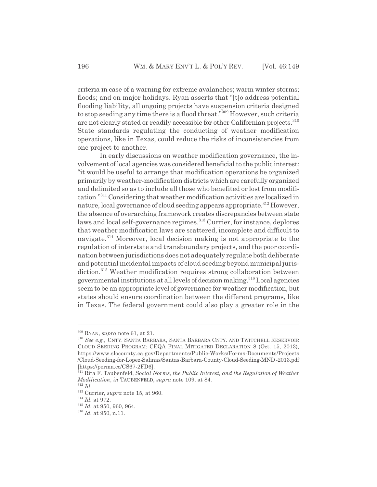criteria in case of a warning for extreme avalanches; warm winter storms; floods; and on major holidays. Ryan asserts that "[t]o address potential flooding liability, all ongoing projects have suspension criteria designed to stop seeding any time there is a flood threat."309 However, such criteria are not clearly stated or readily accessible for other Californian projects.<sup>310</sup> State standards regulating the conducting of weather modification operations, like in Texas, could reduce the risks of inconsistencies from one project to another.

In early discussions on weather modification governance, the involvement of local agencies was considered beneficial to the public interest: "it would be useful to arrange that modification operations be organized primarily by weather-modification districts which are carefully organized and delimited so as to include all those who benefited or lost from modification."311 Considering that weather modification activities are localized in nature, local governance of cloud seeding appears appropriate.<sup>312</sup> However, the absence of overarching framework creates discrepancies between state laws and local self-governance regimes.<sup>313</sup> Currier, for instance, deplores that weather modification laws are scattered, incomplete and difficult to navigate.314 Moreover, local decision making is not appropriate to the regulation of interstate and transboundary projects, and the poor coordination between jurisdictions does not adequately regulate both deliberate and potential incidental impacts of cloud seeding beyond municipal jurisdiction.<sup>315</sup> Weather modification requires strong collaboration between governmental institutions at all levels of decision making.316 Local agencies seem to be an appropriate level of governance for weather modification, but states should ensure coordination between the different programs, like in Texas. The federal government could also play a greater role in the

<sup>309</sup> RYAN, *supra* note 61, at 21.

<sup>310</sup> *See e.g.*, CNTY. SANTA BARBARA, SANTA BARBARA CNTY. AND TWITCHELL RESERVOIR CLOUD SEEDING PROGRAM: CEQA FINAL MITIGATED DECLARATION 8 (Oct. 15, 2013), https://www.slocounty.ca.gov/Departments/Public-Works/Forms-Documents/Projects /Cloud-Seeding-for-Lopez-Salinas/Santas-Barbara-County-Cloud-Seeding-MND -2013.pdf [https://perma.cc/CS67-2FD6].

<sup>311</sup> Rita F. Taubenfeld, *Social Norms, the Public Interest, and the Regulation of Weather Modification*, *in* TAUBENFELD, *supra* note 109, at 84. <sup>312</sup> *Id.*

<sup>313</sup> Currier, *supra* note 15, at 960.

<sup>314</sup> *Id.* at 972.

<sup>315</sup> *Id.* at 950, 960, 964.

<sup>316</sup> *Id.* at 950, n.11.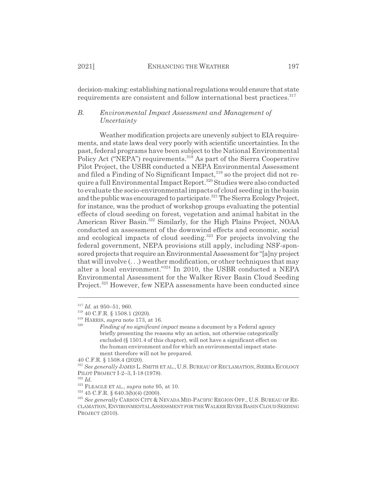2021] **ENHANCING THE WEATHER** 197

decision-making: establishing national regulations would ensure that state requirements are consistent and follow international best practices.<sup>317</sup>

# *B. Environmental Impact Assessment and Management of Uncertainty*

Weather modification projects are unevenly subject to EIA requirements, and state laws deal very poorly with scientific uncertainties. In the past, federal programs have been subject to the National Environmental Policy Act ("NEPA") requirements.<sup>318</sup> As part of the Sierra Cooperative Pilot Project, the USBR conducted a NEPA Environmental Assessment and filed a Finding of No Significant Impact,<sup>319</sup> so the project did not require a full Environmental Impact Report.<sup>320</sup> Studies were also conducted to evaluate the socio-environmental impacts of cloud seeding in the basin and the public was encouraged to participate.<sup>321</sup> The Sierra Ecology Project, for instance, was the product of workshop groups evaluating the potential effects of cloud seeding on forest, vegetation and animal habitat in the American River Basin.<sup>322</sup> Similarly, for the High Plains Project, NOAA conducted an assessment of the downwind effects and economic, social and ecological impacts of cloud seeding.<sup>323</sup> For projects involving the federal government, NEPA provisions still apply, including NSF-sponsored projects that require an Environmental Assessment for "[a]ny project that will involve (. . .) weather modification, or other techniques that may alter a local environment."324 In 2010, the USBR conducted a NEPA Environmental Assessment for the Walker River Basin Cloud Seeding Project.<sup>325</sup> However, few NEPA assessments have been conducted since

<sup>317</sup> *Id.* at 950–51, 960.

<sup>318 40</sup> C.F.R. § 1508.1 (2020).

<sup>319</sup> HARRIS, *supra* note 173, at 16.

<sup>320</sup> *Finding of no significant impact* means a document by a Federal agency briefly presenting the reasons why an action, not otherwise categorically excluded (§ 1501.4 of this chapter), will not have a significant effect on the human environment and for which an environmental impact statement therefore will not be prepared.

<sup>40</sup> C.F.R. § 1508.4 (2020).

<sup>321</sup> *See generally* JAMES L. SMITH ET AL., U.S. BUREAU OF RECLAMATION, SIERRA ECOLOGY PILOT PROJECT I-2–3, I-18 (1978).

 $322$  *Id.* 

<sup>323</sup> FLEAGLE ET AL., *supra* note 95, at 10.

<sup>324 45</sup> C.F.R. § 640.3(b)(4) (2000).

<sup>325</sup> *See generally* CARSON CITY & NEVADA MID-PACIFIC REGION OFF., U.S. BUREAU OF RE-CLAMATION,ENVIRONMENTALASSESSMENT FOR THE WALKER RIVER BASIN CLOUDSEEDING PROJECT (2010).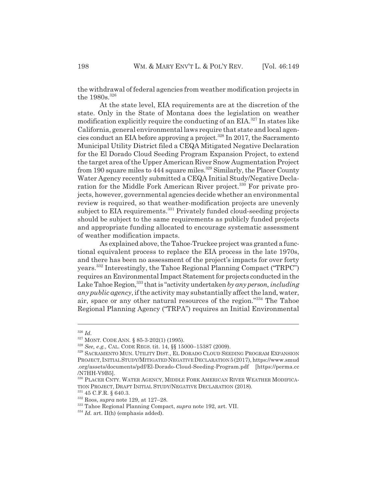the withdrawal of federal agencies from weather modification projects in the 1980s.<sup>326</sup>

At the state level, EIA requirements are at the discretion of the state. Only in the State of Montana does the legislation on weather modification explicitly require the conducting of an EIA.<sup>327</sup> In states like California, general environmental laws require that state and local agencies conduct an EIA before approving a project.<sup>328</sup> In 2017, the Sacramento Municipal Utility District filed a CEQA Mitigated Negative Declaration for the El Dorado Cloud Seeding Program Expansion Project, to extend the target area of the Upper American River Snow Augmentation Project from 190 square miles to 444 square miles.<sup>329</sup> Similarly, the Placer County Water Agency recently submitted a CEQA Initial Study/Negative Declaration for the Middle Fork American River project.<sup>330</sup> For private projects, however, governmental agencies decide whether an environmental review is required, so that weather-modification projects are unevenly subject to EIA requirements.<sup>331</sup> Privately funded cloud-seeding projects should be subject to the same requirements as publicly funded projects and appropriate funding allocated to encourage systematic assessment of weather modification impacts.

As explained above, the Tahoe-Truckee project was granted a functional equivalent process to replace the EIA process in the late 1970s, and there has been no assessment of the project's impacts for over forty years.332 Interestingly, the Tahoe Regional Planning Compact ("TRPC") requires an Environmental Impact Statement for projects conducted in the Lake Tahoe Region,<sup>333</sup> that is "activity undertaken *by any person, including any public agency*, if the activity may substantially affect the land, water, air, space or any other natural resources of the region."334 The Tahoe Regional Planning Agency ("TRPA") requires an Initial Environmental

<sup>326</sup> *Id.*

<sup>327</sup> MONT. CODE ANN. § 85-3-202(1) (1995).

<sup>328</sup> *See, e.g.*, CAL. CODE REGS. tit. 14, §§ 15000–15387 (2009).

<sup>329</sup> SACRAMENTO MUN. UTILITY DIST., EL DORADO CLOUD SEEDING PROGRAM EXPANSION PROJECT,INITIALSTUDY/MITIGATED NEGATIVEDECLARATION 5(2017), https://www.smud .org/assets/documents/pdf/El-Dorado-Cloud-Seeding-Program.pdf [https://perma.cc /N7HH-V9B5].

<sup>&</sup>lt;sup>330</sup> PLACER CNTY. WATER AGENCY, MIDDLE FORK AMERICAN RIVER WEATHER MODIFICA-TION PROJECT, DRAFT INITIAL STUDY/NEGATIVE DECLARATION (2018).

 $^{331}$  45 C.F.R. § 640.3.

<sup>332</sup> Roos, *supra* note 129, at 127–28.

<sup>333</sup> Tahoe Regional Planning Compact, *supra* note 192, art. VII.

<sup>&</sup>lt;sup>334</sup> *Id.* art. II(h) (emphasis added).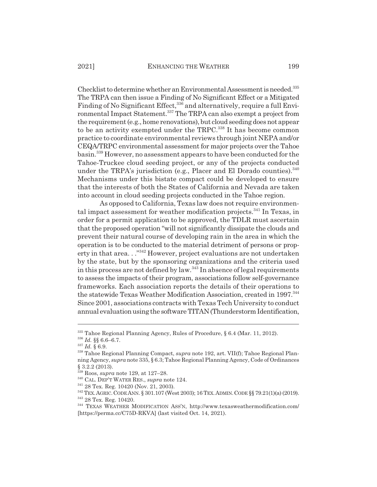Checklist to determine whether an Environmental Assessment is needed.335 The TRPA can then issue a Finding of No Significant Effect or a Mitigated Finding of No Significant Effect,<sup>336</sup> and alternatively, require a full Environmental Impact Statement.<sup>337</sup> The TRPA can also exempt a project from the requirement (e.g., home renovations), but cloud seeding does not appear to be an activity exempted under the TRPC.<sup>338</sup> It has become common practice to coordinate environmental reviews through joint NEPA and/or CEQA/TRPC environmental assessment for major projects over the Tahoe basin.339 However, no assessment appears to have been conducted for the Tahoe-Truckee cloud seeding project, or any of the projects conducted under the TRPA's jurisdiction (e.g., Placer and El Dorado counties).  $340$ Mechanisms under this bistate compact could be developed to ensure that the interests of both the States of California and Nevada are taken into account in cloud seeding projects conducted in the Tahoe region.

As opposed to California, Texas law does not require environmental impact assessment for weather modification projects.<sup>341</sup> In Texas, in order for a permit application to be approved, the TDLR must ascertain that the proposed operation "will not significantly dissipate the clouds and prevent their natural course of developing rain in the area in which the operation is to be conducted to the material detriment of persons or property in that area..."<sup>342</sup> However, project evaluations are not undertaken by the state, but by the sponsoring organizations and the criteria used in this process are not defined by law.<sup>343</sup> In absence of legal requirements to assess the impacts of their program, associations follow self-governance frameworks. Each association reports the details of their operations to the statewide Texas Weather Modification Association, created in 1997.<sup>344</sup> Since 2001, associations contracts with Texas Tech University to conduct annual evaluation using the software TITAN (Thunderstorm Identification,

<sup>335</sup> Tahoe Regional Planning Agency, Rules of Procedure, § 6.4 (Mar. 11, 2012).

<sup>336</sup> *Id.* §§ 6.6–6.7.

<sup>337</sup> *Id.* § 6.9.

<sup>338</sup> Tahoe Regional Planning Compact, *supra* note 192, art. VII(f); Tahoe Regional Planning Agency, *supra* note 335, § 6.3; Tahoe Regional Planning Agency, Code of Ordinances § 3.2.2 (2013).

<sup>339</sup> Roos, *supra* note 129, at 127–28.

<sup>340</sup> CAL. DEP'T WATER RES., *supra* note 124.

<sup>341 28</sup> Tex. Reg. 10420 (Nov. 21, 2003).

<sup>342</sup> TEX.AGRIC.CODE ANN. § 301.107 (West 2003); 16 TEX.ADMIN.CODE §§ 79.21(1)(a) (2019).

<sup>343 28</sup> Tex. Reg. 10420.

<sup>344</sup> TEXAS WEATHER MODIFICATION ASS'N, http://www.texasweathermodification.com/ [https://perma.cc/C75D-RKVA] (last visited Oct. 14, 2021).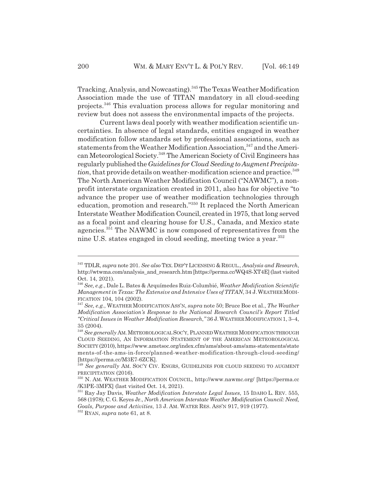Tracking, Analysis, and Nowcasting).345 The Texas Weather Modification Association made the use of TITAN mandatory in all cloud-seeding projects.346 This evaluation process allows for regular monitoring and review but does not assess the environmental impacts of the projects.

Current laws deal poorly with weather modification scientific uncertainties. In absence of legal standards, entities engaged in weather modification follow standards set by professional associations, such as statements from the Weather Modification Association, 347 and the American Meteorological Society.348 The American Society of Civil Engineers has regularly published the *Guidelines for Cloud Seeding to Augment Precipitation*, that provide details on weather-modification science and practice.<sup>349</sup> The North American Weather Modification Council ("NAWMC"), a nonprofit interstate organization created in 2011, also has for objective "to advance the proper use of weather modification technologies through education, promotion and research."350 It replaced the North American Interstate Weather Modification Council, created in 1975, that long served as a focal point and clearing house for U.S., Canada, and Mexico state agencies.351 The NAWMC is now composed of representatives from the nine U.S. states engaged in cloud seeding, meeting twice a year.<sup>352</sup>

<sup>345</sup> TDLR, *supra* note 201. *See also* TEX. DEP'T LICENSING & REGUL., *Analysis and Research*, http://wtwma.com/analysis\_and\_research.htm [https://perma.cc/WQ4S-XT4E] (last visited Oct. 14, 2021).

<sup>346</sup> *See, e.g.*, Dale L. Bates & Arquímedes Ruiz-Columbié, *Weather Modification Scientific Management in Texas: The Extensive and Intensive Uses of TITAN*, 34 J.WEATHERMODI-FICATION 104, 104 (2002).

<sup>347</sup> *See, e.g.*, WEATHER MODIFICATION ASS'N, *supra* note 50; Bruce Boe et al., *The Weather Modification Association's Response to the National Research Council's Report Titled "Critical Issues in Weather Modification Research*,*"* 36 J.WEATHERMODIFICATION 1, 3–4, 35 (2004).

<sup>&</sup>lt;sup>348</sup> See generally AM. METEOROLOGICAL SOC'Y, PLANNED WEATHER MODIFICATION THROUGH CLOUD SEEDING, AN INFORMATION STATEMENT OF THE AMERICAN METEOROLOGICAL SOCIETY (2010), https://www.ametsoc.org/index.cfm/ams/about-ams/ams-statements/state ments-of-the-ams-in-force/planned-weather-modification-through-cloud-seeding/ [https://perma.cc/M3E7-6ZCK].

<sup>349</sup> *See generally* AM. SOC'Y CIV. ENGRS, GUIDELINES FOR CLOUD SEEDING TO AUGMENT PRECIPITATION (2016).

<sup>350</sup> N. AM. WEATHER MODIFICATION COUNCIL, http://www.nawmc.org/ [https://perma.cc /K3PE-3MFX] (last visited Oct. 14, 2021).

<sup>351</sup> Ray Jay Davis, *Weather Modification Interstate Legal Issues*, 15 IDAHO L. REV. 555, 568 (1978); C. G. Keyes Jr., *North American Interstate Weather Modification Council: Need, Goals, Purpose and Activities*, 13 J. AM. WATER RES. ASS'N 917, 919 (1977).

<sup>352</sup> RYAN, *supra* note 61, at 8.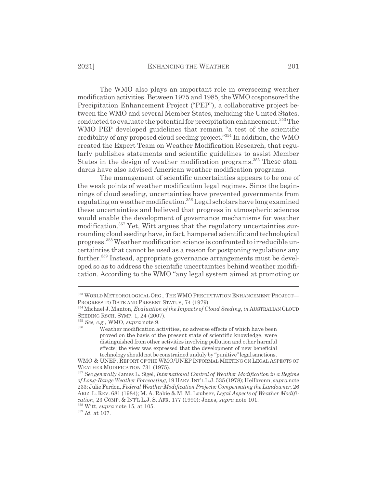The WMO also plays an important role in overseeing weather modification activities. Between 1975 and 1985, the WMO cosponsored the Precipitation Enhancement Project ("PEP"), a collaborative project between the WMO and several Member States, including the United States, conducted to evaluate the potential for precipitation enhancement.<sup>353</sup> The WMO PEP developed guidelines that remain "a test of the scientific credibility of any proposed cloud seeding project."354 In addition, the WMO created the Expert Team on Weather Modification Research, that regularly publishes statements and scientific guidelines to assist Member States in the design of weather modification programs.<sup>355</sup> These standards have also advised American weather modification programs.

The management of scientific uncertainties appears to be one of the weak points of weather modification legal regimes. Since the beginnings of cloud seeding, uncertainties have prevented governments from regulating on weather modification.356 Legal scholars have long examined these uncertainties and believed that progress in atmospheric sciences would enable the development of governance mechanisms for weather modification.<sup>357</sup> Yet, Witt argues that the regulatory uncertainties surrounding cloud seeding have, in fact, hampered scientific and technological progress.358 Weather modification science is confronted to irreducible uncertainties that cannot be used as a reason for postponing regulations any further.<sup>359</sup> Instead, appropriate governance arrangements must be developed so as to address the scientific uncertainties behind weather modification. According to the WMO "any legal system aimed at promoting or

<sup>359</sup> *Id.* at 107.

<sup>353</sup> WORLD METEOROLOGICAL ORG., THE WMO PRECIPITATION ENHANCEMENT PROJECT— PROGRESS TO DATE AND PRESENT STATUS, 74 (1979).

<sup>354</sup> Michael J. Manton, *Evaluation of the Impacts of Cloud Seeding*, *in* AUSTRALIAN CLOUD SEEDING RSCH. SYMP. 1, 24 (2007).

<sup>355</sup> *See, e.g.*, WMO, *supra* note 9.

Weather modification activities, no adverse effects of which have been proved on the basis of the present state of scientific knowledge, were distinguished from other activities involving pollution and other harmful effects; the view was expressed that the development of new beneficial technology should not be constrained unduly by "punitive" legal sanctions.

WMO & UNEP, REPORT OF THE WMO/UNEP INFORMAL MEETING ON LEGAL ASPECTS OF WEATHER MODIFICATION 731 (1975).

<sup>357</sup> *See generally* James L. Sigel, *International Control of Weather Modification in a Regime of Long-Range Weather Forecasting*, 19 HARV.INT'LL.J. 535 (1978); Heilbronn, *supra* note 233; Julie Ferdon, *Federal Weather Modification Projects: Compensating the Landowner*, 26 ARIZ. L. REV. 681 (1984); M. A. Rabie & M. M. Loubser, *Legal Aspects of Weather Modification*, 23 COMP.&INT'L L.J. S. AFR. 177 (1990); Jones, *supra* note 101.

<sup>358</sup> Witt, *supra* note 15, at 105.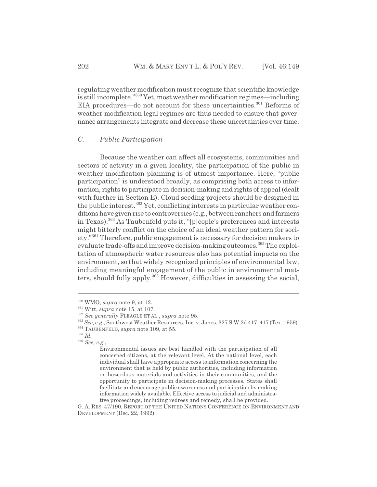regulating weather modification must recognize that scientific knowledge is still incomplete."360 Yet, most weather modification regimes—including EIA procedures—do not account for these uncertainties.<sup>361</sup> Reforms of weather modification legal regimes are thus needed to ensure that governance arrangements integrate and decrease these uncertainties over time.

# *C. Public Participation*

Because the weather can affect all ecosystems, communities and sectors of activity in a given locality, the participation of the public in weather modification planning is of utmost importance. Here, "public participation" is understood broadly, as comprising both access to information, rights to participate in decision-making and rights of appeal (dealt with further in Section E). Cloud seeding projects should be designed in the public interest.<sup>362</sup> Yet, conflicting interests in particular weather conditions have given rise to controversies (e.g., between ranchers and farmers in Texas).363 As Taubenfeld puts it, "[p]eople's preferences and interests might bitterly conflict on the choice of an ideal weather pattern for society."364 Therefore, public engagement is necessary for decision makers to evaluate trade-offs and improve decision-making outcomes.<sup>365</sup> The exploitation of atmospheric water resources also has potential impacts on the environment, so that widely recognized principles of environmental law, including meaningful engagement of the public in environmental matters, should fully apply.366 However, difficulties in assessing the social,

<sup>360</sup> WMO, *supra* note 9, at 12.

<sup>361</sup> Witt, *supra* note 15, at 107.

<sup>362</sup> *See generally* FLEAGLE ET AL., *supra* note 95.

<sup>363</sup> *See, e.g.*, Southwest Weather Resources, Inc. v. Jones, 327 S.W.2d 417, 417 (Tex. 1959).

<sup>364</sup> TAUBENFELD, *supra* note 109, at 55.

<sup>365</sup> *Id.*

<sup>366</sup> *See, e.g.*,

Environmental issues are best handled with the participation of all concerned citizens, at the relevant level. At the national level, each individual shall have appropriate access to information concerning the environment that is held by public authorities, including information on hazardous materials and activities in their communities, and the opportunity to participate in decision-making processes. States shall facilitate and encourage public awareness and participation by making information widely available. Effective access to judicial and administrative proceedings, including redress and remedy, shall be provided.

G. A. RES. 47/190, REPORT OF THE UNITED NATIONS CONFERENCE ON ENVIRONMENT AND DEVELOPMENT (Dec. 22, 1992).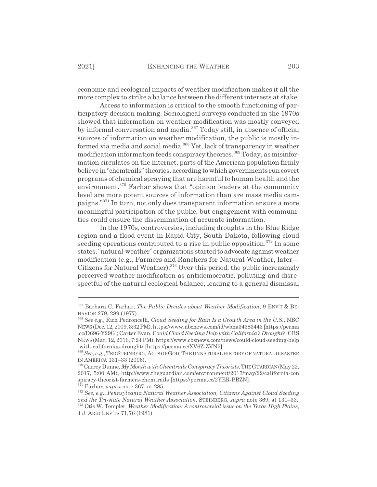economic and ecological impacts of weather modification makes it all the more complex to strike a balance between the different interests at stake.

Access to information is critical to the smooth functioning of participatory decision making. Sociological surveys conducted in the 1970s showed that information on weather modification was mostly conveyed by informal conversation and media.<sup>367</sup> Today still, in absence of official sources of information on weather modification, the public is mostly informed via media and social media.368 Yet, lack of transparency in weather modification information feeds conspiracy theories.<sup>369</sup> Today, as misinformation circulates on the internet, parts of the American population firmly believe in "chemtrails" theories, according to which governments run covert programs of chemical spraying that are harmful to human health and the environment.<sup>370</sup> Farhar shows that "opinion leaders at the community" level are more potent sources of information than are mass media campaigns."371 In turn, not only does transparent information ensure a more meaningful participation of the public, but engagement with communities could ensure the dissemination of accurate information.

In the 1970s, controversies, including droughts in the Blue Ridge region and a flood event in Rapid City, South Dakota, following cloud seeding operations contributed to a rise in public opposition.<sup>372</sup> In some states, "natural-weather" organizations started to advocate against weather modification (e.g., Farmers and Ranchers for Natural Weather, later— Citizens for Natural Weather).<sup>373</sup> Over this period, the public increasingly perceived weather modification as antidemocratic, polluting and disrespectful of the natural ecological balance, leading to a general dismissal

<sup>367</sup> Barbara C. Farhar, *The Public Decides about Weather Modification*, 9 ENV'T & BE-HAVIOR 279, 289 (1977).

<sup>368</sup> *See e.g.*, Rich Pedroncelli, *Cloud Seeding for Rain Is a Growth Area in the U.S.*, NBC NEWS (Dec. 12, 2009, 3:32 PM), https://www.nbcnews.com/id/wbna34383443 [https://perma .cc/D696-Y29G]; Carter Evan, Co*uld Cloud Seeding Help with California's Drought?*, CBS NEWS(Mar. 12, 2016, 7:24 PM), https://www.cbsnews.com/news/could-cloud-seeding-help -with-californias-drought/ [https://perma.cc/XV6Z-ZVN5].

<sup>369</sup> *See, e.g.*, TED STEINBERG, ACTS OF GOD:THE UNNATURAL HISTORY OF NATURAL DISASTER IN AMERICA 131–33 (2006).

<sup>370</sup> Carrey Dunne, *My Month with Chemtrails Conspiracy Theorists*, THEGUARDIAN(May 22, 2017, 5:00 AM), http://www.theguardian.com/environment/2017/may/22/california-con spiracy-theorist-farmers-chemtrails [https://perma.cc/2YER-PBZN].

<sup>&</sup>lt;sup>371</sup> Farhar, *supra* note 367, at 285.

<sup>372</sup> *See, e.g.*, *Pennsylvania Natural Weather Association, Citizens Against Cloud Seeding and the Tri-state Natural Weather Association.* STEINBERG, *supra* note 369, at 131–33. 373 Otis W. Templer, *Weather Modification: A controversial issue on the Texas High Plains*,

<sup>4</sup> J. ARID ENV'TS 71,76 (1981).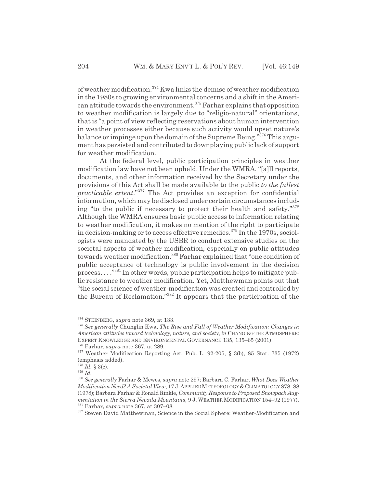of weather modification.374 Kwa links the demise of weather modification in the 1980s to growing environmental concerns and a shift in the American attitude towards the environment.375 Farhar explains that opposition to weather modification is largely due to "religio-natural" orientations, that is "a point of view reflecting reservations about human intervention in weather processes either because such activity would upset nature's balance or impinge upon the domain of the Supreme Being."376 This argument has persisted and contributed to downplaying public lack of support for weather modification.

At the federal level, public participation principles in weather modification law have not been upheld. Under the WMRA, "[a]ll reports, documents, and other information received by the Secretary under the provisions of this Act shall be made available to the public *to the fullest practicable extent*."377 The Act provides an exception for confidential information, which may be disclosed under certain circumstances including "to the public if necessary to protect their health and safety."<sup>378</sup> Although the WMRA ensures basic public access to information relating to weather modification, it makes no mention of the right to participate in decision-making or to access effective remedies.<sup>379</sup> In the 1970s, sociologists were mandated by the USBR to conduct extensive studies on the societal aspects of weather modification, especially on public attitudes towards weather modification.<sup>380</sup> Farhar explained that "one condition of public acceptance of technology is public involvement in the decision process. . . ."381 In other words, public participation helps to mitigate public resistance to weather modification. Yet, Matthewman points out that "the social science of weather-modification was created and controlled by the Bureau of Reclamation."382 It appears that the participation of the

<sup>374</sup> STEINBERG, *supra* note 369, at 133.

<sup>375</sup> *See generally* Chunglin Kwa, *The Rise and Fall of Weather Modification: Changes in American attitudes toward technology, nature, and society*, *in* CHANGING THE ATMOSPHERE: EXPERT KNOWLEDGE AND ENVIRONMENTAL GOVERNANCE 135, 135–65 (2001).

<sup>376</sup> Farhar, *supra* note 367, at 289.

 $377$  Weather Modification Reporting Act, Pub. L. 92-205, § 3(b), 85 Stat. 735 (1972) (emphasis added).

<sup>378</sup> *Id.* § 3(c).

<sup>379</sup> *Id.*

<sup>380</sup> *See generally* Farhar & Mewes, *supra* note 297; Barbara C. Farhar, *What Does Weather Modification Need? A Societal View*, 17 J.APPLIEDMETEOROLOGY &CLIMATOLOGY 878–88 (1978); Barbara Farhar & Ronald Rinkle, *Community Response to Proposed Snowpack Augmentation in the Sierra Nevada Mountains*, 9 J. WEATHER MODIFICATION 154–92 (1977). 381 Farhar, *supra* note 367, at 307–08.

<sup>382</sup> Steven David Matthewman, Science in the Social Sphere: Weather-Modification and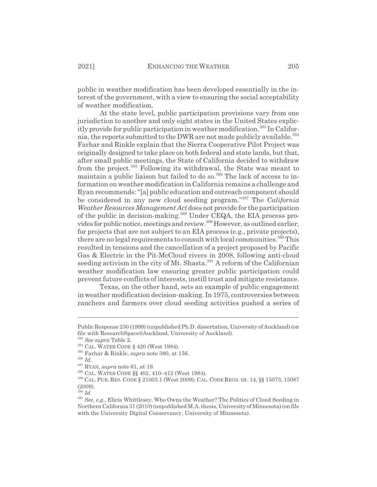public in weather modification has been developed essentially in the interest of the government, with a view to ensuring the social acceptability of weather modification.

At the state level, public participation provisions vary from one jurisdiction to another and only eight states in the United States explicitly provide for public participation in weather modification.383 In California, the reports submitted to the DWR are not made publicly available.<sup>384</sup> Farhar and Rinkle explain that the Sierra Cooperative Pilot Project was originally designed to take place on both federal and state lands, but that, after small public meetings, the State of California decided to withdraw from the project.<sup>385</sup> Following its withdrawal, the State was meant to maintain a public liaison but failed to do so.<sup>386</sup> The lack of access to information on weather modification in California remains a challenge and Ryan recommends: "[a] public education and outreach component should be considered in any new cloud seeding program."387 The *California Weather Resources Management Act* does not provide for the participation of the public in decision-making.<sup>388</sup> Under CEQA, the EIA process provides for public notice, meetings and review.389 However, as outlined earlier, for projects that are not subject to an EIA process (e.g., private projects), there are no legal requirements to consult with local communities.<sup>390</sup> This resulted in tensions and the cancellation of a project proposed by Pacific Gas & Electric in the Pit-McCloud rivers in 2008, following anti-cloud seeding activism in the city of Mt. Shasta.<sup>391</sup> A reform of the Californian weather modification law ensuring greater public participation could prevent future conflicts of interests, instill trust and mitigate resistance.

Texas, on the other hand, sets an example of public engagement in weather modification decision-making. In 1975, controversies between ranchers and farmers over cloud seeding activities pushed a series of

 $rac{1}{390}$  *Id.* 

Public Response 230 (1999) (unpublished Ph.D. dissertation, University of Auckland) (on file with ResearchSpace@Auckland, University of Auckland).

<sup>383</sup> *See supra* Table 2.

<sup>384</sup> CAL. WATER CODE § 420 (West 1984).

<sup>385</sup> Farhar & Rinkle, *supra* note 380, at 156.

<sup>386</sup> *Id.*

<sup>387</sup> RYAN, *supra* note 61, at 19.

<sup>388</sup> CAL. WATER CODE §§ 402, 410–412 (West 1984).

<sup>389</sup> CAL. PUB. RES. CODE § 21003.1 (West 2009); CAL. CODE REGS. tit. 14, §§ 15073, 15087 (2009).

<sup>391</sup> *See, e.g.*, Elicia Whittlesey, Who Owns the Weather? The Politics of Cloud Seeding in Northern California 31 (2010) (unpublished M.A. thesis, University of Minnesota) (on file with the University Digital Conservancy, University of Minnesota).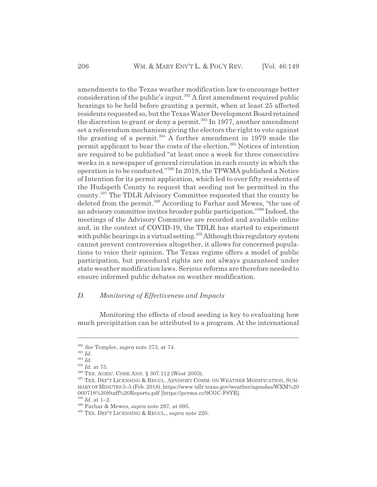amendments to the Texas weather modification law to encourage better consideration of the public's input.392 A first amendment required public hearings to be held before granting a permit, when at least 25 affected residents requested so, but the Texas Water Development Board retained the discretion to grant or deny a permit.<sup>393</sup> In 1977, another amendment set a referendum mechanism giving the electors the right to vote against the granting of a permit.394 A further amendment in 1979 made the permit applicant to bear the costs of the election.<sup>395</sup> Notices of intention are required to be published "at least once a week for three consecutive weeks in a newspaper of general circulation in each county in which the operation is to be conducted."396 In 2018, the TPWMA published a Notice of Intention for its permit application, which led to over fifty residents of the Hudspeth County to request that seeding not be permitted in the county.397 The TDLR Advisory Committee requested that the county be deleted from the permit.<sup>398</sup> According to Farhar and Mewes, "the use of an advisory committee invites broader public participation."399 Indeed, the meetings of the Advisory Committee are recorded and available online and, in the context of COVID-19, the TDLR has started to experiment with public hearings in a virtual setting.<sup>400</sup> Although this regulatory system cannot prevent controversies altogether, it allows for concerned populations to voice their opinion. The Texas regime offers a model of public participation, but procedural rights are not always guaranteed under state weather modification laws. Serious reforms are therefore needed to ensure informed public debates on weather modification.

#### *D. Monitoring of Effectiveness and Impacts*

Monitoring the effects of cloud seeding is key to evaluating how much precipitation can be attributed to a program. At the international

<sup>392</sup> *See* Templer, *supra* note 373, at 74.

<sup>393</sup> *Id.*

<sup>394</sup> *Id.*

<sup>395</sup> *Id.* at 75.

<sup>396</sup> TEX. AGRIC. CODE ANN. § 307.112 (West 2003).

<sup>&</sup>lt;sup>397</sup> TEX. DEP'T LICENSING & REGUL. ADVISORY COMM. ON WEATHER MODIFICATION, SUM-MARY OF MINUTES3–5 (Feb. 2018), https://www.tdlr.texas.gov/weather/agendas/WXM%20 060718%20Staff%20Reports.pdf [https://perma.cc/9CGC-F8YR].

<sup>398</sup> *Id.* at 1–2.

<sup>399</sup> Farhar & Mewes, *supra* note 297, at 695.

<sup>400</sup> TEX. DEP'T LICENSING & REGUL., *supra* note 220.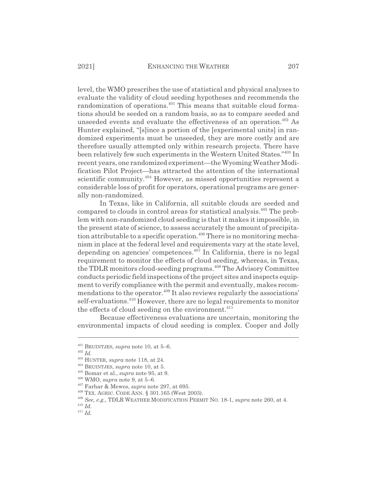level, the WMO prescribes the use of statistical and physical analyses to evaluate the validity of cloud seeding hypotheses and recommends the randomization of operations.<sup>401</sup> This means that suitable cloud formations should be seeded on a random basis, so as to compare seeded and unseeded events and evaluate the effectiveness of an operation.<sup> $402$ </sup> As Hunter explained, "[s]ince a portion of the [experimental units] in randomized experiments must be unseeded, they are more costly and are therefore usually attempted only within research projects. There have been relatively few such experiments in the Western United States."403 In recent years, one randomized experiment—the Wyoming Weather Modification Pilot Project—has attracted the attention of the international scientific community.<sup>404</sup> However, as missed opportunities represent a considerable loss of profit for operators, operational programs are generally non-randomized.

In Texas, like in California, all suitable clouds are seeded and compared to clouds in control areas for statistical analysis.405 The problem with non-randomized cloud seeding is that it makes it impossible, in the present state of science, to assess accurately the amount of precipitation attributable to a specific operation.<sup>406</sup> There is no monitoring mechanism in place at the federal level and requirements vary at the state level, depending on agencies' competences.<sup>407</sup> In California, there is no legal requirement to monitor the effects of cloud seeding, whereas, in Texas, the TDLR monitors cloud-seeding programs.408 The Advisory Committee conducts periodic field inspections of the project sites and inspects equipment to verify compliance with the permit and eventually, makes recommendations to the operator.<sup>409</sup> It also reviews regularly the associations' self-evaluations.<sup>410</sup> However, there are no legal requirements to monitor the effects of cloud seeding on the environment. $411$ 

Because effectiveness evaluations are uncertain, monitoring the environmental impacts of cloud seeding is complex. Cooper and Jolly

<sup>401</sup> BRUINTJES, *supra* note 10, at 5–6.

<sup>402</sup> *Id.*

<sup>403</sup> HUNTER, *supra* note 118, at 24.

<sup>404</sup> BRUINTJES, *supra* note 10, at 5.

<sup>405</sup> Bomar et al., *supra* note 95, at 9.

<sup>406</sup> WMO, *supra* note 9, at 5–6.

<sup>407</sup> Farhar & Mewes, *supra* note 297, at 695.

<sup>408</sup> TEX. AGRIC. CODE ANN. § 301.165 (West 2003).

<sup>409</sup> *See, e.g.*, TDLR WEATHER MODIFICATION PERMIT NO. 18-1, *supra* note 260, at 4.

<sup>410</sup> *Id.*

<sup>411</sup> *Id.*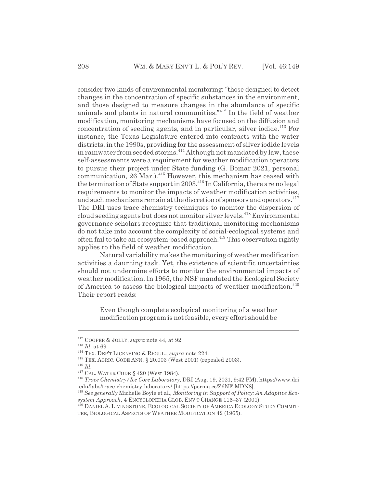consider two kinds of environmental monitoring: "those designed to detect changes in the concentration of specific substances in the environment, and those designed to measure changes in the abundance of specific animals and plants in natural communities."412 In the field of weather modification, monitoring mechanisms have focused on the diffusion and concentration of seeding agents, and in particular, silver iodide.413 For instance, the Texas Legislature entered into contracts with the water districts, in the 1990s, providing for the assessment of silver iodide levels in rainwater from seeded storms.<sup>414</sup> Although not mandated by law, these self-assessments were a requirement for weather modification operators to pursue their project under State funding (G. Bomar 2021, personal communication, 26 Mar.).<sup>415</sup> However, this mechanism has ceased with the termination of State support in 2003.<sup>416</sup> In California, there are no legal requirements to monitor the impacts of weather modification activities, and such mechanisms remain at the discretion of sponsors and operators.<sup>417</sup> The DRI uses trace chemistry techniques to monitor the dispersion of cloud seeding agents but does not monitor silver levels.<sup>418</sup> Environmental governance scholars recognize that traditional monitoring mechanisms do not take into account the complexity of social-ecological systems and often fail to take an ecosystem-based approach.<sup>419</sup> This observation rightly applies to the field of weather modification.

Natural variability makes the monitoring of weather modification activities a daunting task. Yet, the existence of scientific uncertainties should not undermine efforts to monitor the environmental impacts of weather modification. In 1965, the NSF mandated the Ecological Society of America to assess the biological impacts of weather modification.<sup>420</sup> Their report reads:

Even though complete ecological monitoring of a weather modification program is not feasible, every effort should be

<sup>412</sup> COOPER & JOLLY, *supra* note 44, at 92.

<sup>413</sup> *Id.* at 69.

<sup>414</sup> TEX. DEP'T LICENSING & REGUL., *supra* note 224.

<sup>415</sup> TEX. AGRIC. CODE ANN. § 20.003 (West 2001) (repealed 2003).

<sup>416</sup> *Id.*

<sup>417</sup> CAL. WATER CODE § 420 (West 1984).

<sup>418</sup> *Trace Chemistry/Ice Core Laboratory*, DRI (Aug. 19, 2021, 9:42 PM), https://www.dri .edu/labs/trace-chemistry-laboratory/ [https://perma.cc/Z6NF-MDN8].

<sup>419</sup> *See generally* Michelle Boyle et al., *Monitoring in Support of Policy: An Adaptive Ecosystem Approach*, 4 ENCYCLOPEDIA GLOB. ENV'T CHANGE 116–37 (2001).

<sup>420</sup> DANIEL A. LIVINGSTONE, ECOLOGICAL SOCIETY OF AMERICA ECOLOGY STUDY COMMIT-TEE, BIOLOGICAL ASPECTS OF WEATHER MODIFICATION 42 (1965).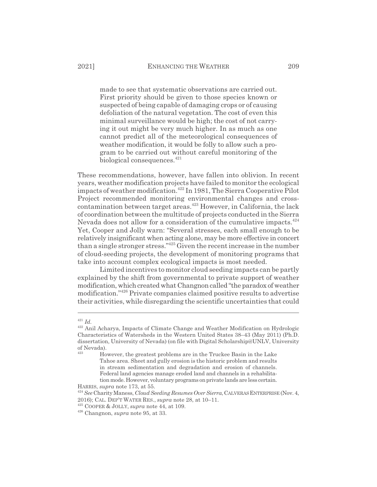made to see that systematic observations are carried out. First priority should be given to those species known or suspected of being capable of damaging crops or of causing defoliation of the natural vegetation. The cost of even this minimal surveillance would be high; the cost of not carrying it out might be very much higher. In as much as one cannot predict all of the meteorological consequences of weather modification, it would be folly to allow such a program to be carried out without careful monitoring of the biological consequences.<sup>421</sup>

These recommendations, however, have fallen into oblivion. In recent years, weather modification projects have failed to monitor the ecological impacts of weather modification.422 In 1981, The Sierra Cooperative Pilot Project recommended monitoring environmental changes and crosscontamination between target areas.<sup>423</sup> However, in California, the lack of coordination between the multitude of projects conducted in the Sierra Nevada does not allow for a consideration of the cumulative impacts.<sup>424</sup> Yet, Cooper and Jolly warn: "Several stresses, each small enough to be relatively insignificant when acting alone, may be more effective in concert than a single stronger stress."425 Given the recent increase in the number of cloud-seeding projects, the development of monitoring programs that take into account complex ecological impacts is most needed.

Limited incentives to monitor cloud seeding impacts can be partly explained by the shift from governmental to private support of weather modification, which created what Changnon called "the paradox of weather modification."426 Private companies claimed positive results to advertise their activities, while disregarding the scientific uncertainties that could

<sup>421</sup> *Id.*

<sup>422</sup> Anil Acharya, Impacts of Climate Change and Weather Modification on Hydrologic Characteristics of Watersheds in the Western United States 38–43 (May 2011) (Ph.D. dissertation, University of Nevada) (on file with Digital Scholarship@UNLV, University of Nevada).

<sup>423</sup> However, the greatest problems are in the Truckee Basin in the Lake Tahoe area. Sheet and gully erosion is the historic problem and results in stream sedimentation and degradation and erosion of channels. Federal land agencies manage eroded land and channels in a rehabilitation mode. However, voluntary programs on private lands are less certain.

HARRIS, *supra* note 173, at 55.

<sup>424</sup> *See* Charity Maness, *Cloud Seeding Resumes Over Sierra*, CALVERASENTERPRISE (Nov. 4, 2016); CAL. DEP'T WATER RES., *supra* note 28, at 10–11.

<sup>425</sup> COOPER & JOLLY, *supra* note 44, at 109.

<sup>426</sup> Changnon, *supra* note 95, at 33.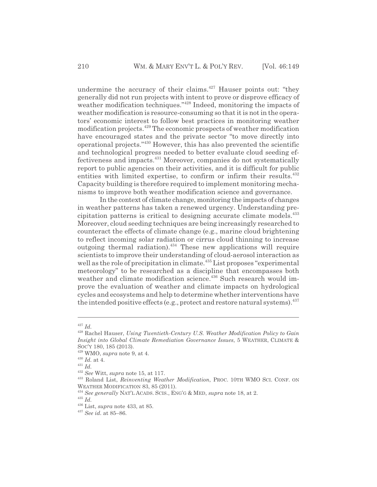undermine the accuracy of their claims. $427$  Hauser points out: "they generally did not run projects with intent to prove or disprove efficacy of weather modification techniques."<sup>428</sup> Indeed, monitoring the impacts of weather modification is resource-consuming so that it is not in the operators' economic interest to follow best practices in monitoring weather modification projects.429 The economic prospects of weather modification have encouraged states and the private sector "to move directly into operational projects."430 However, this has also prevented the scientific and technological progress needed to better evaluate cloud seeding effectiveness and impacts.431 Moreover, companies do not systematically report to public agencies on their activities, and it is difficult for public entities with limited expertise, to confirm or infirm their results.<sup>432</sup> Capacity building is therefore required to implement monitoring mechanisms to improve both weather modification science and governance.

In the context of climate change, monitoring the impacts of changes in weather patterns has taken a renewed urgency. Understanding precipitation patterns is critical to designing accurate climate models.<sup>433</sup> Moreover, cloud seeding techniques are being increasingly researched to counteract the effects of climate change (e.g., marine cloud brightening to reflect incoming solar radiation or cirrus cloud thinning to increase outgoing thermal radiation).434 These new applications will require scientists to improve their understanding of cloud-aerosol interaction as well as the role of precipitation in climate.<sup>435</sup> List proposes "experimental meteorology" to be researched as a discipline that encompasses both weather and climate modification science.<sup>436</sup> Such research would improve the evaluation of weather and climate impacts on hydrological cycles and ecosystems and help to determine whether interventions have the intended positive effects (e.g., protect and restore natural systems). $^{437}$ 

<sup>427</sup> *Id.*

<sup>428</sup> Rachel Hauser, *Using Twentieth-Century U.S. Weather Modification Policy to Gain Insight into Global Climate Remediation Governance Issues*, 5 WEATHER, CLIMATE & SOC'Y 180, 185 (2013).

<sup>429</sup> WMO, *supra* note 9, at 4.

 $\,$   $^{430}$   $Id.$  at 4.

<sup>431</sup> *Id.*

<sup>432</sup> *See* Witt, *supra* note 15, at 117.

<sup>433</sup> Roland List, *Reinventing Weather Modification*, PROC. 10TH WMO SCI. CONF. ON WEATHER MODIFICATION 83, 85 (2011).

<sup>434</sup> *See generally* NAT'L ACADS. SCIS., ENG'G & MED, *supra* note 18, at 2.

<sup>435</sup> *Id.*

<sup>436</sup> List, *supra* note 433, at 85.

<sup>437</sup> *See id.* at 85–86.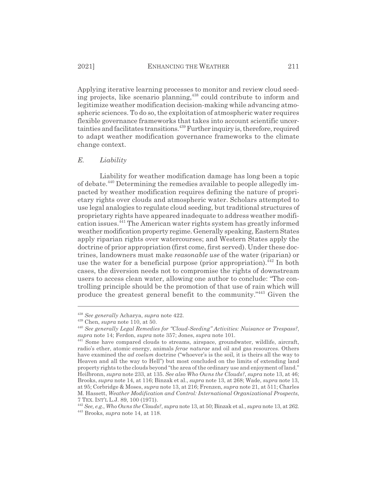Applying iterative learning processes to monitor and review cloud seeding projects, like scenario planning,<sup>438</sup> could contribute to inform and legitimize weather modification decision-making while advancing atmospheric sciences. To do so, the exploitation of atmospheric water requires flexible governance frameworks that takes into account scientific uncertainties and facilitates transitions.<sup>439</sup> Further inquiry is, therefore, required to adapt weather modification governance frameworks to the climate change context.

#### *E. Liability*

Liability for weather modification damage has long been a topic of debate.440 Determining the remedies available to people allegedly impacted by weather modification requires defining the nature of proprietary rights over clouds and atmospheric water. Scholars attempted to use legal analogies to regulate cloud seeding, but traditional structures of proprietary rights have appeared inadequate to address weather modification issues.441 The American water rights system has greatly informed weather modification property regime. Generally speaking, Eastern States apply riparian rights over watercourses; and Western States apply the doctrine of prior appropriation (first come, first served). Under these doctrines, landowners must make *reasonable use* of the water (riparian) or use the water for a beneficial purpose (prior appropriation).<sup>442</sup> In both cases, the diversion needs not to compromise the rights of downstream users to access clean water, allowing one author to conclude: "The controlling principle should be the promotion of that use of rain which will produce the greatest general benefit to the community."443 Given the

<sup>438</sup> *See generally* Acharya, *supra* note 422.

<sup>439</sup> Chen, *supra* note 110, at 50.

<sup>440</sup> *See generally Legal Remedies for "Cloud-Seeding" Activities: Nuisance or Trespass?*, *supra* note 14; Ferdon, *supra* note 357; Jones, *supra* note 101.

 $441$  Some have compared clouds to streams, airspace, groundwater, wildlife, aircraft, radio's ether, atomic energy, animals *ferae naturae* and oil and gas resources. Others have examined the *ad coelum* doctrine ("whoever's is the soil, it is theirs all the way to Heaven and all the way to Hell") but most concluded on the limits of extending land property rights to the clouds beyond "the area of the ordinary use and enjoyment of land." Heilbronn, *supra* note 233, at 135. *See also Who Owns the Clouds?*, *supra* note 13, at 46; Brooks, *supra* note 14, at 116; Binzak et al., *supra* note 13, at 268; Wade, *supra* note 13, at 95; Corbridge & Moses, *supra* note 13, at 216; Frenzen, *supra* note 21, at 511; Charles M. Hassett, *Weather Modification and Control: International Organizational Prospects*, 7 TEX. INT'L L.J. 89, 100 (1971).

<sup>442</sup> *See, e.g.*, *Who Owns the Clouds?*, *supra* note 13, at 50; Binzak et al., *supra* note 13, at 262. 443 Brooks, *supra* note 14, at 118.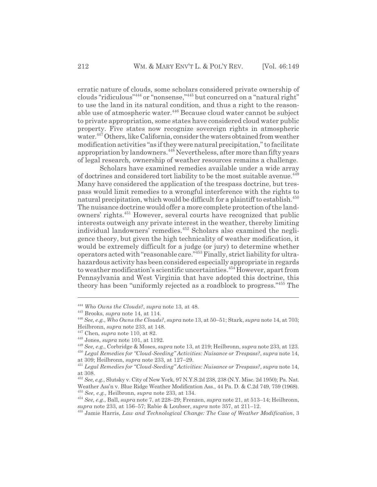erratic nature of clouds, some scholars considered private ownership of clouds "ridiculous"444 or "nonsense,"445 but concurred on a "natural right" to use the land in its natural condition, and thus a right to the reasonable use of atmospheric water.446 Because cloud water cannot be subject to private appropriation, some states have considered cloud water public property. Five states now recognize sovereign rights in atmospheric

water.<sup>447</sup> Others, like California, consider the waters obtained from weather modification activities "as if they were natural precipitation," to facilitate appropriation by landowners.<sup>448</sup> Nevertheless, after more than fifty years of legal research, ownership of weather resources remains a challenge.

Scholars have examined remedies available under a wide array of doctrines and considered tort liability to be the most suitable avenue.<sup>449</sup> Many have considered the application of the trespass doctrine, but trespass would limit remedies to a wrongful interference with the rights to natural precipitation, which would be difficult for a plaintiff to establish.<sup>450</sup> The nuisance doctrine would offer a more complete protection of the landowners' rights.451 However, several courts have recognized that public interests outweigh any private interest in the weather, thereby limiting individual landowners' remedies.452 Scholars also examined the negligence theory, but given the high technicality of weather modification, it would be extremely difficult for a judge (or jury) to determine whether operators acted with "reasonable care."453 Finally, strict liability for ultrahazardous activity has been considered especially appropriate in regards to weather modification's scientific uncertainties.<sup>454</sup> However, apart from Pennsylvania and West Virginia that have adopted this doctrine, this theory has been "uniformly rejected as a roadblock to progress."455 The

<sup>444</sup> *Who Owns the Clouds?*, *supra* note 13, at 48.

<sup>445</sup> Brooks, *supra* note 14, at 114.

<sup>446</sup> *See, e.g.*, *Who Owns the Clouds?*, *supra* note 13, at 50–51; Stark, *supra* note 14, at 703; Heilbronn, *supra* note 233, at 148.

<sup>447</sup> Chen, *supra* note 110, at 82.

<sup>448</sup> Jones, *supra* note 101, at 1192.

<sup>449</sup> *See, e.g.*, Corbridge & Moses, *supra* note 13, at 219; Heilbronn, *supra* note 233, at 123.

<sup>450</sup> *Legal Remedies for "Cloud-Seeding" Activities: Nuisance or Trespass?*, *supra* note 14, at 309; Heilbronn, *supra* note 233, at 127–29.

<sup>451</sup> *Legal Remedies for "Cloud-Seeding" Activities: Nuisance or Trespass?*, *supra* note 14, at 308.

<sup>452</sup> *See, e.g.*, Slutsky v. City of New York, 97 N.Y.S.2d 238, 238 (N.Y. Misc. 2d 1950); Pa. Nat. Weather Ass'n v. Blue Ridge Weather Modification Ass., 44 Pa. D. & C.2d 749, 759 (1968). <sup>453</sup> *See, e.g.*, Heilbronn, *supra* note 233, at 134.

<sup>454</sup> *See, e.g.*, Ball, *supra* note 7, at 228–29; Frenzen, *supra* note 21, at 513–14; Heilbronn, *supra* note 233, at 156–57; Rabie & Loubser, *supra* note 357, at 211–12.

<sup>455</sup> Jamie Harris, *Law and Technological Change: The Case of Weather Modification*, 3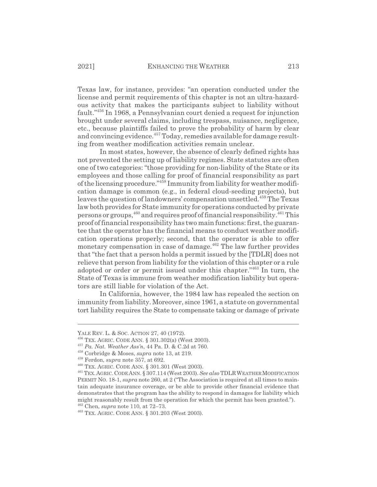Texas law, for instance, provides: "an operation conducted under the license and permit requirements of this chapter is not an ultra-hazardous activity that makes the participants subject to liability without fault."456 In 1968, a Pennsylvanian court denied a request for injunction brought under several claims, including trespass, nuisance, negligence, etc., because plaintiffs failed to prove the probability of harm by clear and convincing evidence.<sup>457</sup> Today, remedies available for damage resulting from weather modification activities remain unclear.

In most states, however, the absence of clearly defined rights has not prevented the setting up of liability regimes. State statutes are often one of two categories: "those providing for non-liability of the State or its employees and those calling for proof of financial responsibility as part of the licensing procedure."458 Immunity from liability for weather modification damage is common (e.g., in federal cloud-seeding projects), but leaves the question of landowners' compensation unsettled.<sup>459</sup> The Texas law both provides for State immunity for operations conducted by private persons or groups, <sup>460</sup> and requires proof of financial responsibility. <sup>461</sup> This proof of financial responsibility has two main functions: first, the guarantee that the operator has the financial means to conduct weather modification operations properly; second, that the operator is able to offer monetary compensation in case of damage.<sup>462</sup> The law further provides that "the fact that a person holds a permit issued by the [TDLR] does not relieve that person from liability for the violation of this chapter or a rule adopted or order or permit issued under this chapter."463 In turn, the State of Texas is immune from weather modification liability but operators are still liable for violation of the Act.

In California, however, the 1984 law has repealed the section on immunity from liability. Moreover, since 1961, a statute on governmental tort liability requires the State to compensate taking or damage of private

YALE REV. L. & SOC. ACTION 27, 40 (1972).

<sup>456</sup> TEX. AGRIC. CODE ANN. § 301.302(a) (West 2003).

<sup>457</sup> *Pa. Nat. Weather Ass'n*, 44 Pa. D. & C.2d at 760.

<sup>458</sup> Corbridge & Moses, *supra* note 13, at 219.

<sup>459</sup> Ferdon, *supra* note 357, at 692.

<sup>460</sup> TEX. AGRIC. CODE ANN. § 301.301 (West 2003).

<sup>461</sup> TEX.AGRIC.CODE ANN. § 307.114 (West 2003). *See also* TDLRWEATHERMODIFICATION PERMIT NO. 18-1, *supra* note 260, at 2 ("The Association is required at all times to maintain adequate insurance coverage, or be able to provide other financial evidence that demonstrates that the program has the ability to respond in damages for liability which might reasonably result from the operation for which the permit has been granted."). 462 Chen, *supra* note 110, at 72–73.

<sup>463</sup> TEX. AGRIC. CODE ANN. § 301.203 (West 2003).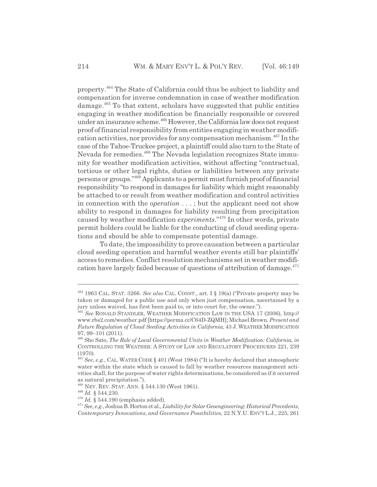property.464 The State of California could thus be subject to liability and compensation for inverse condemnation in case of weather modification damage.<sup>465</sup> To that extent, scholars have suggested that public entities engaging in weather modification be financially responsible or covered under an insurance scheme.<sup>466</sup> However, the California law does not request proof of financial responsibility from entities engaging in weather modification activities, nor provides for any compensation mechanism.467 In the case of the Tahoe-Truckee project, a plaintiff could also turn to the State of Nevada for remedies.<sup>468</sup> The Nevada legislation recognizes State immunity for weather modification activities, without affecting "contractual, tortious or other legal rights, duties or liabilities between any private persons or groups."469 Applicants to a permit must furnish proof of financial responsibility "to respond in damages for liability which might reasonably be attached to or result from weather modification and control activities in connection with the *operation* . . . ; but the applicant need not show ability to respond in damages for liability resulting from precipitation caused by weather modification *experiments*."470 In other words, private permit holders could be liable for the conducting of cloud seeding operations and should be able to compensate potential damage.

To date, the impossibility to prove causation between a particular cloud seeding operation and harmful weather events still bar plaintiffs' access to remedies. Conflict resolution mechanisms set in weather modification have largely failed because of questions of attribution of damage. $471$ 

<sup>464 1963</sup> CAL. STAT. 3266. *See also* CAL. CONST., art. I § 19(a) ("Private property may be taken or damaged for a public use and only when just compensation, ascertained by a jury unless waived, has first been paid to, or into court for, the owner.").

<sup>465</sup> *See* RONALD STANDLER, WEATHER MODIFICATION LAW IN THE USA 17 (2006), http:// www.rbs2.com/weather.pdf [https://perma.cc/C64D-ZQMH]; Michael Brown, *Present and Future Regulation of Cloud Seeding Activities in California*, 43 J. WEATHER MODIFICATION 97, 99–101 (2011).

<sup>466</sup> Sho Sato, *The Role of Local Governmental Units in Weather Modification: California*, *in* CONTROLLING THE WEATHER:ASTUDY OF LAW AND REGULATORY PROCEDURES 221, 239 (1970).

<sup>467</sup> *See, e.g.*, CAL. WATER CODE § 401 (West 1984) ("It is hereby declared that atmospheric water within the state which is caused to fall by weather resources management activities shall, for the purpose of water rights determinations, be considered as if it occurred as natural precipitation.").

<sup>468</sup> NEV. REV. STAT. ANN. § 544.130 (West 1961).

<sup>469</sup> *Id.* § 544.230.

<sup>470</sup> *Id.* § 544.190 (emphasis added).

<sup>471</sup> *See, e.g.*, Joshua B. Horton et al., *Liability for Solar Geoengineering: Historical Precedents, Contemporary Innovations, and Governance Possibilities*, 22 N.Y.U. ENV'T L.J., 225, 261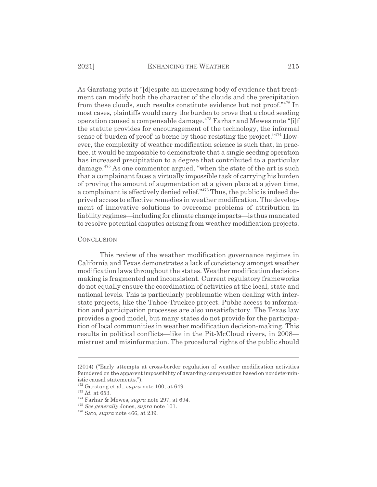As Garstang puts it "[d]espite an increasing body of evidence that treatment can modify both the character of the clouds and the precipitation from these clouds, such results constitute evidence but not proof."472 In most cases, plaintiffs would carry the burden to prove that a cloud seeding operation caused a compensable damage.<sup>473</sup> Farhar and Mewes note "[i]f the statute provides for encouragement of the technology, the informal sense of 'burden of proof' is borne by those resisting the project."<sup>474</sup> However, the complexity of weather modification science is such that, in practice, it would be impossible to demonstrate that a single seeding operation has increased precipitation to a degree that contributed to a particular damage.<sup>475</sup> As one commentor argued, "when the state of the art is such that a complainant faces a virtually impossible task of carrying his burden of proving the amount of augmentation at a given place at a given time, a complainant is effectively denied relief."476 Thus, the public is indeed deprived access to effective remedies in weather modification. The development of innovative solutions to overcome problems of attribution in liability regimes—including for climate change impacts—is thus mandated to resolve potential disputes arising from weather modification projects.

#### **CONCLUSION**

This review of the weather modification governance regimes in California and Texas demonstrates a lack of consistency amongst weather modification laws throughout the states. Weather modification decisionmaking is fragmented and inconsistent. Current regulatory frameworks do not equally ensure the coordination of activities at the local, state and national levels. This is particularly problematic when dealing with interstate projects, like the Tahoe-Truckee project. Public access to information and participation processes are also unsatisfactory. The Texas law provides a good model, but many states do not provide for the participation of local communities in weather modification decision-making. This results in political conflicts—like in the Pit-McCloud rivers, in 2008 mistrust and misinformation. The procedural rights of the public should

<sup>(2014) (&</sup>quot;Early attempts at cross-border regulation of weather modification activities foundered on the apparent impossibility of awarding compensation based on nondeterministic causal statements.").

<sup>472</sup> Garstang et al., *supra* note 100, at 649.

<sup>473</sup> *Id.* at 653.

<sup>474</sup> Farhar & Mewes, *supra* note 297, at 694.

<sup>475</sup> *See generally* Jones, *supra* note 101.

<sup>476</sup> Sato, *supra* note 466, at 239.